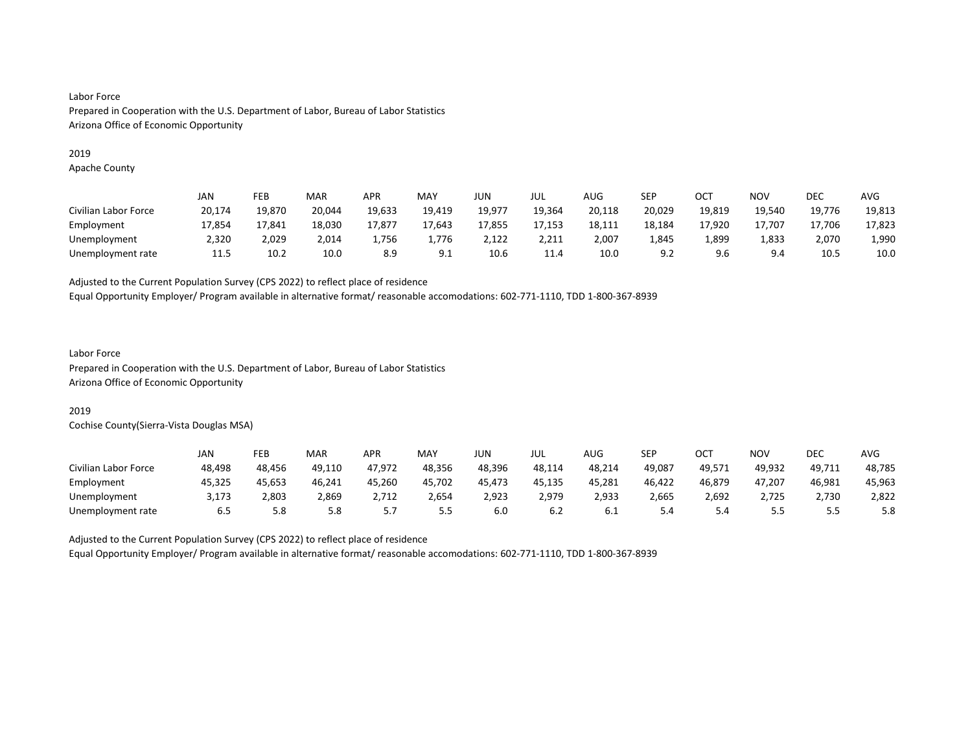#### 2019

Apache County

|                      | JAN    | FEB    | MAR    | <b>APR</b> | MAY    | JUN    | jul    | AUG    | SEP    | ост    | <b>NOV</b> | DEC    | <b>AVG</b> |
|----------------------|--------|--------|--------|------------|--------|--------|--------|--------|--------|--------|------------|--------|------------|
| Civilian Labor Force | 20,174 | 19.870 | 20,044 | 19,633     | 19,419 | 19.977 | 19.364 | 20,118 | 20,029 | 19,819 | 19.540     | 19,776 | 19,813     |
| Employment           | 17,854 | 17.841 | 18,030 | 17,877     | 17.643 | 17,855 | 17,153 | 18,111 | 18,184 | 17.920 | 17.707     | 17.706 | 17,823     |
| Unemployment         | 2,320  | 2,029  | 2,014  | 1,756      | 1,776  | 2,122  | 2,211  | 2,007  | 1,845  | 1,899  | 1,833      | 2,070  | 1,990      |
| Unemployment rate    | 11.5   | 10.2   | 10.0   | 8.9        | 9.1    | 10.6   | 11.4   | 10.0   | 9.2    | 9.6    | 9.4        | 10.5   | 10.0       |

Adjusted to the Current Population Survey (CPS 2022) to reflect place of residence

Equal Opportunity Employer/ Program available in alternative format/ reasonable accomodations: 602-771-1110, TDD 1-800-367-8939

## Labor Force

Prepared in Cooperation with the U.S. Department of Labor, Bureau of Labor Statistics Arizona Office of Economic Opportunity

## 2019

Cochise County(Sierra-Vista Douglas MSA)

|                      | JAN    | FEB    | MAR    | <b>APR</b> | MAY    | <b>JUN</b> | JUL    | AUG    | <b>SEP</b> | OCT    | NO۱      | DEC    | <b>AVG</b> |
|----------------------|--------|--------|--------|------------|--------|------------|--------|--------|------------|--------|----------|--------|------------|
| Civilian Labor Force | 48.498 | 48.456 | 49.110 | 47,972     | 48.356 | 48.396     | 48,114 | 48,214 | 49.087     | 49,571 | 49.932   | 49,711 | 48,785     |
| Employment           | 45,325 | 45,653 | 46,241 | 45,260     | 45,702 | 45,473     | 45,135 | 45,281 | 46,422     | 46,879 | 47,207   | 46,981 | 45,963     |
| Unemployment         | 3.173  | 2,803  | 2,869  | 2.712      | 2,654  | 2,923      | 2.979  | 2,933  | 2,665      | 2,692  | 2.725    | 2.730  | 2,822      |
| Unemployment rate    | 6.5    | 5.8    | 5.8    | ، ، ب      | 5.5    | 6.0        | 6.2    | 6.I    | 5.4        | 5.4    | -<br>ر.ر |        | 5.8        |

Adjusted to the Current Population Survey (CPS 2022) to reflect place of residence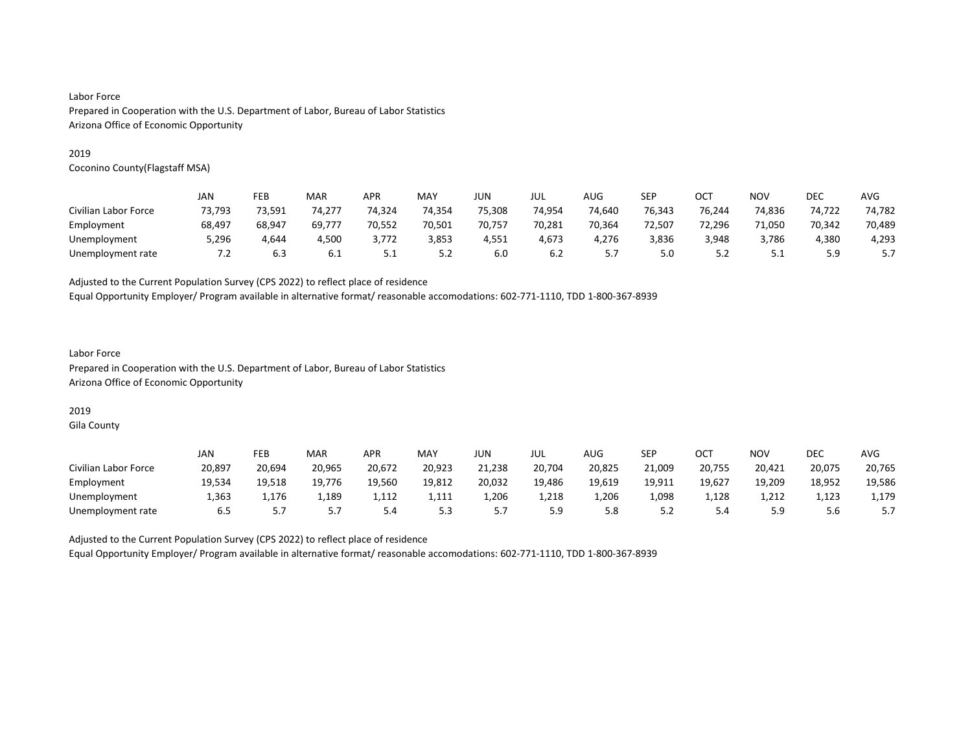#### 2019

Coconino County(Flagstaff MSA)

|                      | JAN    | FEB    | MAR    | <b>APR</b> | MAY    | JUN    | JUL    | AUG        | <b>SEP</b> | OC1    | <b>NOV</b> | DEC    | AVG    |
|----------------------|--------|--------|--------|------------|--------|--------|--------|------------|------------|--------|------------|--------|--------|
| Civilian Labor Force | 73,793 | 73,591 | 74.277 | 74,324     | 74,354 | 75,308 | 74,954 | 74,640     | 76,343     | 76.244 | 74,836     | 74,722 | 74,782 |
| Employment           | 68,497 | 68.947 | 69.777 | 70.552     | 70.501 | 70.757 | 70,281 | 70,364     | 72.507     | 72.296 | 71,050     | 70.342 | 70,489 |
| Unemployment         | 5,296  | 4.644  | 4,500  | 3,772      | 3,853  | 4,551  | 4,673  | 4.276      | 3,836      | 3,948  | 3,786      | 4,380  | 4,293  |
| Unemployment rate    | 7.2    | 6.3    | 6.1    | ـ . ـ      | 5.2    | 6.0    | 6.2    | <u>. .</u> | 5.0        | 5.2    | ـ . ـ      | 59<br> | ، . ب  |

Adjusted to the Current Population Survey (CPS 2022) to reflect place of residence

Equal Opportunity Employer/ Program available in alternative format/ reasonable accomodations: 602-771-1110, TDD 1-800-367-8939

### Labor Force Prepared in Cooperation with the U.S. Department of Labor, Bureau of Labor Statistics Arizona Office of Economic Opportunity

# 2019

Gila County

|                      | JAN    | FEB    | <b>MAR</b> | APR    | MAY    | JUN    | JUL    | AUG    | SEP       | OC1    | <b>NOV</b> | DEC    | AVG    |
|----------------------|--------|--------|------------|--------|--------|--------|--------|--------|-----------|--------|------------|--------|--------|
| Civilian Labor Force | 20,897 | 20.694 | 20,965     | 20,672 | 20,923 | 21,238 | 20,704 | 20,825 | 21,009    | 20,755 | 20,421     | 20,075 | 20,765 |
| Employment           | 19,534 | 19,518 | 19,776     | 19,560 | 19,812 | 20,032 | 19,486 | 19,619 | 19,911    | 19,627 | 19,209     | 18,952 | 19,586 |
| Unemployment         | 1.363  | 1.176  | 1,189      | 1.112  | 1.111  | L.206  | 1,218  | 1.206  | 1,098     | 1.128  | 1.212      | 1.123  | 1,179  |
| Unemployment rate    | 6.5    |        | ر . د      | ں. ب   | 5.3    | .      | 5.9    | 5.8    | 55<br>ے.د | ⊸.     | 5.9        | 5.6    | 5.7    |

Adjusted to the Current Population Survey (CPS 2022) to reflect place of residence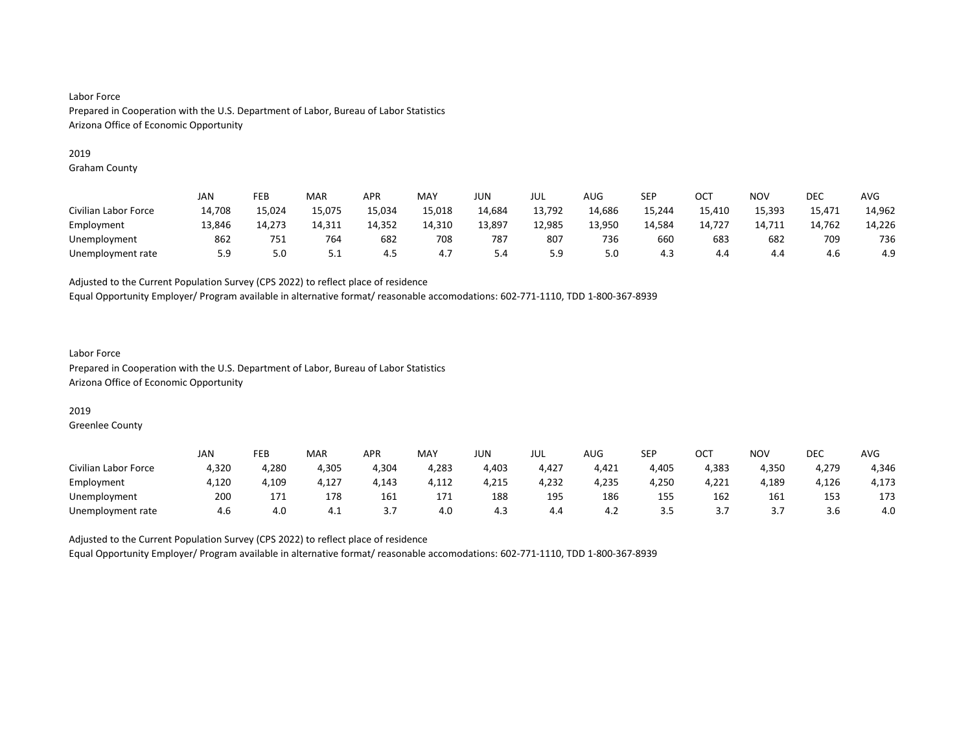#### 2019

Graham County

|                      | JAN    | FEB    | MAR    | <b>APR</b> | MAY    | JUN    | jul    | <b>AUG</b> | SEP    | ОСТ    | <b>NOV</b> | DEC    | <b>AVG</b> |
|----------------------|--------|--------|--------|------------|--------|--------|--------|------------|--------|--------|------------|--------|------------|
| Civilian Labor Force | 14,708 | 15,024 | 15,075 | 15,034     | 15,018 | 14,684 | 13,792 | 14,686     | 15,244 | 15,410 | 15,393     | 15,471 | 14,962     |
| Employment           | 13,846 | 14,273 | 14,311 | 14,352     | 14,310 | 13,897 | 12,985 | 13,950     | 14,584 | 14,727 | 14,711     | 14,762 | 14,226     |
| Unemployment         | 862    | 751    | 764    | 682        | 708    | 787    | 807    | 736        | 660    | 683    | 682        | 709    | 736        |
| Unemployment rate    | 5.9    | 5.0    | ـ      | 4.5        | 4.7    | 5.4    | 5.9    | 5.0        | 4.3    | 4.4    | 4.4        | 4.6    | 4.9        |

Adjusted to the Current Population Survey (CPS 2022) to reflect place of residence

Equal Opportunity Employer/ Program available in alternative format/ reasonable accomodations: 602-771-1110, TDD 1-800-367-8939

### Labor Force Prepared in Cooperation with the U.S. Department of Labor, Bureau of Labor Statistics Arizona Office of Economic Opportunity

### 2019

Greenlee County

|                      | JAN   | FEB   | <b>MAR</b> | <b>APR</b> | MAY   | JUN   | JUL   | <b>AUG</b> | <b>SEP</b> | ⌒⌒⊤<br>◡◡ | <b>NOV</b> | DEC   | <b>AVG</b> |
|----------------------|-------|-------|------------|------------|-------|-------|-------|------------|------------|-----------|------------|-------|------------|
| Civilian Labor Force | 4,320 | 4,280 | 4,305      | 4,304      | 4,283 | 4,403 | 4,427 | 4,421      | 4,405      | 4,383     | 4,350      | 4,279 | 4,346      |
| Employment           | 4,120 | .109  | 4,127      | 4,143      | 4,112 | 4,215 | 4,232 | 4,235      | 4,250      | 4,221     | 4,189      | 4,126 | 4,173      |
| Unemployment         | 200   | 171   | 178        | 161        | 171   | 188   | 195   | 186        | 155        | 162       | 161        | 153   | 173        |
| Unemployment rate    | 4.6   | 4.0   | 4.1        | .          | 4.0   | 4.3   | 4.4   | 4.2        | 3.5        | .         | J.,        | 3.b   | 4.0        |

Adjusted to the Current Population Survey (CPS 2022) to reflect place of residence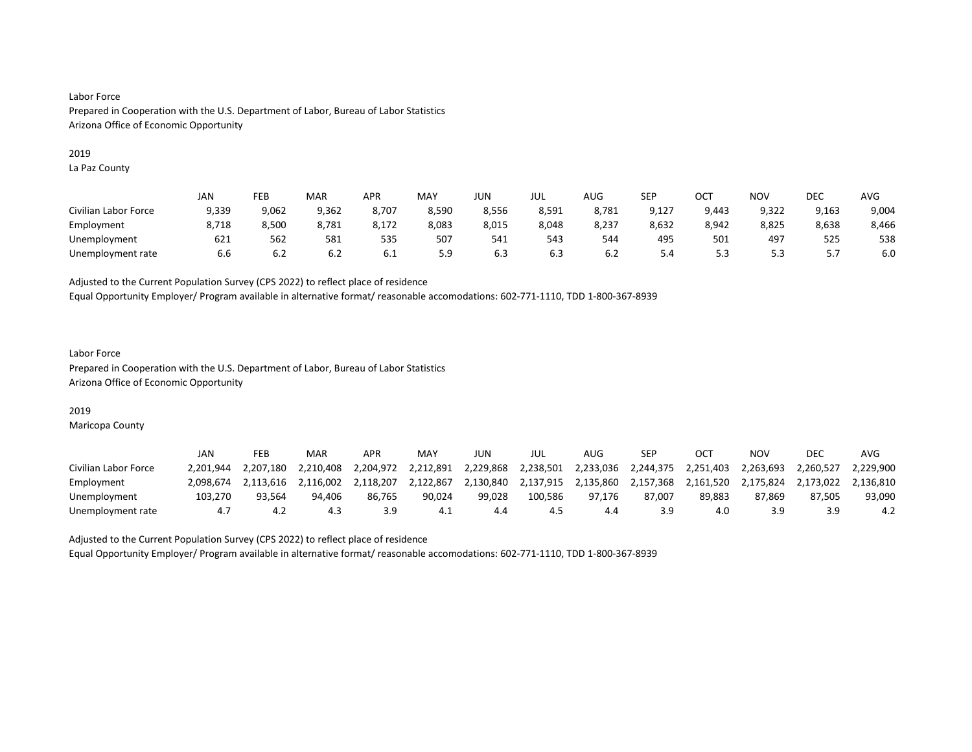#### 2019

La Paz County

|                      | <b>JAN</b> | FEB   | MAR   | <b>APR</b> | MAY   | JUN   | JUL   | AUG   | SEP   | ост   | NO <sub>V</sub> | <b>DEC</b> | AVG   |
|----------------------|------------|-------|-------|------------|-------|-------|-------|-------|-------|-------|-----------------|------------|-------|
| Civilian Labor Force | 9,339      | 9,062 | 9,362 | 8,707      | 8,590 | 8,556 | 8,591 | 8,781 | 9,127 | 9,443 | 9,322           | 9,163      | 9,004 |
| Employment           | 8,718      | 8,500 | 8,781 | 8,172      | 8,083 | 8,015 | 8,048 | 8,237 | 8,632 | 8,942 | 8,825           | 8,638      | 8,466 |
| Unemployment         | 621        | 562   | 581   | ---<br>535 | 507   | 541   | 543   | 544   | 495   | 501   | 497             | 525        | 538   |
| Unemployment rate    | 6.6        | 6.2   | 6.2   | 6.1        | 5.9   | 6.3   | 6.3   | 6.2   | 5.4   |       | ر.ر             | ،          | 6.0   |

Adjusted to the Current Population Survey (CPS 2022) to reflect place of residence

Equal Opportunity Employer/ Program available in alternative format/ reasonable accomodations: 602-771-1110, TDD 1-800-367-8939

#### Labor Force Prepared in Cooperation with the U.S. Department of Labor, Bureau of Labor Statistics Arizona Office of Economic Opportunity

### 2019

Maricopa County

|                      | JAN       | FEB       | MAR       | APR       | MAY       | JUN       | JUL       | AUG       | <b>SEP</b> | OC <sup>T</sup> | ΝΟν       | <b>DEC</b> | AVG       |
|----------------------|-----------|-----------|-----------|-----------|-----------|-----------|-----------|-----------|------------|-----------------|-----------|------------|-----------|
| Civilian Labor Force | 2.201.944 | 2.207.180 | 2.210.408 | 2.204.972 | 2,212,891 | 2.229.868 | 2,238,501 | 2,233,036 | 2,244,375  | 2,251,403       | 2.263.693 | 2.260.527  | 2.229.900 |
| Employment           | 2.098.674 | 2.113.616 | 2.116.002 | 2.118.207 | 2.122.867 | 2.130.840 | 2,137,915 | 2,135,860 | 2,157,368  | 2,161,520       | 2,175,824 | 2.173.022  | 2.136.810 |
| Unemployment         | 103.270   | 93.564    | 94.406    | 86.765    | 90.024    | 99.028    | 100.586   | 97.176    | 87.007     | 89,883          | 87.869    | 87.505     | 93,090    |
| Unemployment rate    | 4.7       | 4.z       | 4.3       |           | 4.1       | 4.4       | 4.5       | 4.4       | 3.9        | 4.0             | 3.9       |            | 4.2       |

Adjusted to the Current Population Survey (CPS 2022) to reflect place of residence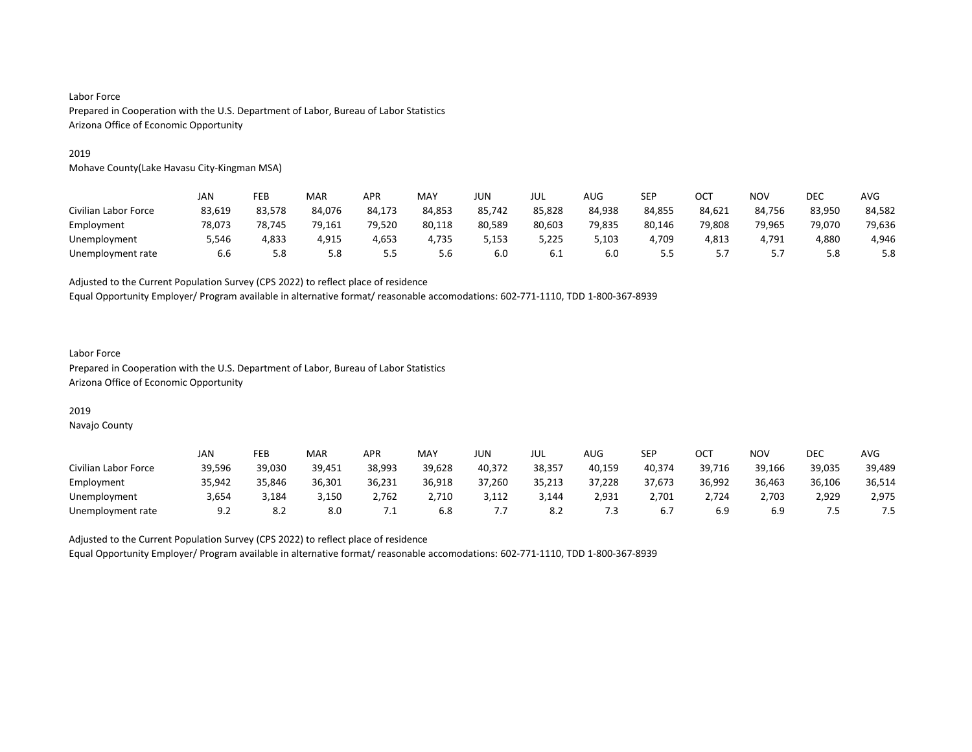#### 2019

Mohave County(Lake Havasu City-Kingman MSA)

|                      | JAN    | FEB    | MAR    | APR    | MAY    | JUN    | JUL    | AUG    | SEP    | OCT    | NOV    | DEC    | <b>AVG</b> |
|----------------------|--------|--------|--------|--------|--------|--------|--------|--------|--------|--------|--------|--------|------------|
| Civilian Labor Force | 83,619 | 83.578 | 84.076 | 84,173 | 84,853 | 85,742 | 85,828 | 84,938 | 84,855 | 84,621 | 84.756 | 83,950 | 84,582     |
| Employment           | 78.073 | 78.745 | 79.161 | 79.520 | 80,118 | 80.589 | 80,603 | 79,835 | 80,146 | 79.808 | 79.965 | 79.070 | 79,636     |
| Unemployment         | 5,546  | 4,833  | 4,915  | 4,653  | 4,735  | 5,153  | 5,225  | 5,103  | 4,709  | 4,813  | 4,791  | 4,880  | 4,946      |
| Unemployment rate    | 6.6    | 5.8    | 5.8    | 5.5    | 5.6    | 6.0    | 6.1    | 6.0    | 5.5    |        | J.,    | 5.8    | 5.8        |

Adjusted to the Current Population Survey (CPS 2022) to reflect place of residence

Equal Opportunity Employer/ Program available in alternative format/ reasonable accomodations: 602-771-1110, TDD 1-800-367-8939

### Labor Force Prepared in Cooperation with the U.S. Department of Labor, Bureau of Labor Statistics Arizona Office of Economic Opportunity

## 2019

Navajo County

|                      | JAN    | FEB    | <b>MAR</b> | APR       | MAY    | JUN    | JUL    | <b>AUG</b> | <b>SEP</b> | ост    | NO٧    | DEC    | AVG    |
|----------------------|--------|--------|------------|-----------|--------|--------|--------|------------|------------|--------|--------|--------|--------|
| Civilian Labor Force | 39,596 | 39.030 | 39,451     | 38.993    | 39,628 | 40,372 | 38.357 | 40,159     | 40.374     | 39,716 | 39,166 | 39,035 | 39,489 |
| Employment           | 35,942 | 35.846 | 36,301     | 36,231    | 36,918 | 37,260 | 35,213 | 37,228     | 37.673     | 36,992 | 36,463 | 36,106 | 36,514 |
| Unemployment         | 3.654  | 184,د  | 3.150      | 2.762     | 2,710  | 3.112  | 3,144  | 2.931      | 2.701      | 2.724  | 2,703  | 2,929  | 2.975  |
| Unemployment rate    | 9.2    | o.z    | 8.0        | $\cdot$ . | 6.8    |        | 8.2    | ړ.         | 6.7        | 6.9    | 6.9    |        | . ت    |

Adjusted to the Current Population Survey (CPS 2022) to reflect place of residence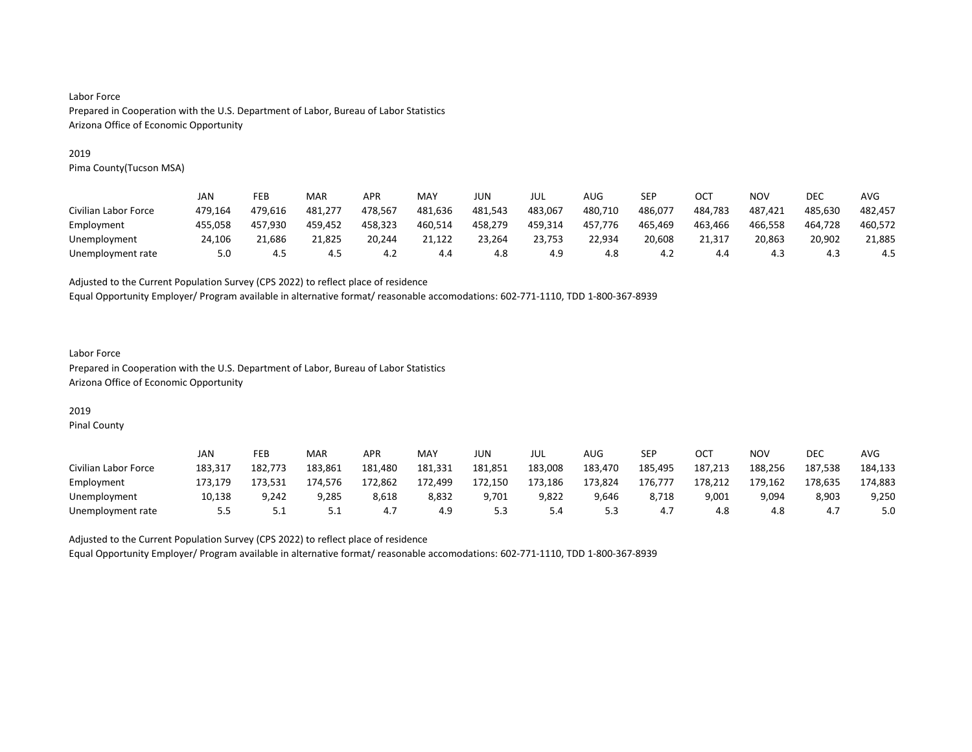#### 2019

Pima County(Tucson MSA)

|                      | <b>JAN</b> | FEB     | MAR     | <b>APR</b> | MAY     | JUN     | jul     | AUG     | SEP     | OCT     | NOV     | DEC     | AVG     |
|----------------------|------------|---------|---------|------------|---------|---------|---------|---------|---------|---------|---------|---------|---------|
| Civilian Labor Force | 479.164    | 479.616 | 481.277 | 478.567    | 481,636 | 481.543 | 483,067 | 480,710 | 486,077 | 484.783 | 487,421 | 485.630 | 482,457 |
| Employment           | 455.058    | 457.930 | 459.452 | 458.323    | 460,514 | 458,279 | 459,314 | 457.776 | 465,469 | 463,466 | 466,558 | 464.728 | 460,572 |
| Unemployment         | 24.106     | 21.686  | 21.825  | 20.244     | 21.122  | 23.264  | 23.753  | 22.934  | 20.608  | 21.317  | 20.863  | 20.902  | 21,885  |
| Unemployment rate    | 5.0        | 4.5     | 4.5     | 4.2        | 4.4     | 4.8     | 4.9     | 4.8     | 4.2     | 4.4     | 4.3     | 4.3     | 4.5     |

Adjusted to the Current Population Survey (CPS 2022) to reflect place of residence

Equal Opportunity Employer/ Program available in alternative format/ reasonable accomodations: 602-771-1110, TDD 1-800-367-8939

### Labor Force Prepared in Cooperation with the U.S. Department of Labor, Bureau of Labor Statistics Arizona Office of Economic Opportunity

# 2019

Pinal County

|                      | JAN     | FEB     | MAR     | APR     | <b>MAY</b> | JUN     | JUL     | AUG     | <b>SEP</b> | <b>OCT</b> | NO٧     | <b>DEC</b> | AVG     |
|----------------------|---------|---------|---------|---------|------------|---------|---------|---------|------------|------------|---------|------------|---------|
| Civilian Labor Force | 183,317 | 182.773 | 183.861 | 181.480 | 181,331    | 181,851 | 183,008 | 183,470 | 185,495    | 187.213    | 188,256 | 187.538    | 184,133 |
| Employment           | 173.179 | 173,531 | 174.576 | 172,862 | 172,499    | 172,150 | 173,186 | 173,824 | 176.777    | 178,212    | 179,162 | 178.635    | 174,883 |
| Unemployment         | 10.138  | 9.242   | 9.285   | 8,618   | 8,832      | 9.701   | 9,822   | 9,646   | 8.718      | 9,001      | 9.094   | 8,903      | 9,250   |
| Unemployment rate    | 5.5     | ـ . ـ   | ـ . ـ   | 4.7     | 4.9        | ر.ر     | 5.4     | ر.ر     | 4.7        | 4.8        | 4.8     | 4.,        | 5.0     |

Adjusted to the Current Population Survey (CPS 2022) to reflect place of residence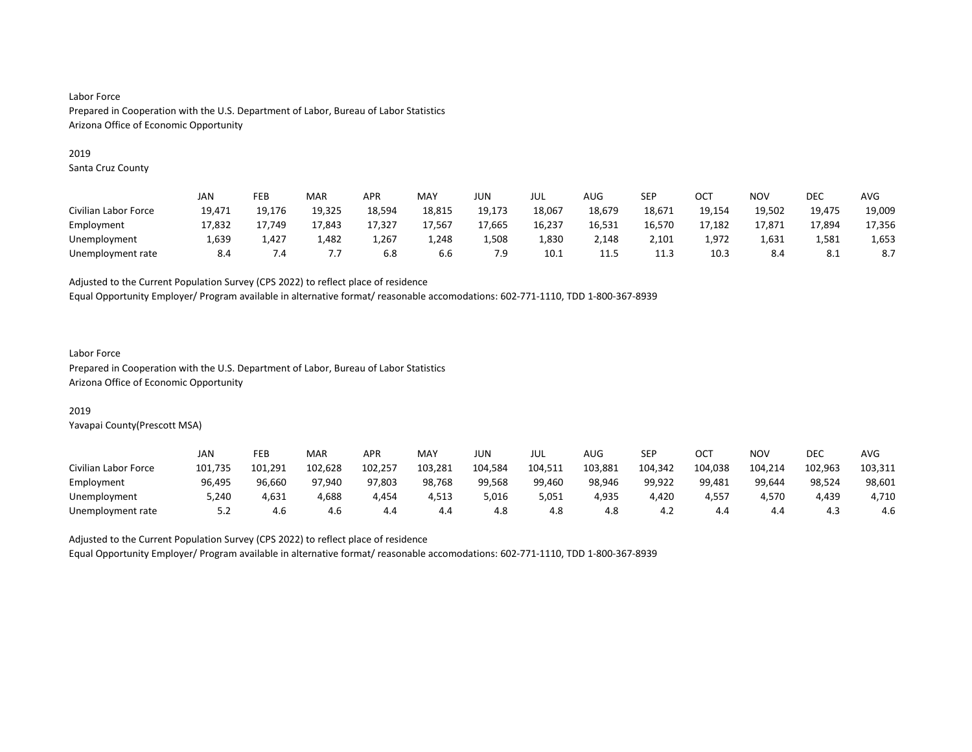#### 2019

Santa Cruz County

|                      | JAN    | FEB    | MAR    | APR    | MAY    | JUN    | JUL    | AUG    | SEP    | OC1    | NOV    | DEC    | AVG    |
|----------------------|--------|--------|--------|--------|--------|--------|--------|--------|--------|--------|--------|--------|--------|
| Civilian Labor Force | 19,471 | 19.176 | 19,325 | 18,594 | 18,815 | 19,173 | 18,067 | 18,679 | 18,671 | 19,154 | 19.502 | 19,475 | 19,009 |
| Employment           | 17.832 | 17.749 | 17.843 | 17.327 | 17.567 | 17,665 | 16,237 | 16.531 | 16,570 | 17.182 | 17.871 | 17.894 | 17,356 |
| Unemployment         | 1,639  | 1,427  | 1,482  | 1,267  | 1,248  | 1,508  | 1,830  | 2,148  | 2,101  | 1,972  | 1,631  | 1,581  | 1,653  |
| Unemployment rate    | 8.4    | 7.4    | .      | 6.8    | 6.6    | 7.9    | 10.1   | 11.5   | 11.3   | 10.3   | 8.4    | 8.1    | 8.7    |

Adjusted to the Current Population Survey (CPS 2022) to reflect place of residence

Equal Opportunity Employer/ Program available in alternative format/ reasonable accomodations: 602-771-1110, TDD 1-800-367-8939

#### Labor Force

Prepared in Cooperation with the U.S. Department of Labor, Bureau of Labor Statistics Arizona Office of Economic Opportunity

### 2019

Yavapai County(Prescott MSA)

|                      | JAN     | FEB     | MAR     | <b>APR</b> | MAY     | JUN     | JUL     | AUG     | SEP     | ост     | NO٧     | <b>DEC</b> | AVG     |
|----------------------|---------|---------|---------|------------|---------|---------|---------|---------|---------|---------|---------|------------|---------|
| Civilian Labor Force | 101,735 | 101.291 | 102,628 | 102,257    | 103,281 | 104,584 | 104,511 | 103,881 | 104,342 | 104,038 | 104,214 | 102,963    | 103,311 |
| Employment           | 96.495  | 96,660  | 97.940  | 97,803     | 98,768  | 99.568  | 99.460  | 98.946  | 99.922  | 99,481  | 99.644  | 98,524     | 98,601  |
| Unemployment         | 5,240   | 4,631   | 4,688   | 4.454      | 4,513   | 5,016   | 5,051   | 4.935   | 4,420   | 4,557   | 4.570   | 4.439      | 4,710   |
| Unemployment rate    | 5.2     | 4.6     | 4.6     | 4.4        | 4.4     | 4.8     | 4.8     | 4.8     | 4.2     | 4.4     | 4.4     | 4.3        | 4.6     |

Adjusted to the Current Population Survey (CPS 2022) to reflect place of residence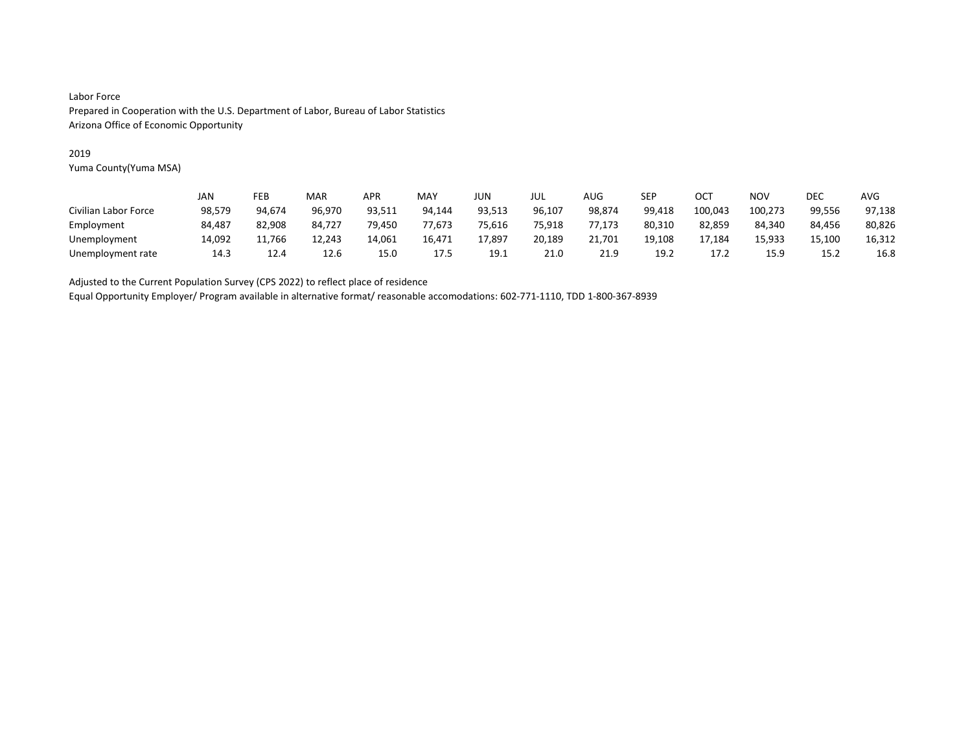### 2019

Yuma County(Yuma MSA)

|                      | JAN    | FEB    | MAR    | APR    | MAY    | JUN    | JUL    | AUG    | SEP    | OC1     | NOV     | DEC    | AVG    |
|----------------------|--------|--------|--------|--------|--------|--------|--------|--------|--------|---------|---------|--------|--------|
| Civilian Labor Force | 98,579 | 94.674 | 96.970 | 93,511 | 94.144 | 93,513 | 96,107 | 98,874 | 99,418 | 100,043 | 100,273 | 99.556 | 97,138 |
| Employment           | 84.487 | 82.908 | 84.727 | 79.450 | 77.673 | 75.616 | 75.918 | 77.173 | 80,310 | 82.859  | 84.340  | 84.456 | 80,826 |
| Unemployment         | 14,092 | .766   | 12.243 | 14,061 | 16,471 | 17,897 | 20,189 | 21,701 | 19,108 | 17,184  | 15,933  | 15,100 | 16,312 |
| Unemployment rate    | 14.3   | 12.4   | 12.6   | 15.0   | 17.5   | 19.1   | 21.0   | 21.9   | 19.2   | 17.2    | 15.9    | 15.2   | 16.8   |

Adjusted to the Current Population Survey (CPS 2022) to reflect place of residence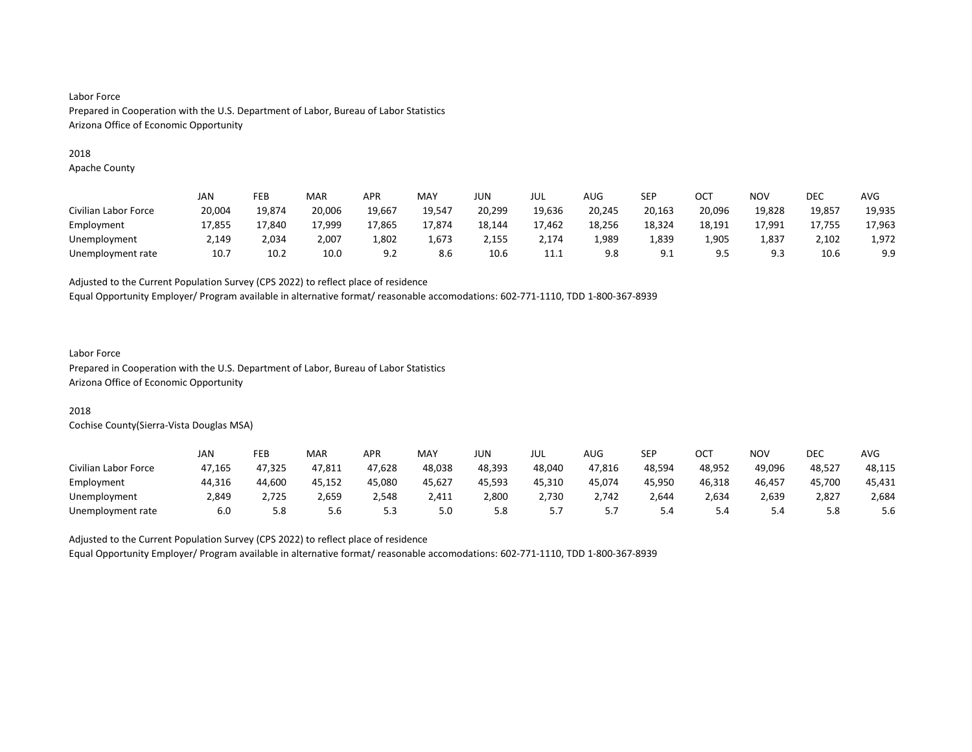#### 2018

Apache County

|                      | JAN    | FEB    | MAR    | <b>APR</b> | MAY    | JUN    | JUL    | <b>AUG</b> | SEP    | OCT    | <b>NOV</b> | DEC    | <b>AVG</b> |
|----------------------|--------|--------|--------|------------|--------|--------|--------|------------|--------|--------|------------|--------|------------|
| Civilian Labor Force | 20,004 | 19.874 | 20,006 | 19,667     | 19.547 | 20,299 | 19,636 | 20,245     | 20,163 | 20,096 | 19,828     | 19,857 | 19,935     |
| Employment           | 17,855 | 17.840 | 17.999 | 17,865     | 17.874 | 18,144 | 17,462 | 18,256     | 18,324 | 18,191 | 17.991     | 17,755 | 17,963     |
| Unemployment         | 2,149  | 2,034  | 2,007  | L,802      | 1,673  | 2,155  | 2,174  | 1,989      | 1,839  | 1,905  | 1,837      | 2,102  | 1,972      |
| Unemployment rate    | 10.7   | 10.2   | 10.0   | 9.2        | 8.6    | 10.6   | 11.1   | 9.8        | 9.1    | 9.5    | 9.3        | 10.6   | 9.9        |

Adjusted to the Current Population Survey (CPS 2022) to reflect place of residence

Equal Opportunity Employer/ Program available in alternative format/ reasonable accomodations: 602-771-1110, TDD 1-800-367-8939

#### Labor Force

Prepared in Cooperation with the U.S. Department of Labor, Bureau of Labor Statistics Arizona Office of Economic Opportunity

## 2018

Cochise County(Sierra-Vista Douglas MSA)

|                      | JAN    | FEB    | <b>MAR</b> | APR    | <b>MAY</b> | JUN    | JUL    | AUG        | SEP    | OCT    | NO۱    | DEC    | AVG    |
|----------------------|--------|--------|------------|--------|------------|--------|--------|------------|--------|--------|--------|--------|--------|
| Civilian Labor Force | 47.165 | 47.325 | 47,811     | 47,628 | 48.038     | 48.393 | 48.040 | 47,816     | 48.594 | 48.952 | 49.096 | 48,527 | 48,115 |
| Employment           | 44,316 | 44,600 | 45.152     | 45,080 | 45,627     | 45.593 | 45,310 | 45,074     | 45.950 | 46,318 | 46,457 | 45,700 | 45,431 |
| Unemployment         | 2.849  | 2.725  | 2,659      | 2.548  | 2.411      | 2,800  | 2.730  | 2.742      | 2.644  | 2,634  | 2,639  | 2,827  | 2,684  |
| Unemployment rate    | 6.0    | 5.8    | 5.6        | 5.3    | 5.0        | 5.8    | .      | <u>. .</u> | 5.4    | 5.4    | 5.4    | 5.8    | 5.6    |

Adjusted to the Current Population Survey (CPS 2022) to reflect place of residence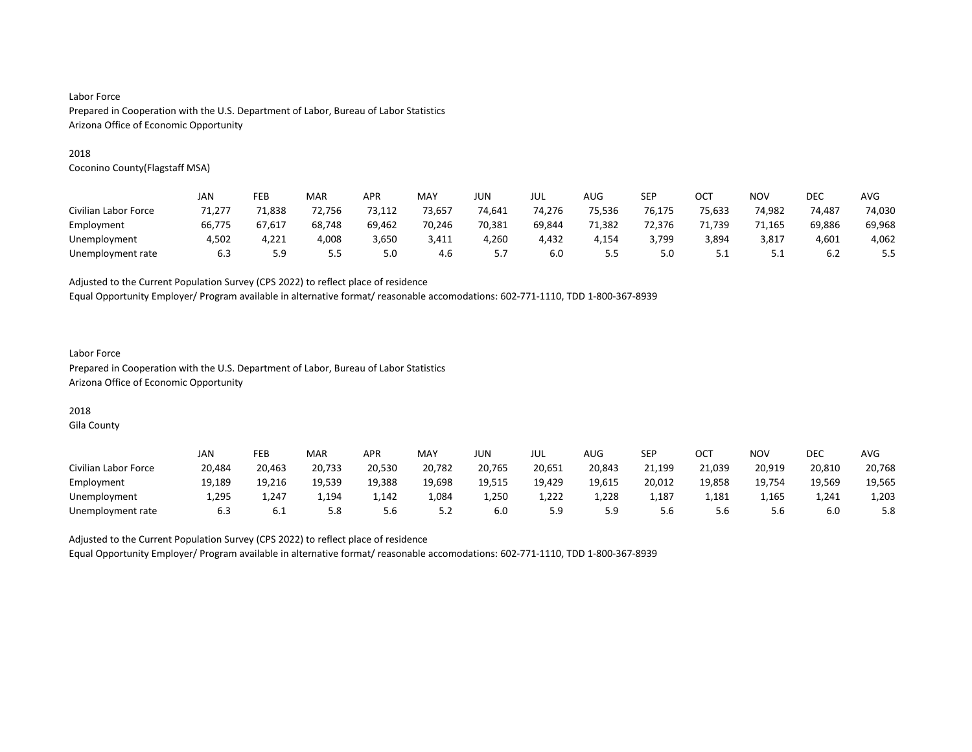#### 2018

Coconino County(Flagstaff MSA)

|                      | JAN    | FEB       | MAR    | <b>APR</b> | MAY    | JUN    | jul    | AUG    | <b>SEP</b> | OC1    | <b>NOV</b> | DEC    | AVG    |
|----------------------|--------|-----------|--------|------------|--------|--------|--------|--------|------------|--------|------------|--------|--------|
| Civilian Labor Force | 71.277 | 71,838    | 72,756 | 73,112     | 73,657 | 74,641 | 74.276 | 75,536 | 76.175     | 75,633 | 74,982     | 74.487 | 74,030 |
| Employment           | 66.775 | 67.617    | 68,748 | 69.462     | 70.246 | 70.381 | 69,844 | 71.382 | 72.376     | 71.739 | 71.165     | 69,886 | 69,968 |
| Unemployment         | 4,502  | 4,221     | 4,008  | 3,650      | 3,411  | 4,260  | 4,432  | 4,154  | 3,799      | 3,894  | 3,817      | 4,601  | 4,062  |
| Unemployment rate    | 6.3    | 59<br>ت.ر | 5.5    | 5.0        | 4.6    | .      | 6.0    | 5.5    | 5.0        | ـ . ـ  | ـ . ـ      | 6.2    | ۔ ۔ ۔  |

Adjusted to the Current Population Survey (CPS 2022) to reflect place of residence

Equal Opportunity Employer/ Program available in alternative format/ reasonable accomodations: 602-771-1110, TDD 1-800-367-8939

### Labor Force Prepared in Cooperation with the U.S. Department of Labor, Bureau of Labor Statistics Arizona Office of Economic Opportunity

# 2018

Gila County

|                      | JAN    | FEB    | <b>MAR</b> | APR    | MAY    | JUN    | JUL    | AUG    | SEP    | ОСТ    | <b>NOV</b> | DEC    | AVG    |
|----------------------|--------|--------|------------|--------|--------|--------|--------|--------|--------|--------|------------|--------|--------|
| Civilian Labor Force | 20,484 | 20,463 | 20,733     | 20,530 | 20,782 | 20,765 | 20,651 | 20,843 | 21,199 | 21,039 | 20,919     | 20,810 | 20,768 |
| Employment           | 19,189 | 19,216 | 19,539     | 19,388 | 19,698 | 19,515 | 19,429 | 19,615 | 20,012 | 19,858 | 19,754     | 19,569 | 19,565 |
| Unemployment         | 1.295  | 1,247  | 1,194      | 1.142  | 084ء   | 1,250  | 1.222  | 1.228  | 1,187  | 1.181  | 1,165      | 1.241  | 1,203  |
| Unemployment rate    | 6.3    | 6.1    | 5.8        | 5.6    | 5.2    | 6.0    | 5.9    | 5.9    | 5.6    | 5.6    | 5.6        | 6.0    | 5.8    |

Adjusted to the Current Population Survey (CPS 2022) to reflect place of residence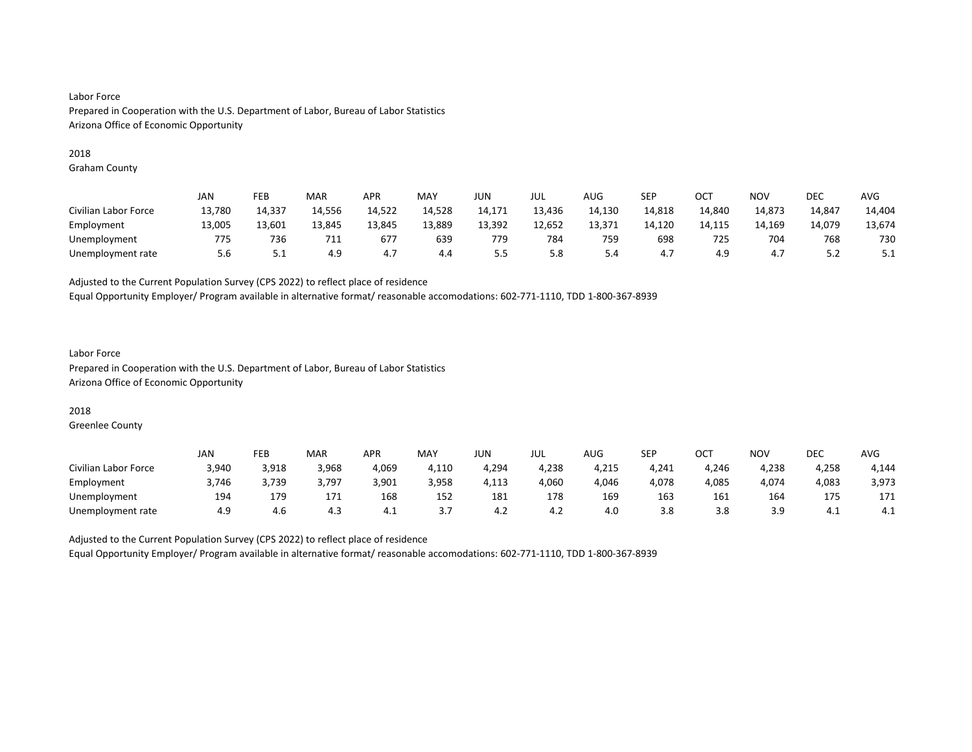#### 2018

Graham County

|                      | JAN    | FEB    | MAR    | <b>APR</b> | MAY    | <b>JUN</b> | JUL    | AUG    | SEP    | ост    | <b>NOV</b> | <b>DEC</b> | <b>AVG</b> |
|----------------------|--------|--------|--------|------------|--------|------------|--------|--------|--------|--------|------------|------------|------------|
| Civilian Labor Force | 13,780 | 14,337 | 14,556 | 14,522     | 14,528 | 14,171     | 13,436 | 14,130 | 14,818 | 14,840 | 14,873     | 14,847     | 14,404     |
| Employment           | 13,005 | 13,601 | 13.845 | 13,845     | 13,889 | 13,392     | 12,652 | 13,371 | 14,120 | 14,115 | 14,169     | 14,079     | 13,674     |
| Unemployment         | 775    | 736    | 711    | 677        | 639    | 779        | 784    | 759    | 698    | 725    | 704        | 768        | 730        |
| Unemployment rate    | 5.6    | ـ . ـ  | 4.9    | 4.,        | 4.4    | ر.ر        | 5.8    | 5.4    | 4.7    | 4.9    | 4.1        | ے . ۔      | ـ          |

Adjusted to the Current Population Survey (CPS 2022) to reflect place of residence

Equal Opportunity Employer/ Program available in alternative format/ reasonable accomodations: 602-771-1110, TDD 1-800-367-8939

### Labor Force Prepared in Cooperation with the U.S. Department of Labor, Bureau of Labor Statistics Arizona Office of Economic Opportunity

### 2018

Greenlee County

|                      | JAN   | FEB   | <b>MAR</b> | <b>APR</b> | MAY   | JUN   | JUL   | AUG   | <b>SEP</b> | OCT   | NO۱   | DEC   | AVG   |
|----------------------|-------|-------|------------|------------|-------|-------|-------|-------|------------|-------|-------|-------|-------|
| Civilian Labor Force | 3.940 | 3,918 | 3,968      | 4,069      | 4,110 | 4,294 | 4,238 | 4,215 | 4,241      | 4,246 | 4,238 | 4,258 | 4,144 |
| Employment           | 3,746 | 3,739 | 3,797      | 3,901      | 3,958 | 4,113 | 4,060 | 4,046 | 4,078      | 4,085 | 4,074 | 4,083 | 3,973 |
| Unemployment         | 194   | 179   | 171        | 168        | 152   | 181   | 178   | 169   | 163        | 161   | 164   | 1/5   | 171   |
| Unemployment rate    | 4.9   | 4.6   | 4.3        | 4.⊥        |       | 4.Z   | 4.2   | 4.0   | 3.8        | 3.8   | 3.9   | 4.1   | 4.1   |

Adjusted to the Current Population Survey (CPS 2022) to reflect place of residence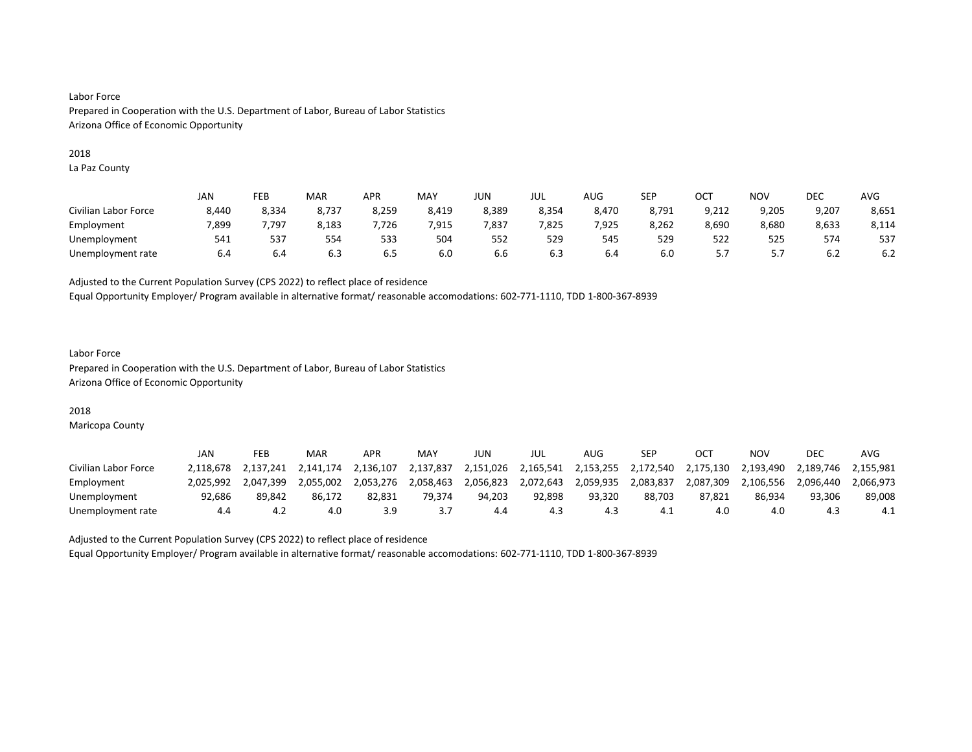#### 2018

La Paz County

|                      | JAN   | FEB   | MAR   | APR   | MAY   | JUN   | JUL   | <b>AUG</b> | <b>SEP</b> | OCT   | NO <sub>V</sub> | DEC   | <b>AVG</b> |
|----------------------|-------|-------|-------|-------|-------|-------|-------|------------|------------|-------|-----------------|-------|------------|
| Civilian Labor Force | 8.440 | 8,334 | 8.737 | 8,259 | 8,419 | 8,389 | 8,354 | 8.470      | 8.791      | 9.212 | 9.205           | 9.207 | 8,651      |
| Employment           | 7,899 | .797  | 8,183 | 7,726 | 7,915 | 7,837 | 7,825 | 7,925      | 8,262      | 8,690 | 8,680           | 8,633 | 8,114      |
| Unemployment         | 541   | 537   | 554   | 533   | 504   | 552   | 529   | 545        | 529        | 522   | 525             | 574   | 537        |
| Unemployment rate    | 6.4   | 6.4   | 6.3   | 6.5   | 6.0   | b.b   | 6.3   | 6.4        | 6.0        |       |                 | 6.2   | 6.2        |

Adjusted to the Current Population Survey (CPS 2022) to reflect place of residence

Equal Opportunity Employer/ Program available in alternative format/ reasonable accomodations: 602-771-1110, TDD 1-800-367-8939

#### Labor Force Prepared in Cooperation with the U.S. Department of Labor, Bureau of Labor Statistics Arizona Office of Economic Opportunity

## 2018

Maricopa County

|                      | JAN       | FEB       | MAR       | APR       | MAY       | JUN       | JUL       | AUG       | SEP       |           | ΝΟν       | <b>DEC</b> | AVG       |
|----------------------|-----------|-----------|-----------|-----------|-----------|-----------|-----------|-----------|-----------|-----------|-----------|------------|-----------|
| Civilian Labor Force | 2.118.678 | 2.137.241 | 2.141.174 | 2.136.107 | 2,137,837 | 2,151,026 | 2.165.541 | 2.153.255 | 2.172.540 | 2.175.130 | 2.193.490 | 2.189.746  | 2.155.981 |
| Employment           | 2.025.992 | 2.047.399 | 2.055.002 | 2.053.276 | 2,058,463 | 2,056,823 | 2,072,643 | 2,059,935 | 2,083,837 | 2,087,309 | 2,106,556 | 2.096.440  | 2.066.973 |
| Unemployment         | 92,686    | 89.842    | 86.172    | 82,831    | 79.374    | 94.203    | 92.898    | 93.320    | 88,703    | 87.821    | 86.934    | 93.306     | 89,008    |
| Unemployment rate    | 4.4       | 4.z       | 4.0       | 3.9       |           | 4.4       | 4.3       | 4.3       | -4.1      | 4.0       | 4.0       | 4.3        | 4.1       |

Adjusted to the Current Population Survey (CPS 2022) to reflect place of residence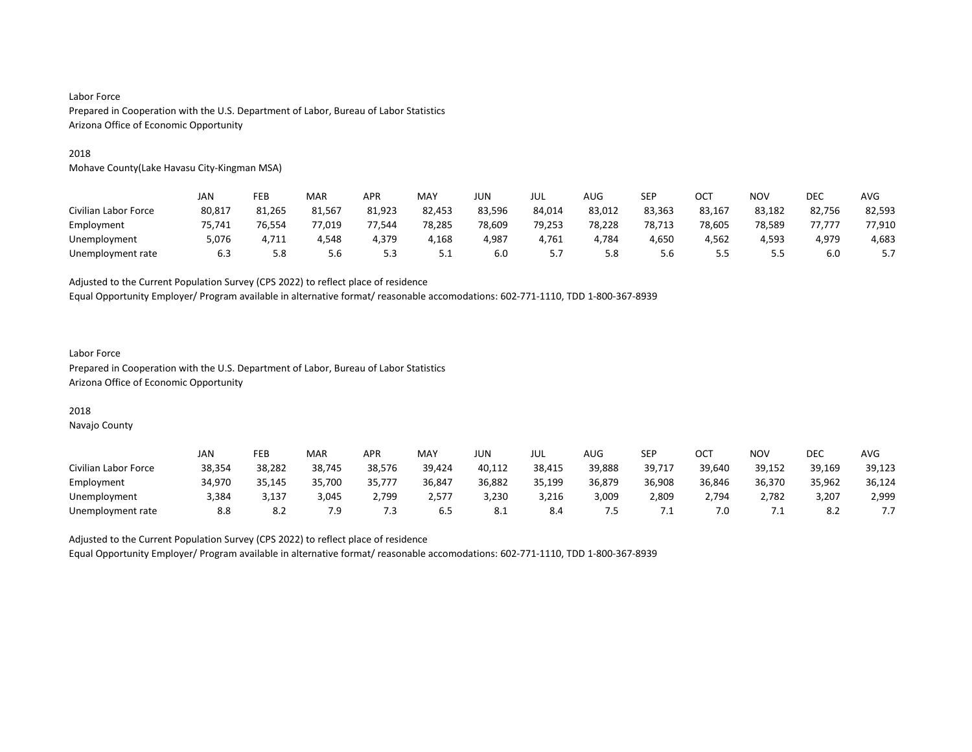#### 2018

Mohave County(Lake Havasu City-Kingman MSA)

|                      | JAN    | FEB    | MAR    | APR    | MAY    | JUN    | jul    | AUG    | SEP    | OCT    | <b>NOV</b> | <b>DEC</b> | <b>AVG</b> |
|----------------------|--------|--------|--------|--------|--------|--------|--------|--------|--------|--------|------------|------------|------------|
| Civilian Labor Force | 80,817 | 81,265 | 81,567 | 81,923 | 82,453 | 83,596 | 84,014 | 83,012 | 83,363 | 83,167 | 83,182     | 82,756     | 82,593     |
| Employment           | 75,741 | 76.554 | 77.019 | 77.544 | 78.285 | 78.609 | 79.253 | 78.228 | 78.713 | 78.605 | 78.589     | 77.777     | 77,910     |
| Unemployment         | 5,076  | 4,711  | 4,548  | 4,379  | 4,168  | 4,987  | 4,761  | 4,784  | 4,650  | 4,562  | 4,593      | 4,979      | 4,683      |
| Unemployment rate    | 6.3    | 5.8    | 5.6    | 5.3    | ـ      | 6.0    | ,      | 5.8    | 5.6    |        |            | 6.0        |            |

Adjusted to the Current Population Survey (CPS 2022) to reflect place of residence

Equal Opportunity Employer/ Program available in alternative format/ reasonable accomodations: 602-771-1110, TDD 1-800-367-8939

### Labor Force Prepared in Cooperation with the U.S. Department of Labor, Bureau of Labor Statistics Arizona Office of Economic Opportunity

#### 2018

Navajo County

|                      | JAN    | FEB    | <b>MAR</b> | <b>APR</b> | MAY    | JUN    | JUL    | AUG    | SEP    | OCT    | NOV    | DEC    | <b>AVG</b> |
|----------------------|--------|--------|------------|------------|--------|--------|--------|--------|--------|--------|--------|--------|------------|
| Civilian Labor Force | 38,354 | 38,282 | 38,745     | 38.576     | 39,424 | 40,112 | 38,415 | 39,888 | 39,717 | 39,640 | 39,152 | 39,169 | 39,123     |
| Employment           | 34.970 | 35.145 | 35,700     | 35,777     | 36,847 | 36,882 | 35,199 | 36,879 | 36,908 | 36,846 | 36,370 | 35,962 | 36,124     |
| Unemployment         | 3.384  | 3,137  | 3.045      | 2.799      | 2,577  | 3,230  | 3,216  | 3,009  | 2,809  | 2.794  | 2,782  | 3,207  | 2,999      |
| Unemployment rate    | 8.8    | o.Z    | 7.9        | د.'        | 6.5    | ŏ.⊥    | 8.4    | כ. י   | ــ.    | 7.0    |        | 8.2    | .          |

Adjusted to the Current Population Survey (CPS 2022) to reflect place of residence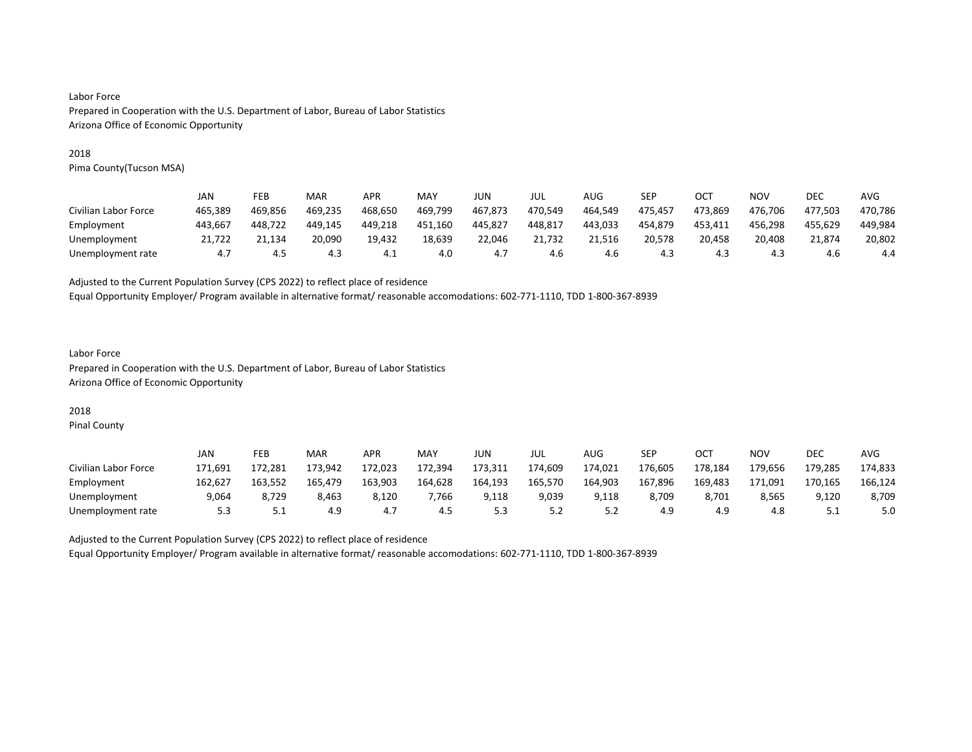#### 2018

Pima County(Tucson MSA)

|                      | JAN     | FEB     | MAR     | <b>APR</b> | MAY     | JUN     | jul     | AUG     | SEP     | OC1     | NOV     | DEC     | AVG     |
|----------------------|---------|---------|---------|------------|---------|---------|---------|---------|---------|---------|---------|---------|---------|
| Civilian Labor Force | 465.389 | 469.856 | 469.235 | 468.650    | 469,799 | 467.873 | 470.549 | 464.549 | 475.457 | 473.869 | 476.706 | 477.503 | 470.786 |
| Employment           | 443.667 | 448.722 | 449.145 | 449,218    | 451.160 | 445.827 | 448.817 | 443.033 | 454,879 | 453.411 | 456.298 | 455.629 | 449,984 |
| Unemployment         | 21.722  | 21.134  | 20.090  | 19.432     | 18.639  | 22.046  | 21.732  | 21.516  | 20.578  | 20.458  | 20.408  | 21.874  | 20.802  |
| Unemployment rate    | 4.7     | 4.5     | 4.3     | 4.1        | 4.0     | 4.7     | 4.6     | 4.6     | 4.3     | 4.3     | 4.3     | 4.6     | 4.4     |

Adjusted to the Current Population Survey (CPS 2022) to reflect place of residence

Equal Opportunity Employer/ Program available in alternative format/ reasonable accomodations: 602-771-1110, TDD 1-800-367-8939

### Labor Force Prepared in Cooperation with the U.S. Department of Labor, Bureau of Labor Statistics Arizona Office of Economic Opportunity

# 2018

Pinal County

|                      | JAN     | FEB     | MAR     | APR     | <b>MAY</b> | JUN     | JUL     | AUG     | <b>SEP</b> | <b>OCT</b> | NO٧     | <b>DEC</b> | AVG     |
|----------------------|---------|---------|---------|---------|------------|---------|---------|---------|------------|------------|---------|------------|---------|
| Civilian Labor Force | 171.691 | 172.281 | 173.942 | 172.023 | 172.394    | 173.311 | 174.609 | 174.021 | 176.605    | 178.184    | 179.656 | 179.285    | 174.833 |
| Employment           | 162,627 | 163.552 | 165,479 | 163,903 | 164,628    | 164,193 | 165,570 | 164,903 | 167,896    | 169,483    | 171.091 | 170,165    | 166,124 |
| Unemployment         | 9.064   | 8.729   | 8.463   | 8.120   | .766       | 9.118   | 9,039   | 9.118   | 8.709      | 8.701      | 8,565   | 9.120      | 8,709   |
| Unemployment rate    | 5.3     | ـ . ـ   | 4.9     | 4.,     | 4.5        | ر.ر     | 5.2     | ے . ۔   | 4.9        | 4.9        | 4.8     | ــــ       | 5.0     |

Adjusted to the Current Population Survey (CPS 2022) to reflect place of residence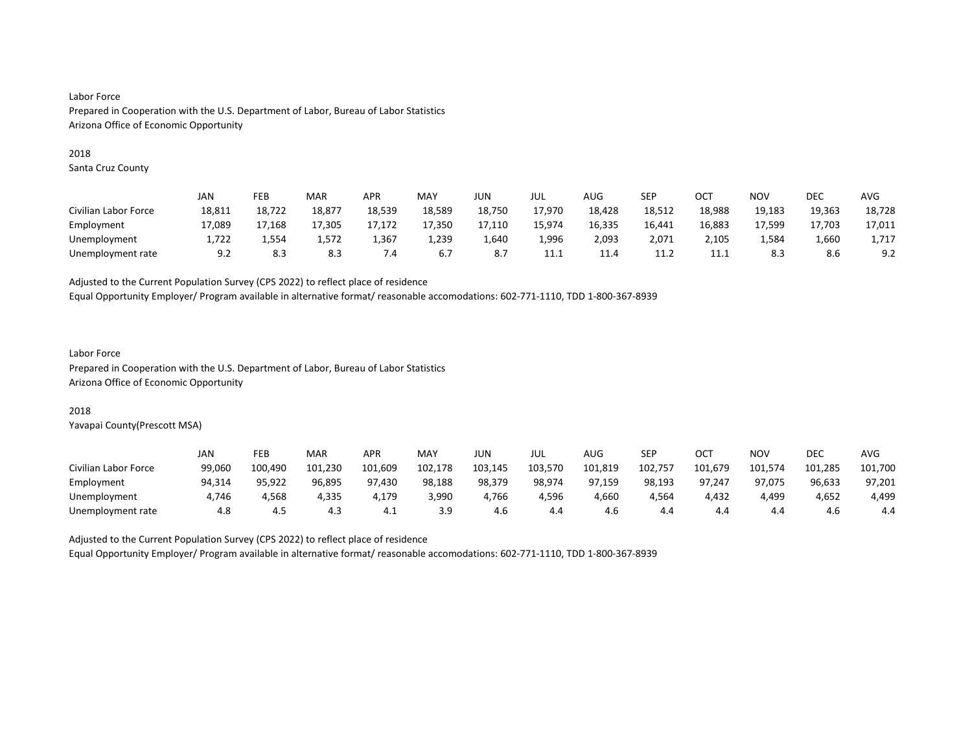#### 2018

Santa Cruz County

|                      | JAN    | FEB    | MAR    | <b>APR</b> | MAY    | JUN    | jul    | AUG    | SEP    | OCT    | <b>NOV</b> | DEC    | <b>AVG</b> |
|----------------------|--------|--------|--------|------------|--------|--------|--------|--------|--------|--------|------------|--------|------------|
| Civilian Labor Force | 18,811 | 18,722 | 18.877 | 18,539     | 18,589 | 18,750 | 17.970 | 18,428 | 18,512 | 18,988 | 19,183     | 19,363 | 18,728     |
| Employment           | 17,089 | 17.168 | 17.305 | 17.172     | 17.350 | 17,110 | 15,974 | 16,335 | 16,441 | 16,883 | 17.599     | 17.703 | 17,011     |
| Unemployment         | 1,722  | 554ء ت | 1,572  | 1,367      | 1,239  | 1,640  | 1,996  | 2,093  | 2,071  | 2,105  | 1,584      | 1,660  | 1,717      |
| Unemployment rate    | 9.2    | 8.3    | 8.3    | 7.4        | 6.7    | 8.7    | 11.1   | 11.4   | 11.2   | 11.1   | 8.3        | 8.6    | 9.2        |

Adjusted to the Current Population Survey (CPS 2022) to reflect place of residence

Equal Opportunity Employer/ Program available in alternative format/ reasonable accomodations: 602-771-1110, TDD 1-800-367-8939

#### Labor Force

Prepared in Cooperation with the U.S. Department of Labor, Bureau of Labor Statistics Arizona Office of Economic Opportunity

### 2018

Yavapai County(Prescott MSA)

|                      | JAN    | FEB     | MAR     | <b>APR</b> | MAY     | JUN     | JUL     | AUG     | SEP     | ост     | NO٧     | <b>DEC</b> | AVG     |
|----------------------|--------|---------|---------|------------|---------|---------|---------|---------|---------|---------|---------|------------|---------|
| Civilian Labor Force | 99,060 | 100.490 | 101,230 | 101,609    | 102,178 | 103,145 | 103,570 | 101,819 | 102,757 | 101,679 | 101,574 | 101,285    | 101,700 |
| Employment           | 94.314 | 95.922  | 96.895  | 97.430     | 98,188  | 98,379  | 98.974  | 97.159  | 98,193  | 97.247  | 97.075  | 96,633     | 97,201  |
| Unemployment         | 1.746  | 4.568   | 4.335   | 4.179      | 3.990   | 1.766   | 4,596   | 4.660   | 4.564   | 4.432   | 4,499   | 4,652      | 4,499   |
| Unemployment rate    | 4.8    | 4.5     | 4.3     | 4.1        | 3.9     | 4.6     | 4.4     | 4.6     | 4.4     | 4.4     | 4.4     | 4.6        | 4.4     |

Adjusted to the Current Population Survey (CPS 2022) to reflect place of residence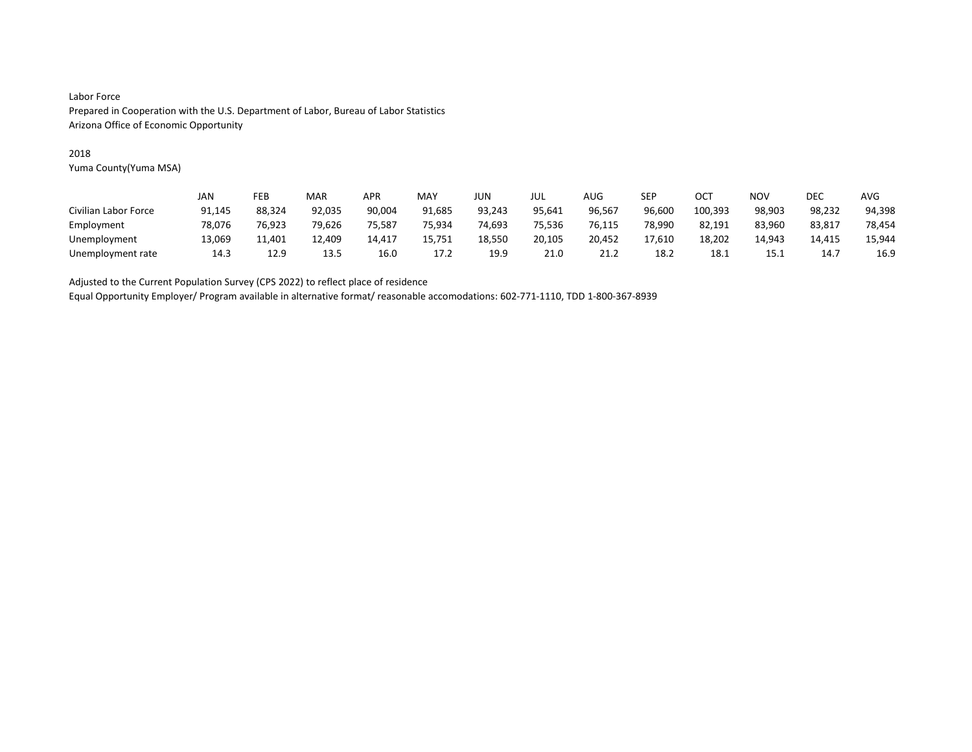### 2018

Yuma County(Yuma MSA)

|                      | JAN    | FEB    | MAR    | APR    | MAY    | JUN    | JUL    | AUG    | SEP    | OCT     | <b>NOV</b> | DEC    | <b>AVG</b> |
|----------------------|--------|--------|--------|--------|--------|--------|--------|--------|--------|---------|------------|--------|------------|
| Civilian Labor Force | 91,145 | 88.324 | 92,035 | 90,004 | 91,685 | 93,243 | 95.641 | 96,567 | 96,600 | 100,393 | 98,903     | 98,232 | 94,398     |
| Employment           | 78.076 | 76.923 | 79.626 | 75,587 | 75.934 | 74,693 | 75,536 | 76,115 | 78.990 | 82,191  | 83,960     | 83,817 | 78,454     |
| Unemployment         | 13,069 | 11,401 | 12,409 | 14,417 | 15,751 | 18,550 | 20,105 | 20,452 | 17,610 | 18,202  | 14.943     | 14,415 | 15,944     |
| Unemployment rate    | 14.3   | 12.9   | 13.5   | 16.0   | 17.2   | 19.9   | 21.0   | 21.2   | 18.2   | 18.1    | 15.1       | 14.7   | 16.9       |

Adjusted to the Current Population Survey (CPS 2022) to reflect place of residence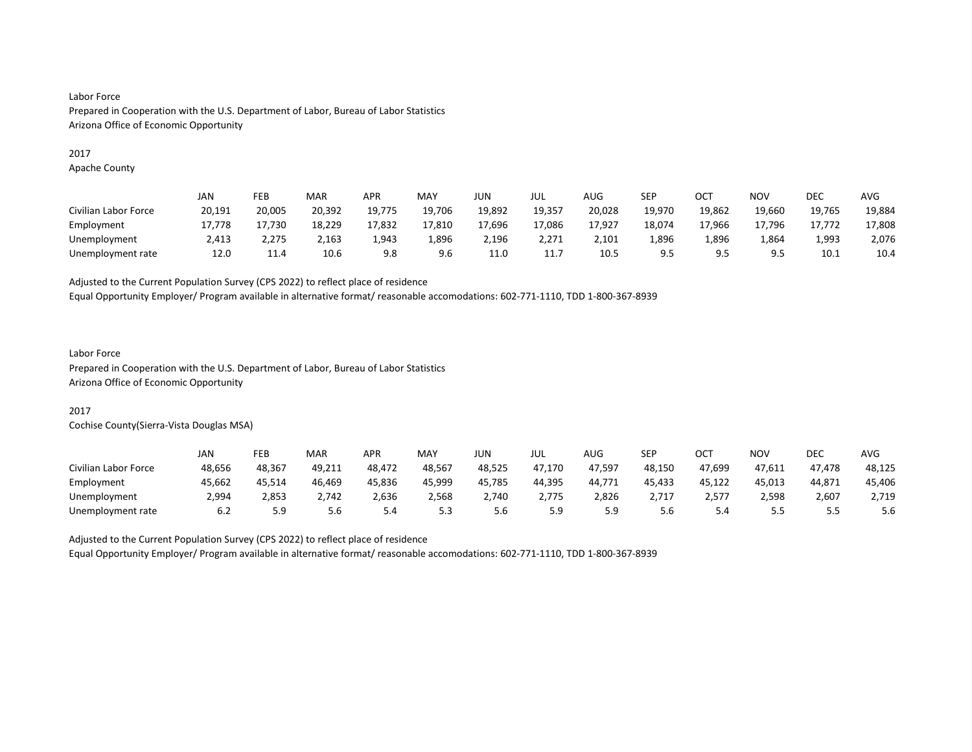#### 2017

Apache County

|                      | JAN    | FEB    | MAR    | <b>APR</b> | MAY    | JUN    | JUL    | AUG    | SEP    | ост    | <b>NOV</b> | DEC    | AVG    |
|----------------------|--------|--------|--------|------------|--------|--------|--------|--------|--------|--------|------------|--------|--------|
| Civilian Labor Force | 20,191 | 20,005 | 20,392 | 19,775     | 19,706 | 19,892 | 19,357 | 20,028 | 19,970 | 19,862 | 19,660     | 19,765 | 19,884 |
| Employment           | 17.778 | 17,730 | 18,229 | 17,832     | 17,810 | 17,696 | 17,086 | 17,927 | 18,074 | 17,966 | 17,796     | 17.772 | 17,808 |
| Unemployment         | 2,413  | 2,275  | 2,163  | 1,943      | 1,896  | 2,196  | 2,271  | 2,101  | 1,896  | 1.896  | 1,864      | 1,993  | 2,076  |
| Unemployment rate    | 12.0   | 11.4   | 10.6   | 9.8        | 9.6    | 11.0   | 11.7   | 10.5   | 9.5    | 9.5    | 9.5        | 10.1   | 10.4   |

Adjusted to the Current Population Survey (CPS 2022) to reflect place of residence

Equal Opportunity Employer/ Program available in alternative format/ reasonable accomodations: 602-771-1110, TDD 1-800-367-8939

## Labor Force

Prepared in Cooperation with the U.S. Department of Labor, Bureau of Labor Statistics Arizona Office of Economic Opportunity

## 2017

Cochise County(Sierra-Vista Douglas MSA)

|                      | JAN    | FEB    | MAR    | APR    | MAY    | JUN    | JUL    | AUG    | <b>SEP</b> | ост    | NOV    | DEC     | <b>AVG</b> |
|----------------------|--------|--------|--------|--------|--------|--------|--------|--------|------------|--------|--------|---------|------------|
| Civilian Labor Force | 48.656 | 48.367 | 49.211 | 48.472 | 48.567 | 48.525 | 47.170 | 47.597 | 48.150     | 47.699 | 47.611 | 47.478  | 48,125     |
| Employment           | 45,662 | 45,514 | 46,469 | 45,836 | 45.999 | 45,785 | 44,395 | 44,771 | 45,433     | 45,122 | 45,013 | 44,871  | 45,406     |
| Unemployment         | 2.994  | 2,853  | 2.742  | 2.636  | 2.568  | 2.740  | 2.775  | 2,826  |            | 2,577  | 2,598  | 2,607   | 2,719      |
| Unemployment rate    | 6.2    | 5.9    | 5.6    | 5.4    | 5.3    | 5.6    | 5.9    | 5.9    | 5.6        | 4.د    | ں ، ب  | <b></b> | 5.6        |

Adjusted to the Current Population Survey (CPS 2022) to reflect place of residence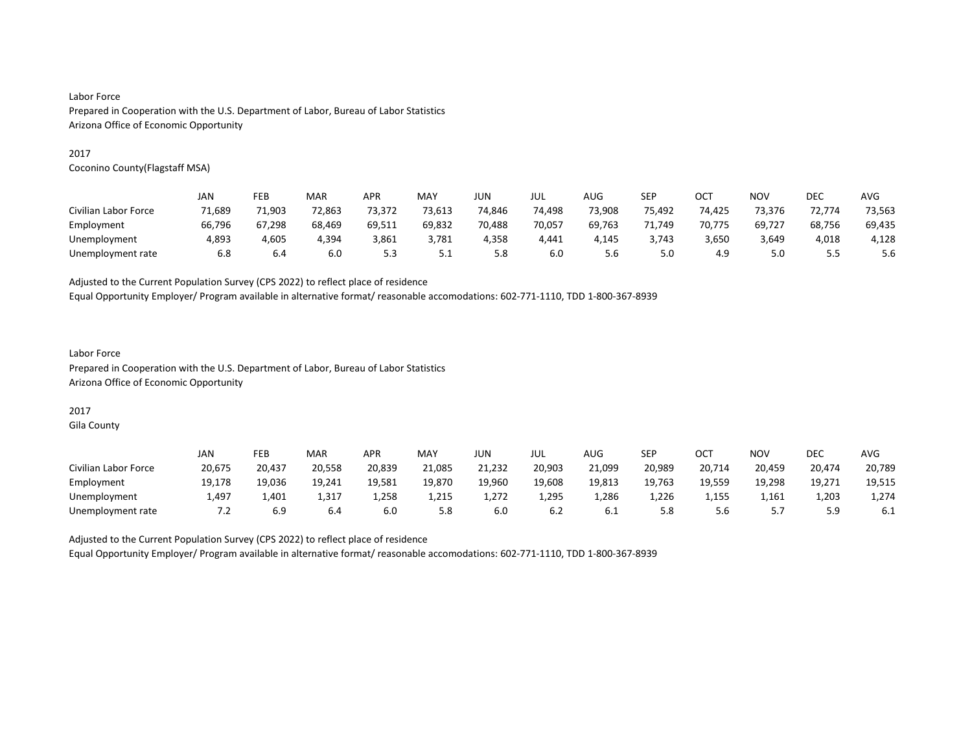#### 2017

Coconino County(Flagstaff MSA)

|                      | JAN    | FEB    | MAR    | <b>APR</b> | MAY    | JUN    | jul    | AUG    | <b>SEP</b> | OC1    | <b>NOV</b> | DEC    | AVG    |
|----------------------|--------|--------|--------|------------|--------|--------|--------|--------|------------|--------|------------|--------|--------|
| Civilian Labor Force | 71,689 | 71,903 | 72,863 | 73,372     | 73,613 | 74,846 | 74,498 | 73,908 | 75,492     | 74,425 | 73.376     | 72.774 | 73,563 |
| Employment           | 66.796 | 67.298 | 68.469 | 69.511     | 69,832 | 70.488 | 70,057 | 69,763 | 71.749     | 70.775 | 69,727     | 68,756 | 69,435 |
| Unemployment         | 4,893  | 4.605  | 4,394  | 3,861      | 3,781  | 4,358  | 4,441  | 4.145  | 3,743      | 3,650  | 3,649      | 4,018  | 4,128  |
| Unemployment rate    | 6.8    | 6.4    | 6.0    | ر.ر        | ے . ۔  | 5.8    | 6.0    | 5.6    | 5.0        | 4.9    | 5.0        | 55<br> | 5.6    |

Adjusted to the Current Population Survey (CPS 2022) to reflect place of residence

Equal Opportunity Employer/ Program available in alternative format/ reasonable accomodations: 602-771-1110, TDD 1-800-367-8939

### Labor Force Prepared in Cooperation with the U.S. Department of Labor, Bureau of Labor Statistics Arizona Office of Economic Opportunity

# 2017

Gila County

|                      | JAN            | FEB    | <b>MAR</b> | APR    | MAY    | JUN    | JUL    | AUG    | SEP    | ОСТ    | <b>NOV</b>      | DEC       | AVG    |
|----------------------|----------------|--------|------------|--------|--------|--------|--------|--------|--------|--------|-----------------|-----------|--------|
| Civilian Labor Force | 20,675         | 20.437 | 20,558     | 20,839 | 21,085 | 21,232 | 20,903 | 21,099 | 20,989 | 20,714 | 20,459          | 20,474    | 20,789 |
| Employment           | 19,178         | 19,036 | 19,241     | 19,581 | 19,870 | 19,960 | 19,608 | 19,813 | 19,763 | 19,559 | 19,298          | 19,271    | 19,515 |
| Unemployment         | 1.497          | 1,401  | 1,317      | 1,258  | 1,215  | 1.272  | 1,295  | 1.286  | 1.226  | 1.155  | 1.161           | 1,203     | 1,274  |
| Unemployment rate    | $^{\prime}$ .2 | 6.9    | 6.4        | 6.0    | 5.8    | 6.0    | 6.2    | b.l    | 5.8    | 5.6    | 57<br><u>.,</u> | 59<br>ت.ر | 6.1    |

Adjusted to the Current Population Survey (CPS 2022) to reflect place of residence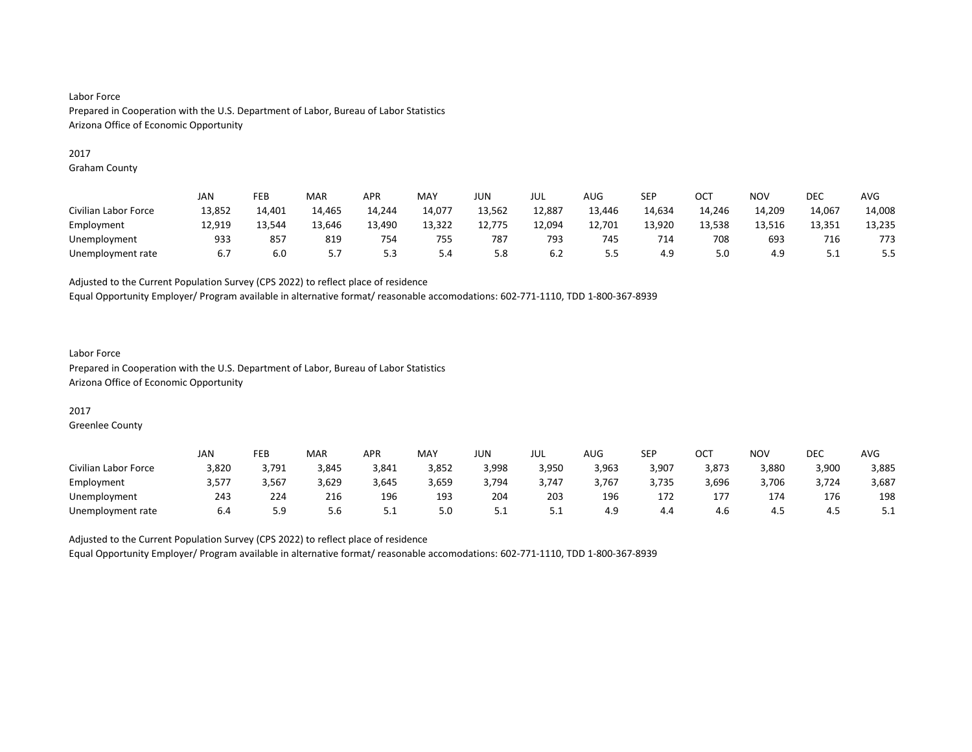#### 2017

Graham County

|                      | JAN    | FEB    | MAR    | <b>APR</b> | MAY    | <b>JUN</b> | JUL    | AUG    | SEP    | ост    | NO <sub>V</sub> | <b>DEC</b> | <b>AVG</b> |
|----------------------|--------|--------|--------|------------|--------|------------|--------|--------|--------|--------|-----------------|------------|------------|
| Civilian Labor Force | 13,852 | 14,401 | 14,465 | 14,244     | 14,077 | 13,562     | 12,887 | 13,446 | 14,634 | 14,246 | 14,209          | 14,067     | 14,008     |
| Employment           | 12,919 | 13.544 | 13,646 | 13,490     | 13,322 | 12,775     | 12,094 | 12,701 | 13,920 | 13,538 | 13,516          | 13,351     | 13,235     |
| Unemployment         | 933    | 857    | 819    | 754        | 755    | 787        | 793    | 745    | 714    | 708    | 693             | 716        | 773        |
| Unemployment rate    | 6.7    | 6.0    | 57<br> | 5.3        | 5.4    | 5.8        | 6.2    |        | 4.9    | 5.0    | 4.9             | ـ . ـ      | ر.ر        |

Adjusted to the Current Population Survey (CPS 2022) to reflect place of residence

Equal Opportunity Employer/ Program available in alternative format/ reasonable accomodations: 602-771-1110, TDD 1-800-367-8939

### Labor Force Prepared in Cooperation with the U.S. Department of Labor, Bureau of Labor Statistics Arizona Office of Economic Opportunity

### 2017

Greenlee County

|                      | JAN   | FEB   | <b>MAR</b> | <b>APR</b> | MAY   | JUN   | JUL   | AUG   | SEP   | ОСТ   | NOV   | DEC   | <b>AVG</b> |
|----------------------|-------|-------|------------|------------|-------|-------|-------|-------|-------|-------|-------|-------|------------|
| Civilian Labor Force | 3,820 | 3,791 | 3,845      | 3,841      | 3,852 | 3,998 | 3,950 | 3,963 | 3,907 | 3,873 | 3,880 | 3,900 | 3,885      |
| Employment           | 3,577 | 3,567 | 3,629      | 3,645      | 3,659 | 3,794 | 3.747 | 3,767 | 3,735 | 3,696 | 3,706 | 3,724 | 3,687      |
| Unemployment         | 243   | 224   | 216        | 196        | 193   | 204   | 203   | 196   | 172   | 177   | 174   | 176   | 198        |
| Unemployment rate    | 6.4   | ر.ر   | 5.6        | <u>.</u>   | 5.0   | ـ . ـ |       | 4.9   | 4.4   | 4.6   | 4.5   | 4.5   | 5.1        |

Adjusted to the Current Population Survey (CPS 2022) to reflect place of residence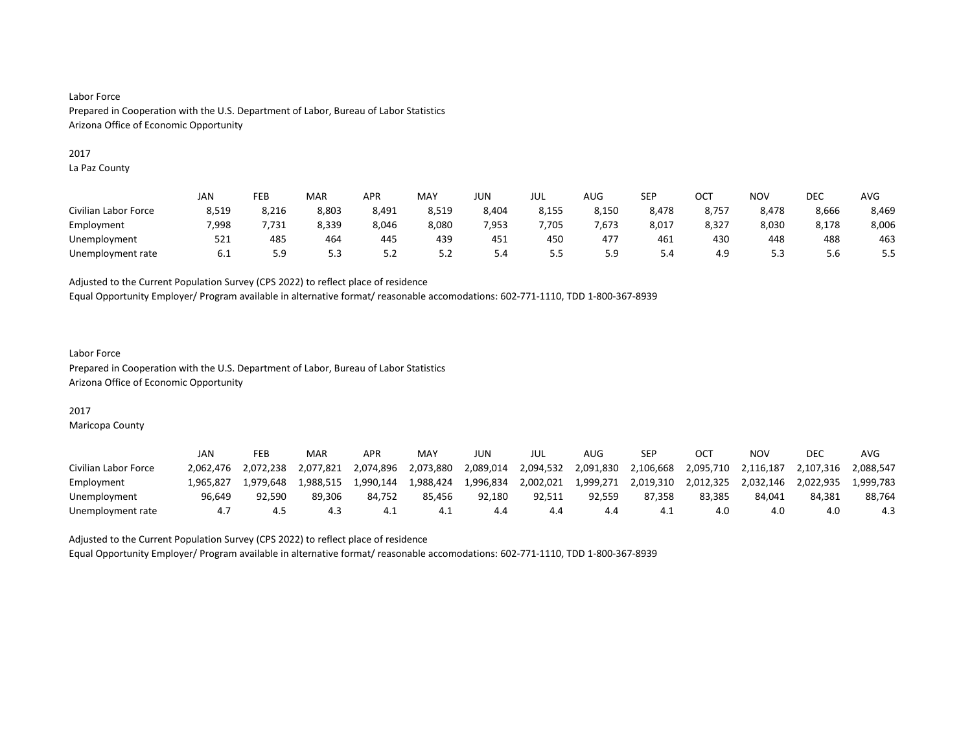#### 2017

La Paz County

|                      | <b>JAN</b> | FEB       | MAR   | <b>APR</b> | MAY   | JUN   | JUL   | AUG   | <b>SEP</b> | OC <sup>T</sup> | NO <sub>V</sub> | <b>DEC</b> | AVG   |
|----------------------|------------|-----------|-------|------------|-------|-------|-------|-------|------------|-----------------|-----------------|------------|-------|
| Civilian Labor Force | 8,519      | 8,216     | 8,803 | 8,491      | 8,519 | 8,404 | 8,155 | 8,150 | 8,478      | 8,757           | 8,478           | 8,666      | 8,469 |
| Employment           | 7.998      | .731      | 8,339 | 8,046      | 8,080 | 7.953 | ,705  | 7,673 | 8,017      | 8,327           | 8.030           | 8.178      | 8,006 |
| Unemployment         | 521        | 485       | 464   | 445        | 439   | 451   | 450   | 477   | 461        | 430             | 448             | 488        | 463   |
| Unemployment rate    | 6.1        | ۲a<br>ر.ر | 5.3   | ے.د        | 5.2   | 5.4   | כ.כ   |       | 5.4        | 4.9             | 52<br>ر.ر       | 5.6        |       |

Adjusted to the Current Population Survey (CPS 2022) to reflect place of residence

Equal Opportunity Employer/ Program available in alternative format/ reasonable accomodations: 602-771-1110, TDD 1-800-367-8939

### Labor Force Prepared in Cooperation with the U.S. Department of Labor, Bureau of Labor Statistics Arizona Office of Economic Opportunity

### 2017

Maricopa County

|                      | JAN       | FEB       | MAR       | APR       | MAY       | JUN       | JUL       | AUG       | SEP       |           | ΝΟν       | <b>DEC</b> | AVG       |
|----------------------|-----------|-----------|-----------|-----------|-----------|-----------|-----------|-----------|-----------|-----------|-----------|------------|-----------|
| Civilian Labor Force | 2.062.476 | 2.072.238 | 2.077.821 | 2.074.896 | 2,073,880 | 2.089.014 | 2,094,532 | 2,091,830 | 2,106,668 | 2,095,710 | 2.116.187 | 2.107.316  | 2.088.547 |
| Employment           | 965.827   | 1.979.648 | 1.988.515 | 1.990.144 | 1,988,424 | 1,996,834 | 2,002,021 | 1,999,271 | 2,019,310 | 2.012.325 | 2.032.146 | 2.022.935  | 1.999.783 |
| Unemployment         | 96.649    | 92,590    | 89.306    | 84.752    | 85.456    | 92.180    | 92.511    | 92.559    | 87.358    | 83.385    | 84.041    | 84.381     | 88,764    |
| Unemployment rate    |           | 4.5       | 4.3       | 4.1       | 4.1       | 4.4       | 4.4       | 4.4       | -4.1      | 4.0       | 4.0       | 4.0        | 4.3       |

Adjusted to the Current Population Survey (CPS 2022) to reflect place of residence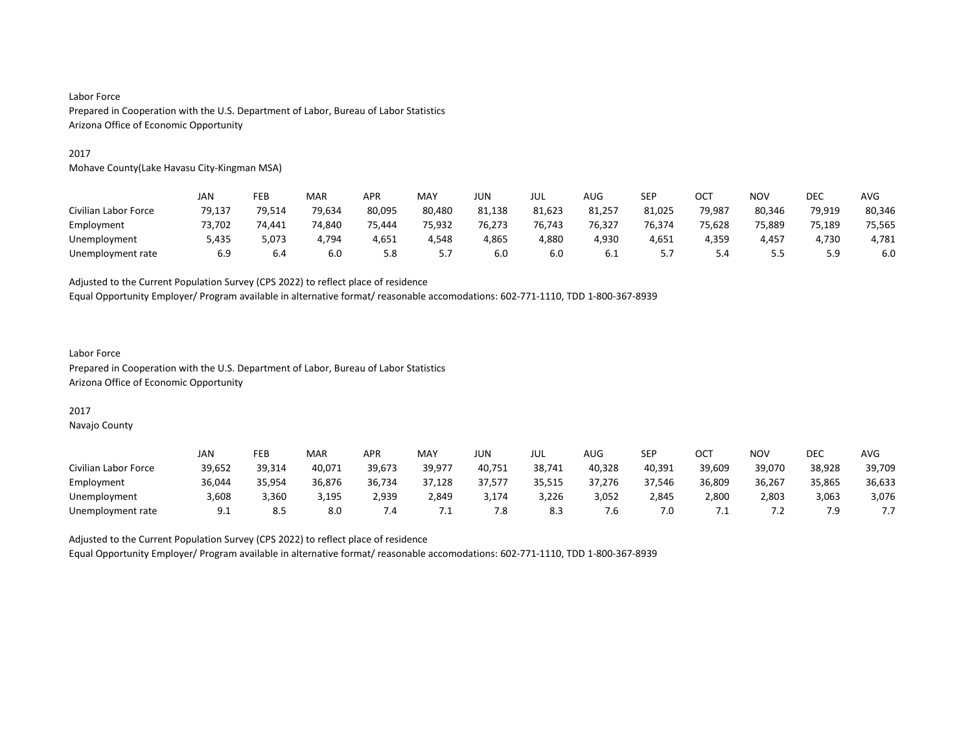#### 2017

Mohave County(Lake Havasu City-Kingman MSA)

|                      | JAN    | FEB    | MAR    | APR    | <b>MAY</b> | JUN    | jul    | AUG    | SEP    | OCT    | <b>NOV</b> | <b>DEC</b> | <b>AVG</b> |
|----------------------|--------|--------|--------|--------|------------|--------|--------|--------|--------|--------|------------|------------|------------|
| Civilian Labor Force | 79,137 | 79,514 | 79,634 | 80,095 | 80,480     | 81,138 | 81,623 | 81,257 | 81,025 | 79,987 | 80,346     | 79,919     | 80,346     |
| Employment           | 73.702 | 74.441 | 74.840 | 75.444 | 75.932     | 76.273 | 76.743 | 76,327 | 76.374 | 75.628 | 75.889     | 75.189     | 75,565     |
| Unemployment         | 5,435  | 5,073  | 4,794  | 4,651  | 4,548      | 4,865  | 4,880  | 4,930  | 4,651  | 4,359  | 4,457      | 1,730      | 4,781      |
| Unemployment rate    | 6.9    | 6.4    | 6.0    | 5.8    |            | 6.0    | 6.0    | 6.1    | ,      |        |            |            | 6.0        |

Adjusted to the Current Population Survey (CPS 2022) to reflect place of residence

Equal Opportunity Employer/ Program available in alternative format/ reasonable accomodations: 602-771-1110, TDD 1-800-367-8939

### Labor Force Prepared in Cooperation with the U.S. Department of Labor, Bureau of Labor Statistics Arizona Office of Economic Opportunity

## 2017

Navajo County

|                      | JAN    | FEB    | MAR    | APR    | MAY    | JUN    | JUL    | <b>AUG</b> | <b>SEP</b> | ост    | NO٧    | DEC    | AVG    |
|----------------------|--------|--------|--------|--------|--------|--------|--------|------------|------------|--------|--------|--------|--------|
| Civilian Labor Force | 39,652 | 39,314 | 40.071 | 39.673 | 39.977 | 40,751 | 38,741 | 40,328     | 40.391     | 39.609 | 39.070 | 38,928 | 39,709 |
| Employment           | 36,044 | 35.954 | 36.876 | 36,734 | 37,128 | 37,577 | 35,515 | 37,276     | 37.546     | 36,809 | 36.267 | 35,865 | 36,633 |
| Unemployment         | 3.608  | 3.360  | 3.195  | 2.939  | 2.849  | 3.174  | 3,226  | 3,052      | 2.845      | 2,800  | 2.803  | 3,063  | 3,076  |
| Unemployment rate    | 9.1    | 8.5    | 8.0    | .4     | ـــ    | 7.8    | 8.3    | .b         | 7.0        | . .    | . .    | 7.9    |        |

Adjusted to the Current Population Survey (CPS 2022) to reflect place of residence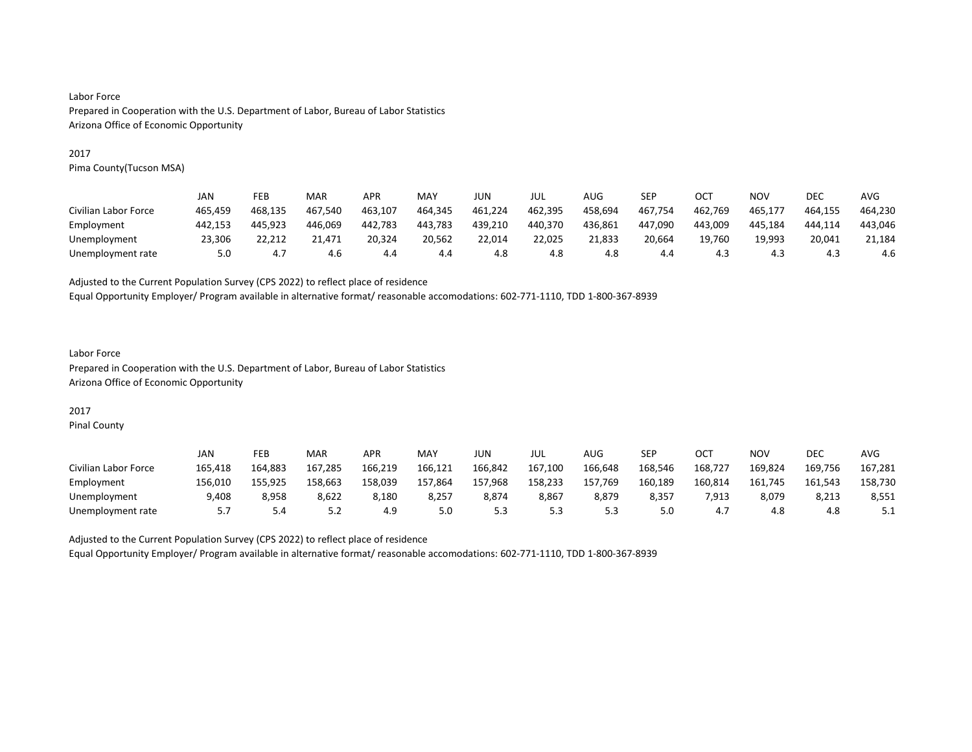#### 2017

Pima County(Tucson MSA)

|                      | JAN     | FEB     | MAR     | <b>APR</b> | MAY     | JUN     | jul     | AUG     | SEP     | OC1     | <b>NOV</b> | DEC     | AVG     |
|----------------------|---------|---------|---------|------------|---------|---------|---------|---------|---------|---------|------------|---------|---------|
| Civilian Labor Force | 465.459 | 468.135 | 467.540 | 463.107    | 464,345 | 461,224 | 462,395 | 458,694 | 467,754 | 462,769 | 465,177    | 464.155 | 464,230 |
| Employment           | 442.153 | 445.923 | 446.069 | 442.783    | 443.783 | 439.210 | 440,370 | 436.861 | 447.090 | 443.009 | 445.184    | 444.114 | 443,046 |
| Unemployment         | 23.306  | 22.212  | 21.471  | 20.324     | 20.562  | 22.014  | 22.025  | 21.833  | 20.664  | 19.760  | 19.993     | 20.041  | 21.184  |
| Unemployment rate    | 5.0     | 4.7     | 4.6     | 4.4        | 4.4     | 4.8     | 4.8     | 4.8     | 4.4     | 4.3     | 4.3        | 4.3     | 4.6     |

Adjusted to the Current Population Survey (CPS 2022) to reflect place of residence

Equal Opportunity Employer/ Program available in alternative format/ reasonable accomodations: 602-771-1110, TDD 1-800-367-8939

### Labor Force Prepared in Cooperation with the U.S. Department of Labor, Bureau of Labor Statistics Arizona Office of Economic Opportunity

# 2017

Pinal County

|                      | JAN     | FEB     | MAR     | APR     | <b>MAY</b> | JUN     | JUL     | AUG     | <b>SEP</b> | OCT     | NO٧     | <b>DEC</b> | AVG     |
|----------------------|---------|---------|---------|---------|------------|---------|---------|---------|------------|---------|---------|------------|---------|
| Civilian Labor Force | 165,418 | 164.883 | 167.285 | 166.219 | 166,121    | 166,842 | 167,100 | 166,648 | 168,546    | 168,727 | 169,824 | 169,756    | 167,281 |
| Employment           | 156,010 | 155,925 | 158,663 | 158,039 | 157,864    | 157,968 | 158,233 | 157,769 | 160,189    | 160,814 | 161,745 | 161,543    | 158,730 |
| Unemployment         | 9,408   | 8.958   | 8,622   | 8.180   | 8.257      | 8,874   | 8,867   | 8,879   | 8,357      | 7,913   | 8,079   | 8.213      | 8,551   |
| Unemployment rate    |         | 5.4     | ے . د   | 4.9     | 5.0        | ر.ر     | 5.3     |         | 5.0        | 4.,     | 4.8     | 4.8        | ـ . ـ   |

Adjusted to the Current Population Survey (CPS 2022) to reflect place of residence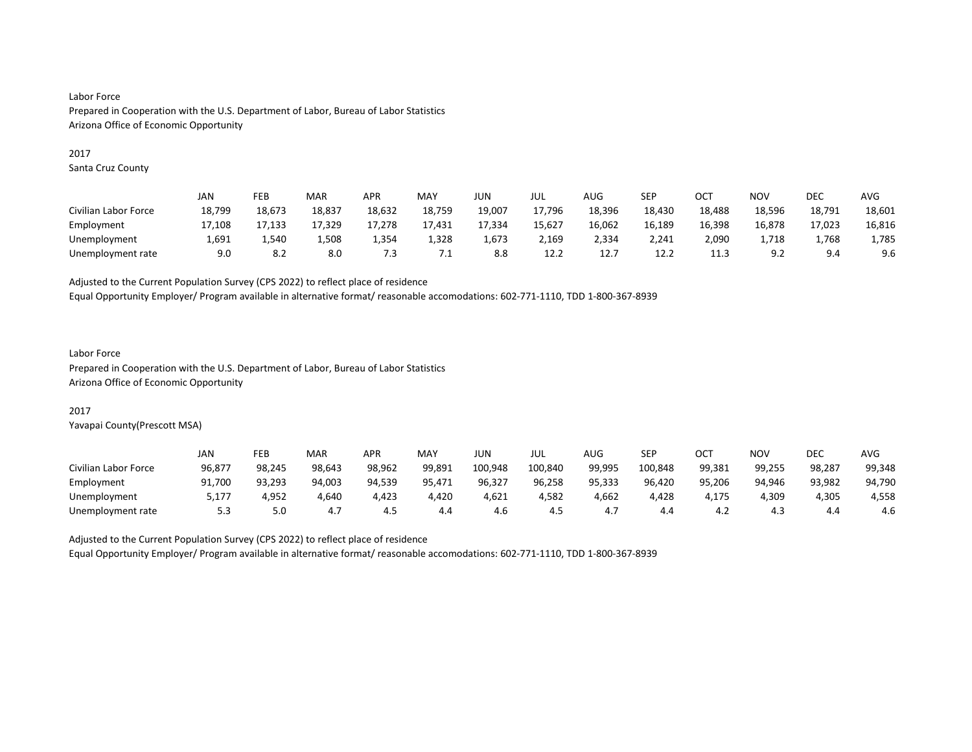#### 2017

Santa Cruz County

|                      | JAN    | FEB    | MAR    | APR    | MAY    | JUN    | JUL    | AUG    | SEP    | OC1    | NOV    | DEC    | AVG    |
|----------------------|--------|--------|--------|--------|--------|--------|--------|--------|--------|--------|--------|--------|--------|
| Civilian Labor Force | 18,799 | 18,673 | 18,837 | 18,632 | 18,759 | 19,007 | 17,796 | 18,396 | 18,430 | 18,488 | 18,596 | 18,791 | 18,601 |
| Employment           | 17.108 | 17.133 | 17.329 | 17.278 | 17.431 | 17.334 | 15.627 | 16.062 | 16,189 | 16.398 | 16.878 | 17.023 | 16,816 |
| Unemployment         | 1,691  | 1,540  | 1,508  | 354ء   | 1,328  | 1,673  | 2,169  | 2,334  | 2,241  | 2,090  | 1,718  | 1,768  | 1,785  |
| Unemployment rate    | 9.0    | 8.2    | 8.0    | د.'    | ـ      | 8.8    | 12.2   | 12.7   | 12.2   | 11.3   | 9.2    | 9.4    | 9.6    |

Adjusted to the Current Population Survey (CPS 2022) to reflect place of residence

Equal Opportunity Employer/ Program available in alternative format/ reasonable accomodations: 602-771-1110, TDD 1-800-367-8939

# Labor Force

Prepared in Cooperation with the U.S. Department of Labor, Bureau of Labor Statistics Arizona Office of Economic Opportunity

### 2017

Yavapai County(Prescott MSA)

|                      | JAN    | FEB    | MAR    | <b>APR</b> | MAY    | JUN     | JUL     | AUG    | SEP     | OCT    | NO۱    | DEC    | <b>AVG</b> |
|----------------------|--------|--------|--------|------------|--------|---------|---------|--------|---------|--------|--------|--------|------------|
| Civilian Labor Force | 96,877 | 98.245 | 98.643 | 98,962     | 99.891 | 100,948 | 100,840 | 99,995 | 100,848 | 99,381 | 99,255 | 98,287 | 99,348     |
| Employment           | 91,700 | 93,293 | 94,003 | 94,539     | 95,471 | 96,327  | 96,258  | 95,333 | 96,420  | 95,206 | 94.946 | 93,982 | 94,790     |
| Unemployment         | 5.177  | 4.952  | 4.640  | 4.423      | 4.420  | 4,621   | 4,582   | 4.662  | 4.428   | 4.175  | 4,309  | 4.305  | 4,558      |
| Unemployment rate    | 5.3    | 5.0    | 4.7    | 4.5        | 4.4    | 4.6     | 4.5     | 4.,    | 4.4     | 4.Z    | 4.3    | 4.4    | 4.6        |

Adjusted to the Current Population Survey (CPS 2022) to reflect place of residence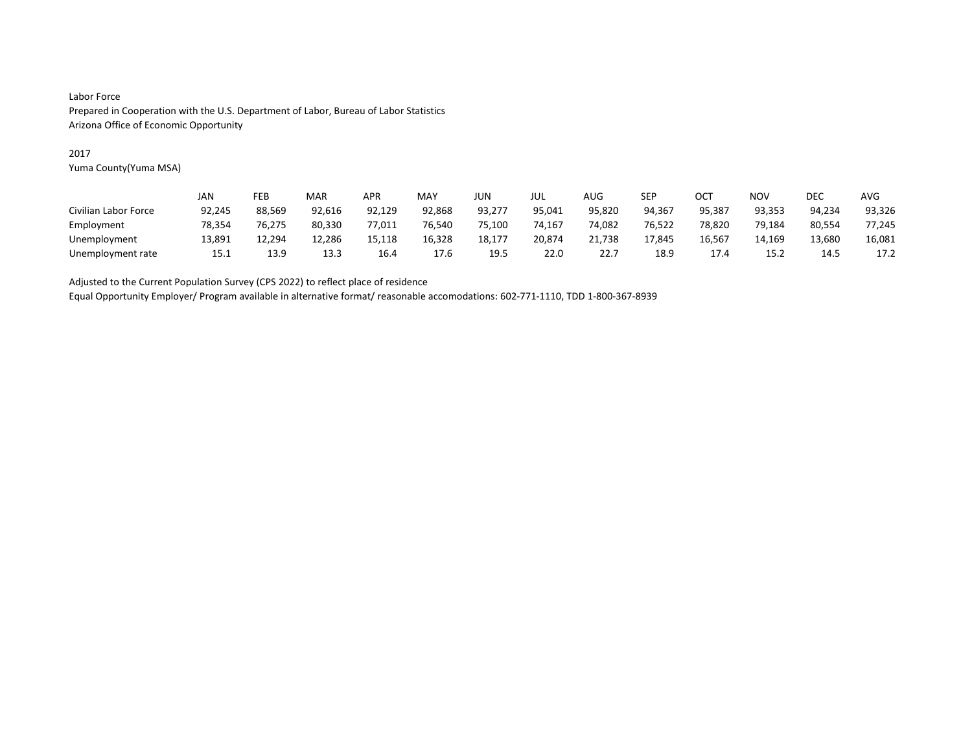### 2017

Yuma County(Yuma MSA)

|                      | JAN    | FEB    | MAR    | <b>APR</b> | MAY    | <b>JUN</b> | JUL    | AUG    | SEP    | ост    | <b>NOV</b> | <b>DEC</b> | <b>AVG</b> |
|----------------------|--------|--------|--------|------------|--------|------------|--------|--------|--------|--------|------------|------------|------------|
| Civilian Labor Force | 92,245 | 88,569 | 92,616 | 92,129     | 92,868 | 93,277     | 95.041 | 95,820 | 94.367 | 95,387 | 93,353     | 94.234     | 93,326     |
| Employment           | 78.354 | 76.275 | 80,330 | 77,011     | 76.540 | 75.100     | 74.167 | 74.082 | 76.522 | 78,820 | 79.184     | 80,554     | 77,245     |
| Unemployment         | 13,891 | 12.294 | 12,286 | 15,118     | 16,328 | 18,177     | 20,874 | 21,738 | 17.845 | 16,567 | 14,169     | 13,680     | 16,081     |
| Unemployment rate    | 15.1   | 13.9   | 13.3   | 16.4       | 17.6   | 19.5       | 22.0   | 22.1   | 18.9   | 17.4   | 15.2       | 14.5       | 17.2       |

Adjusted to the Current Population Survey (CPS 2022) to reflect place of residence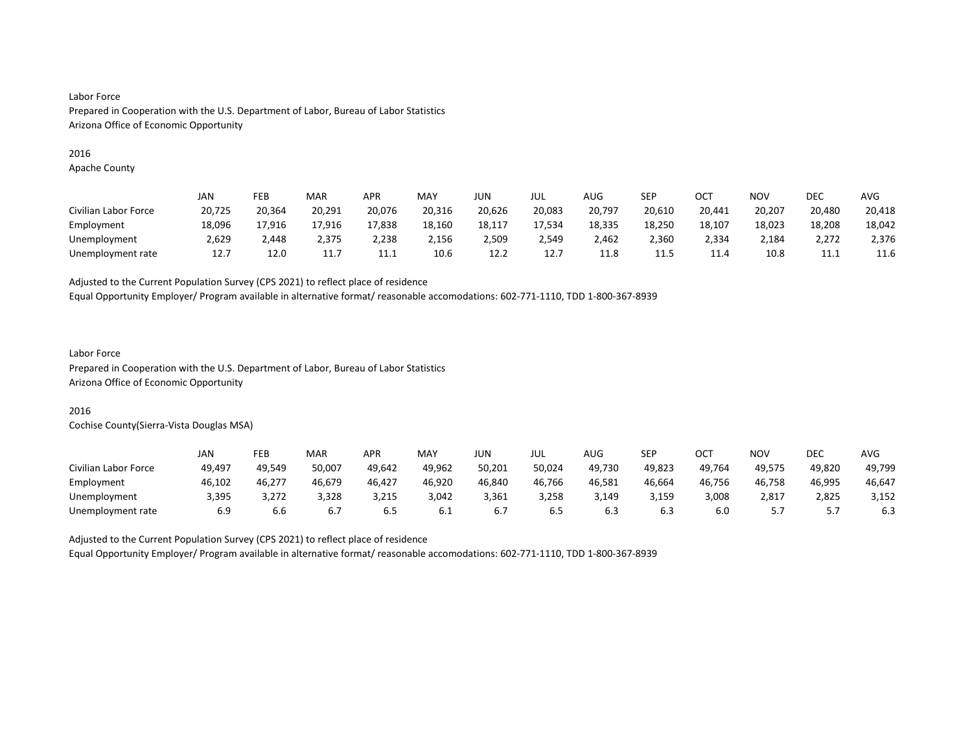#### 2016

Apache County

|                      | JAN    | FEB    | MAR    | <b>APR</b> | MAY    | JUN    | JUL    | AUG    | SEP    | ост    | <b>NOV</b> | DEC    | AVG    |
|----------------------|--------|--------|--------|------------|--------|--------|--------|--------|--------|--------|------------|--------|--------|
| Civilian Labor Force | 20,725 | 20.364 | 20,291 | 20,076     | 20,316 | 20,626 | 20,083 | 20,797 | 20,610 | 20,441 | 20,207     | 20,480 | 20,418 |
| Employment           | 18,096 | 17,916 | 17,916 | 17,838     | 18,160 | 18,117 | 17,534 | 18,335 | 18,250 | 18,107 | 18,023     | 18,208 | 18,042 |
| Unemployment         | 2.629  | 2.448  | 2.375  | 2.238      | 2,156  | 2,509  | 2,549  | 2.462  | 2,360  | 2,334  | 2,184      | 2.272  | 2,376  |
| Unemployment rate    | 12.7   | 12.0   | 11.7   | 11.1       | 10.6   | 12.2   | 12.7   | 11.8   | 11.5   | 11.4   | 10.8       | 11.1   | 11.6   |

Adjusted to the Current Population Survey (CPS 2021) to reflect place of residence

Equal Opportunity Employer/ Program available in alternative format/ reasonable accomodations: 602-771-1110, TDD 1-800-367-8939

#### Labor Force

Prepared in Cooperation with the U.S. Department of Labor, Bureau of Labor Statistics Arizona Office of Economic Opportunity

# 2016

Cochise County(Sierra-Vista Douglas MSA)

|                      | JAN    | FEB    | <b>MAR</b> | <b>APR</b> | MAY    | <b>JUN</b> | JUL    | AUG    | SEP    | OCT    | NO۱    | DEC    | <b>AVG</b> |
|----------------------|--------|--------|------------|------------|--------|------------|--------|--------|--------|--------|--------|--------|------------|
| Civilian Labor Force | 49,497 | 49.549 | 50.007     | 49.642     | 49.962 | 50,201     | 50,024 | 49.730 | 49,823 | 49.764 | 49.575 | 49.820 | 49,799     |
| Employment           | 46,102 | 46,277 | 46,679     | 46,427     | 46,920 | 46,840     | 46,766 | 46,581 | 46,664 | 46,756 | 46,758 | 46,995 | 46,647     |
| Unemployment         | 3,395  | 3.272  | 3,328      | 3,215      | 3,042  | 3,361      | 3.258  | 3,149  | 3,159  | 3,008  | 2,817  | 2,825  | 3,152      |
| Unemployment rate    | 6.9    | b.b    |            | 6.5        | 6.I    | b. /       | 6.5    | 6.3    | 6.3    | 6.0    |        | ، ، ب  | 6.3        |

Adjusted to the Current Population Survey (CPS 2021) to reflect place of residence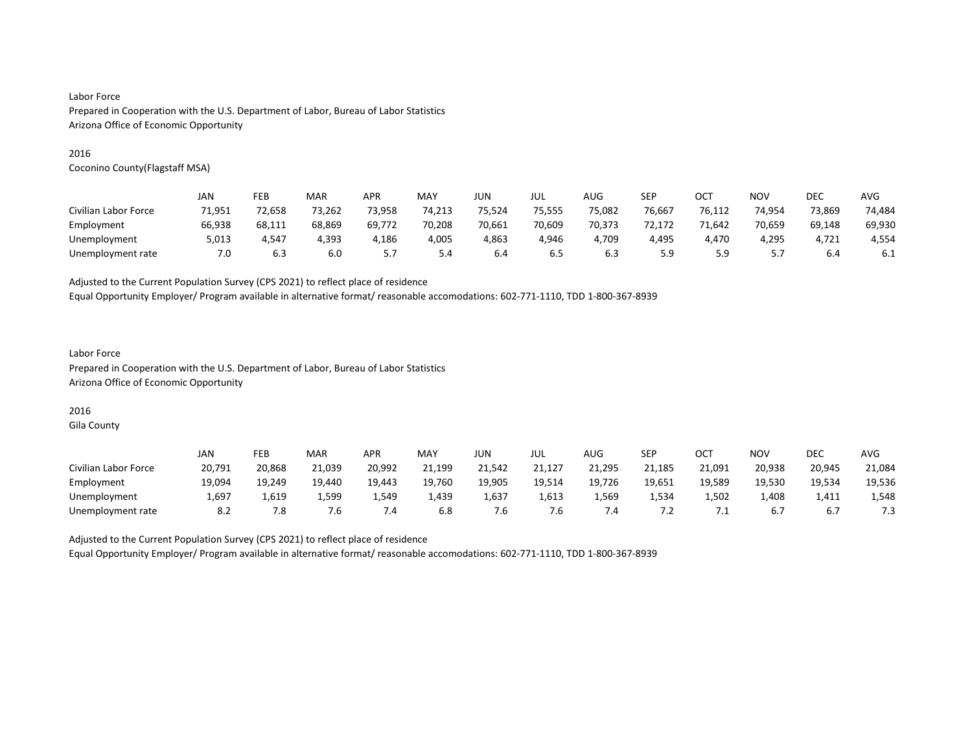#### 2016

Coconino County(Flagstaff MSA)

|                      | JAN    | FEB    | MAR    | APR    | <b>MAY</b> | JUN    | jul    | <b>AUG</b> | SEP    | OCT    | <b>NOV</b> | <b>DEC</b> | <b>AVG</b> |
|----------------------|--------|--------|--------|--------|------------|--------|--------|------------|--------|--------|------------|------------|------------|
| Civilian Labor Force | 71,951 | 72,658 | 73,262 | 73,958 | 74,213     | 75,524 | 75,555 | 75,082     | 76,667 | 76.112 | 74.954     | 73,869     | 74,484     |
| Employment           | 66,938 | 68.111 | 68,869 | 69,772 | 70.208     | 70,661 | 70,609 | 70,373     | 72.172 | 71.642 | 70.659     | 69,148     | 69,930     |
| Unemployment         | 5,013  | 4,547  | 4,393  | 4,186  | 4,005      | 4,863  | 4,946  | 1,709      | 4,495  | 4,470  | 4,295      | 4,721      | 4,554      |
| Unemployment rate    | 7.0    | 6.3    | 6.0    | .      | 5.4        | 6.4    | 6.5    | 6.3        | 5.9    |        |            | 6.4        | 6.1        |

Adjusted to the Current Population Survey (CPS 2021) to reflect place of residence

Equal Opportunity Employer/ Program available in alternative format/ reasonable accomodations: 602-771-1110, TDD 1-800-367-8939

### Labor Force Prepared in Cooperation with the U.S. Department of Labor, Bureau of Labor Statistics Arizona Office of Economic Opportunity

# 2016

Gila County

|                      | JAN    | FEB    | MAR    | <b>APR</b> | MAY    | JUN    | JUL    | AUG    | SEP    | ост    | NOV    | DEC    | <b>AVG</b> |
|----------------------|--------|--------|--------|------------|--------|--------|--------|--------|--------|--------|--------|--------|------------|
| Civilian Labor Force | 20,791 | 20,868 | 21,039 | 20,992     | 21,199 | 21,542 | 21,127 | 21,295 | 21,185 | 21,091 | 20,938 | 20,945 | 21,084     |
| Employment           | 19,094 | 19,249 | 19,440 | 19,443     | 19,760 | 19,905 | 19,514 | 19,726 | 19,651 | 19,589 | 19,530 | 19,534 | 19,536     |
| Unemployment         | 1,697  | 1,619  | 1,599  | 1,549      | 1,439  | 1,637  | 1,613  | 1,569  | 1,534  | 1,502  | 1,408  | 1.411  | 1,548      |
| Unemployment rate    | 8.2    | 7.8    | ′.б    | 4. /       | 6.8    | o.'    | 7.b    | - .4   | 7.2    | .      | 6.7    | 6.7    | 7.3        |

Adjusted to the Current Population Survey (CPS 2021) to reflect place of residence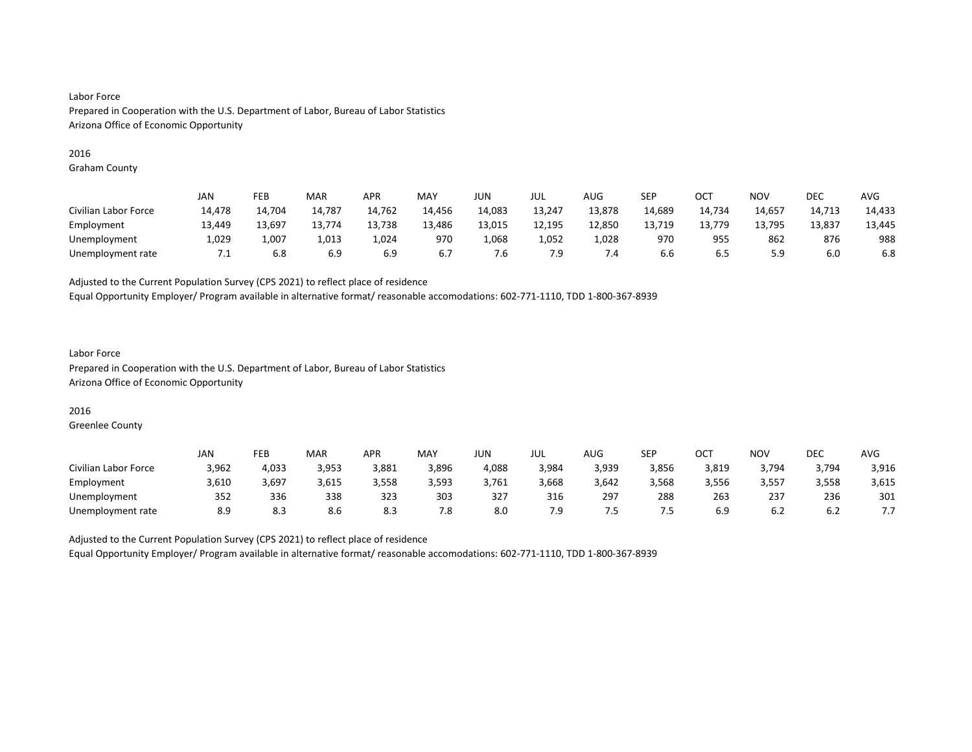#### 2016

Graham County

|                      | JAN    | FEB    | MAR    | APR    | <b>MAY</b> | JUN    | JUL    | AUG    | SEP    | OC1    | <b>NOV</b> | DEC    | <b>AVG</b> |
|----------------------|--------|--------|--------|--------|------------|--------|--------|--------|--------|--------|------------|--------|------------|
| Civilian Labor Force | 14,478 | 14.704 | 14,787 | 14,762 | 14,456     | 14,083 | 13,247 | 13,878 | 14,689 | 14,734 | 14,657     | 14,713 | 14,433     |
| Employment           | 13,449 | 13,697 | 13,774 | 13,738 | 13,486     | 13,015 | 12,195 | 12,850 | 13,719 | 13,779 | 13,795     | 13,837 | 13,445     |
| Unemployment         | 1,029  | 1,007  | 1,013  | 1,024  | 970        | L,068  | 1,052  | 1,028  | 970    | 955    | 862        | 876    | 988        |
| Unemployment rate    | ٠.     | 6.8    | 6.9    | 6.9    | 6.7        | ′.б    | 7.9    | 7.4    | 6.6    | 6.5    | 5.9        | 6.0    | 6.8        |

Adjusted to the Current Population Survey (CPS 2021) to reflect place of residence

Equal Opportunity Employer/ Program available in alternative format/ reasonable accomodations: 602-771-1110, TDD 1-800-367-8939

### Labor Force Prepared in Cooperation with the U.S. Department of Labor, Bureau of Labor Statistics Arizona Office of Economic Opportunity

### 2016

Greenlee County

|                      | JAN                         | FEB   | <b>MAR</b> | <b>APR</b> | MAY   | JUN   | JUL   | AUG   | SEP   | ОСТ   | NOV   | DEC   | <b>AVG</b> |
|----------------------|-----------------------------|-------|------------|------------|-------|-------|-------|-------|-------|-------|-------|-------|------------|
| Civilian Labor Force | 3,962                       | 4,033 | 3,953      | 3,881      | 3,896 | 4,088 | 3,984 | 3,939 | 3,856 | 3,819 | 3,794 | 3,794 | 3,916      |
| Employment           | 3,610                       | 3,697 | 3,615      | 3,558      | 3,593 | 3,761 | 3,668 | 3,642 | 3,568 | 3,556 | 3,557 | 3,558 | 3,615      |
| Unemployment         | $\sim$ $\sim$ $\sim$<br>352 | 336   | 338        | 323        | 303   | 327   | 316   | 297   | 288   | 263   | 237   | 236   | 301        |
| Unemployment rate    | 8.9                         | د.ه   | 8.6        | د.ه        | 7.8   | 8.0   | 7.9   | כ. י  | ט.י   | 6.9   | 6.2   | 6.2   | .          |

Adjusted to the Current Population Survey (CPS 2021) to reflect place of residence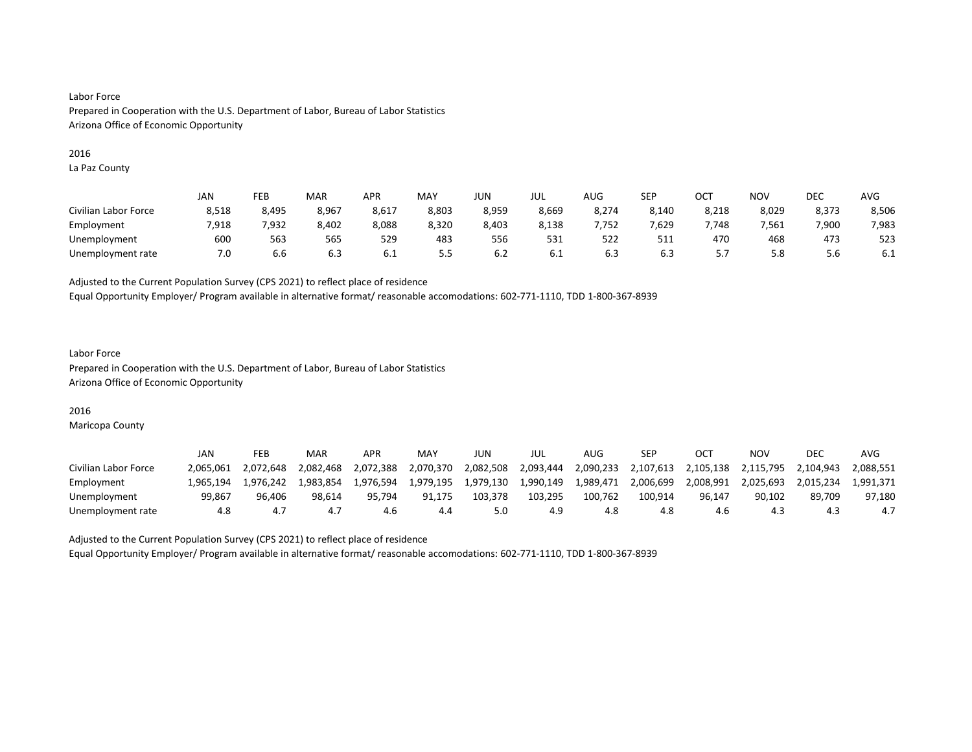#### 2016

La Paz County

|                      | <b>JAN</b> | FEB   | MAR   | <b>APR</b> | MAY   | JUN   | JUL   | AUG   | <b>SEP</b> | OC <sup>T</sup> | NO <sub>V</sub> | <b>DEC</b> | AVG   |
|----------------------|------------|-------|-------|------------|-------|-------|-------|-------|------------|-----------------|-----------------|------------|-------|
| Civilian Labor Force | 8,518      | 8,495 | 8,967 | 8,617      | 8,803 | 8,959 | 8,669 | 8,274 | 8,140      | 8,218           | 8,029           | 8,373      | 8,506 |
| Employment           | 7.918      | 7.932 | 8,402 | 8,088      | 8,320 | 8,403 | 8.138 | .752  | 529.       | .748            | 7.561           | 7.900      | 7,983 |
| Unemployment         | 600        | 563   | 565   | 529        | 483   | 556   | 531   | 522   | 511        | 470             | 468             | 473        | 523   |
| Unemployment rate    | 7.0        | b.b   | 6.3   | 6.1        | כ.כ   | b.2   | 6.1   | 6.3   | 6.3        |                 | 5.8             | 5.6        | 6.1   |

Adjusted to the Current Population Survey (CPS 2021) to reflect place of residence

Equal Opportunity Employer/ Program available in alternative format/ reasonable accomodations: 602-771-1110, TDD 1-800-367-8939

#### Labor Force Prepared in Cooperation with the U.S. Department of Labor, Bureau of Labor Statistics Arizona Office of Economic Opportunity

## 2016

Maricopa County

|                      | JAN       | FEB       | MAR       | APR       | MAY       | JUN       | JUL       | AUG       | SEP       | OC        | NOV       | DEC       | AVG       |
|----------------------|-----------|-----------|-----------|-----------|-----------|-----------|-----------|-----------|-----------|-----------|-----------|-----------|-----------|
| Civilian Labor Force | 2.065.061 | 2.072.648 | 2.082.468 | 2.072.388 | 2,070,370 | 2,082,508 | 2.093.444 | 2,090,233 | 2,107,613 | 2.105.138 | 2.115.795 | 2.104.943 | 2.088.551 |
| Employment           | L.965.194 | 1.976.242 | 1.983.854 | 1.976.594 | 1.979.195 | 1,979,130 | 1.990.149 | 1.989.471 | 2,006,699 | 2.008.991 | 2.025.693 | 2.015.234 | L.991.371 |
| Unemployment         | 99.867    | 96.406    | 98.614    | 95.794    | 91.175    | 103.378   | 103.295   | 100.762   | 100.914   | 96.147    | 90.102    | 89.709    | 97.180    |
| Unemployment rate    | 4.8       |           |           | 4.6       | 4.4       |           | 4.9       | 4.8       | 4.8       | 4.6       | 4.3       |           | 4.7       |

Adjusted to the Current Population Survey (CPS 2021) to reflect place of residence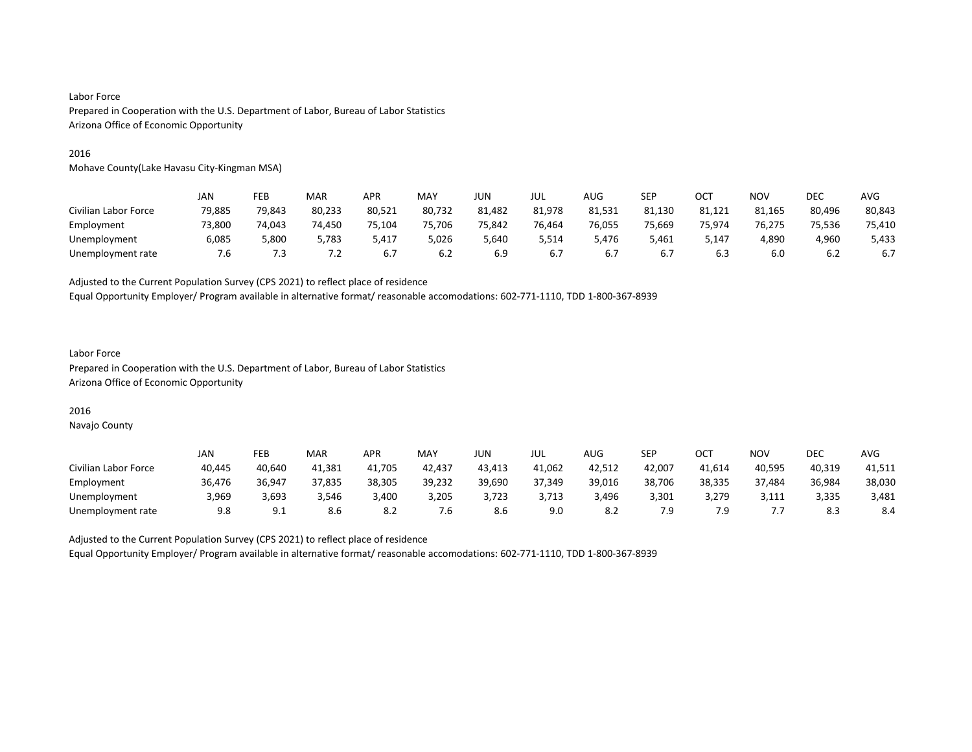#### 2016

Mohave County(Lake Havasu City-Kingman MSA)

|                      | JAN    | FEB    | MAR    | APR    | <b>MAY</b> | JUN    | jul    | <b>AUG</b> | SEP    | OCT    | <b>NOV</b> | <b>DEC</b> | <b>AVG</b> |
|----------------------|--------|--------|--------|--------|------------|--------|--------|------------|--------|--------|------------|------------|------------|
| Civilian Labor Force | 79,885 | 79,843 | 80,233 | 80,521 | 80,732     | 81,482 | 81,978 | 81,531     | 81,130 | 81,121 | 81,165     | 80,496     | 80,843     |
| Employment           | 73.800 | 74.043 | 74,450 | 75,104 | 75,706     | 75,842 | 76,464 | 76,055     | 75,669 | 75,974 | 76.275     | 75.536     | 75,410     |
| Unemployment         | 6,085  | 5,800  | 5,783  | 5,417  | 5,026      | 5,640  | 5,514  | 5.476      | 5,461  | 147,د  | 4,890      | 4,960      | 5,433      |
| Unemployment rate    | 7.6    | 7.3    | 7.2    | 6.7    | 6.2        | 6.9    | 6.7    | 6.7        | 6.7    | 6.3    | 6.0        | 6.2        | 6.7        |

Adjusted to the Current Population Survey (CPS 2021) to reflect place of residence

Equal Opportunity Employer/ Program available in alternative format/ reasonable accomodations: 602-771-1110, TDD 1-800-367-8939

### Labor Force Prepared in Cooperation with the U.S. Department of Labor, Bureau of Labor Statistics Arizona Office of Economic Opportunity

#### 2016

Navajo County

|                      | <b>JAN</b> | FEB             | MAR    | APR    | MAY    | JUN.   | JUL    | <b>AUG</b> | <b>SEP</b> | ост    | NO٧    | DEC    | AVG    |
|----------------------|------------|-----------------|--------|--------|--------|--------|--------|------------|------------|--------|--------|--------|--------|
| Civilian Labor Force | 40,445     | 40.640          | 41.381 | 41.705 | 42.437 | 43,413 | 41,062 | 42,512     | 42.007     | 41,614 | 40.595 | 40,319 | 41,511 |
| Employment           | 36,476     | 36.947          | 37.835 | 38,305 | 39.232 | 39,690 | 37.349 | 39,016     | 38,706     | 38,335 | 37,484 | 36,984 | 38,030 |
| Unemployment         | 3.969      | 3.693           | 3.546  | 3.400  | 3.205  | 3.723  | 3.713  | 3.496      | 3.301      | 3,279  | 3,111  | 3,335  | 3,481  |
| Unemployment rate    | 9.8        | Q 1<br><u>.</u> | 8.6    | o.∠    | .6     | 8.6    | 9.0    | o.z        | 7.9        |        | .      | 8.3    | 8.4    |

Adjusted to the Current Population Survey (CPS 2021) to reflect place of residence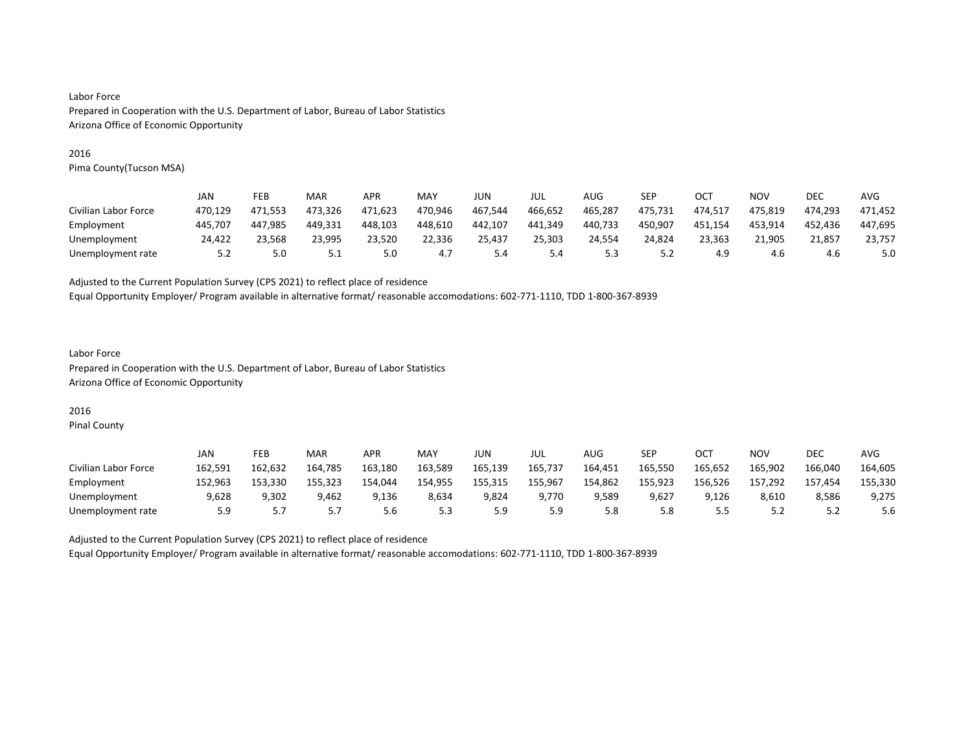#### 2016

Pima County(Tucson MSA)

|                      | JAN     | FEB     | MAR     | <b>APR</b> | MAY     | JUN     | JUL     | AUG     | SEP     | OCT     | NOV     | DEC     | AVG     |
|----------------------|---------|---------|---------|------------|---------|---------|---------|---------|---------|---------|---------|---------|---------|
| Civilian Labor Force | 470.129 | 471.553 | 473.326 | 471.623    | 470.946 | 467.544 | 466.652 | 465.287 | 475.731 | 474.517 | 475.819 | 474.293 | 471.452 |
| Employment           | 445.707 | 447.985 | 449.331 | 448.103    | 448,610 | 442.107 | 441,349 | 440,733 | 450,907 | 451,154 | 453,914 | 452.436 | 447,695 |
| Unemployment         | 24.422  | 23.568  | 23.995  | 23.520     | 22,336  | 25.437  | 25.303  | 24.554  | 24,824  | 23.363  | 21.905  | 21.857  | 23.757  |
| Unemployment rate    | 5.2     | 5.0     | ے . ۔   | 5.0        | 4.7     | 5.4     | 5.4     | 5.3     | 5.2     | 4.9     | 4.6     | 4.6     | 5.0     |

Adjusted to the Current Population Survey (CPS 2021) to reflect place of residence

Equal Opportunity Employer/ Program available in alternative format/ reasonable accomodations: 602-771-1110, TDD 1-800-367-8939

### Labor Force Prepared in Cooperation with the U.S. Department of Labor, Bureau of Labor Statistics Arizona Office of Economic Opportunity

# 2016

Pinal County

|                      | JAN     | FEB     | MAR     | APR     | <b>MAY</b> | JUN     | JUL     | AUG     | <b>SEP</b> | OCT     | NO٧     | <b>DEC</b> | AVG     |
|----------------------|---------|---------|---------|---------|------------|---------|---------|---------|------------|---------|---------|------------|---------|
| Civilian Labor Force | 162.591 | 162.632 | 164.785 | 163.180 | 163,589    | 165,139 | 165,737 | 164.451 | 165,550    | 165,652 | 165,902 | 166.040    | 164,605 |
| Employment           | 152,963 | 153.330 | 155,323 | 154.044 | 154,955    | 155,315 | 155,967 | 154,862 | 155,923    | 156,526 | 157,292 | 157,454    | 155,330 |
| Unemployment         | 9,628   | 9.302   | 9,462   | 9.136   | 8,634      | 9,824   | 9.770   | 9.589   | 9,627      | 9.126   | 8,610   | 8,586      | 9,275   |
| Unemployment rate    | 5.9     |         |         | 5.6     | 5.3        | 5.9     | 5.9     | 5.8     | 5.8        |         | ے . ۔   | ے . د      | 5.6     |

Adjusted to the Current Population Survey (CPS 2021) to reflect place of residence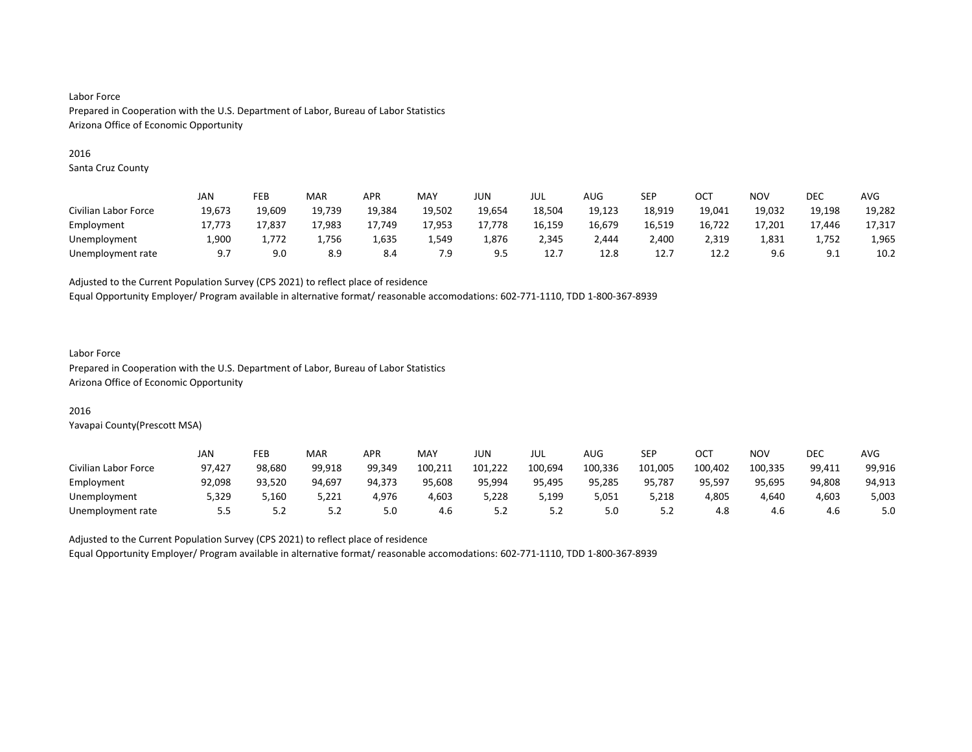#### 2016

Santa Cruz County

|                      | JAN    | FEB    | MAR    | APR    | MAY    | JUN            | JUL    | AUG    | SEP    | OC1    | NOV    | DEC          | AVG    |
|----------------------|--------|--------|--------|--------|--------|----------------|--------|--------|--------|--------|--------|--------------|--------|
| Civilian Labor Force | 19,673 | 19,609 | 19,739 | 19,384 | 19,502 | 19,654         | 18,504 | 19,123 | 18,919 | 19,041 | 19,032 | 19,198       | 19,282 |
| Employment           | 17.773 | 17.837 | 17.983 | 17.749 | 17,953 | 17.778         | 16,159 | 16,679 | 16,519 | 16.722 | 17.201 | 17.446       | 17,317 |
| Unemployment         | 1,900  | 1,772  | 1,756  | 1,635  | 1,549  | 1,876          | 2,345  | 2,444  | 2,400  | 2,319  | 1,831  | 1,752        | 1,965  |
| Unemployment rate    | 9.7    | 9.0    | 8.9    | 8.4    | 7.9    | $Q$ $F$<br>ر ر | 12.7   | 12.8   | 12.7   | 12.2   | 9.6    | a 1<br>ـ . ـ | 10.2   |

Adjusted to the Current Population Survey (CPS 2021) to reflect place of residence

Equal Opportunity Employer/ Program available in alternative format/ reasonable accomodations: 602-771-1110, TDD 1-800-367-8939

#### Labor Force

Prepared in Cooperation with the U.S. Department of Labor, Bureau of Labor Statistics Arizona Office of Economic Opportunity

### 2016

Yavapai County(Prescott MSA)

|                      | JAN    | FEB    | MAR    | <b>APR</b> | <b>MAY</b> | JUN     | JUL     | <b>AUG</b> | <b>SEP</b> | ∩∩⊤<br>UC. | <b>NOV</b> | DEC    | <b>AVG</b> |
|----------------------|--------|--------|--------|------------|------------|---------|---------|------------|------------|------------|------------|--------|------------|
| Civilian Labor Force | 97.427 | 98.680 | 99.918 | 99.349     | 100,211    | 101.222 | 100,694 | 100,336    | 101,005    | 100,402    | 100.335    | 99,411 | 99,916     |
| Employment           | 92,098 | 93,520 | 94,697 | 94,373     | 95,608     | 95,994  | 95,495  | 95,285     | 95,787     | 95,597     | 95,695     | 94,808 | 94,913     |
| Unemployment         | 5,329  | 5.160  | 5.221  | 4.976      | 4.603      | 5.228   | 199,د   | 5.051      | 5.218      | 4,805      | 4.640      | 4.603  | 5,003      |
| Unemployment rate    | 5.5    | ے . ۔  | ے . د  | 5.0        | 4.6        | ے . د   | 5.2     | 5.0        | 5.2        | 4.8        | 4.6        | 4.6    | 5.0        |

Adjusted to the Current Population Survey (CPS 2021) to reflect place of residence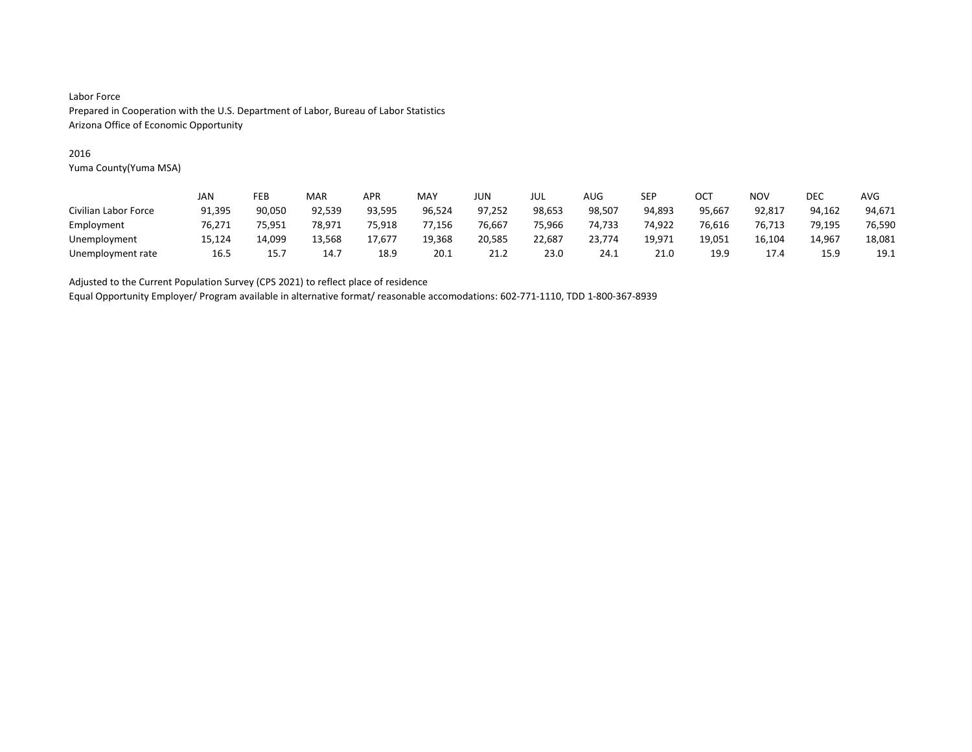### 2016

Yuma County(Yuma MSA)

|                      | JAN    | FEB    | MAR    | APR    | <b>MAY</b> | JUN    | jul    | <b>AUG</b> | SEP    | OCT    | <b>NOV</b> | <b>DEC</b> | <b>AVG</b> |
|----------------------|--------|--------|--------|--------|------------|--------|--------|------------|--------|--------|------------|------------|------------|
| Civilian Labor Force | 91,395 | 90,050 | 92,539 | 93,595 | 96,524     | 97,252 | 98,653 | 98,507     | 94,893 | 95,667 | 92,817     | 94,162     | 94,671     |
| Employment           | 76.271 | 75.951 | 78.971 | 75.918 | 77.156     | 76,667 | 75.966 | 74.733     | 74.922 | 76,616 | 76.713     | 79.195     | 76,590     |
| Unemployment         | 15,124 | 14.099 | 13,568 | 17,677 | 19,368     | 20,585 | 22,687 | 23,774     | 19,971 | 19,051 | 16,104     | 14.967     | 18,081     |
| Unemployment rate    | 16.5   | 15.7   | 14.7   | 18.9   | 20.1       | 21.2   | 23.0   | 24.1       | 21.0   | 19.9   | 17.4       | 15.9       | 19.1       |

Adjusted to the Current Population Survey (CPS 2021) to reflect place of residence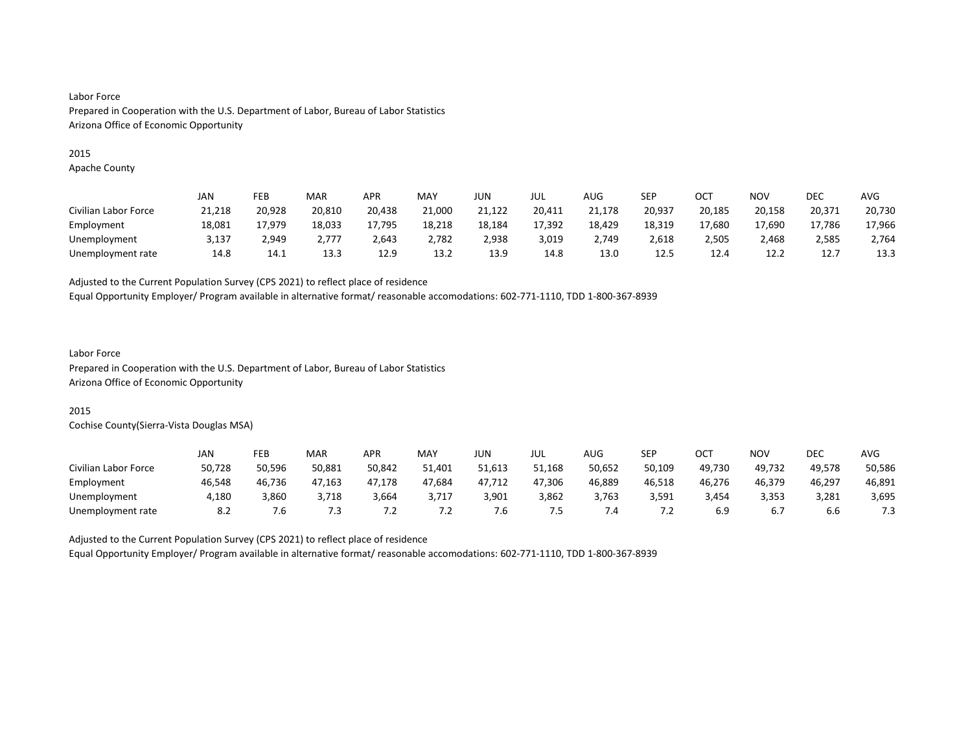#### 2015

Apache County

|                      | JAN    | FEB    | MAR    | <b>APR</b> | MAY    | JUN    | JUL    | AUG    | SEP    | ост    | <b>NOV</b> | DEC    | <b>AVG</b> |
|----------------------|--------|--------|--------|------------|--------|--------|--------|--------|--------|--------|------------|--------|------------|
| Civilian Labor Force | 21,218 | 20,928 | 20,810 | 20,438     | 21,000 | 21,122 | 20,411 | 21,178 | 20,937 | 20,185 | 20,158     | 20,371 | 20,730     |
| Employment           | 18,081 | 17.979 | 18,033 | 17,795     | 18,218 | 18,184 | 17.392 | 18,429 | 18,319 | 17,680 | 17.690     | 17.786 | 17,966     |
| Unemployment         | 3,137  | 2,949  | 2.777  | 2,643      | 2,782  | 2,938  | 3,019  | 2,749  | 2,618  | 2,505  | 2,468      | 2,585  | 2,764      |
| Unemployment rate    | 14.8   | 14.1   | 13.3   | 12.9       | 13.2   | 13.9   | 14.8   | 13.0   | 12.5   | 12.4   | 12.2       | 12.7   | 13.3       |

Adjusted to the Current Population Survey (CPS 2021) to reflect place of residence

Equal Opportunity Employer/ Program available in alternative format/ reasonable accomodations: 602-771-1110, TDD 1-800-367-8939

#### Labor Force

Prepared in Cooperation with the U.S. Department of Labor, Bureau of Labor Statistics Arizona Office of Economic Opportunity

# 2015

Cochise County(Sierra-Vista Douglas MSA)

|                      | JAN    | FEB    | MAR    | <b>APR</b> | MAY    | JUN    | JUL    | AUG           | <b>SEP</b> | OCT    | NO۱    | DEC    | <b>AVG</b> |
|----------------------|--------|--------|--------|------------|--------|--------|--------|---------------|------------|--------|--------|--------|------------|
| Civilian Labor Force | 50,728 | 50.596 | 50,881 | 50,842     | 51,401 | 51,613 | 51,168 | 50,652        | 50,109     | 49.730 | 49.732 | 49.578 | 50,586     |
| Employment           | 46,548 | 46,736 | 47,163 | 47,178     | 47,684 | 47,712 | 47,306 | 46,889        | 46,518     | 46,276 | 46,379 | 46,297 | 46,891     |
| Unemployment         | 4.180  | 3,860  | 3.718  | 3,664      | 3.717  | 3,901  | 3,862  | 3,763         | 3,591      | 3.454  | 3,353  | 3,281  | 3,695      |
| Unemployment rate    | 8.2    | '.б    | 7.3    | $\cdot$    | ے.'    | ՛.Ե    | כ.'    | $^{\prime}.4$ | ٠Z.        |        | 6.7    | b.b    | 7.3        |

Adjusted to the Current Population Survey (CPS 2021) to reflect place of residence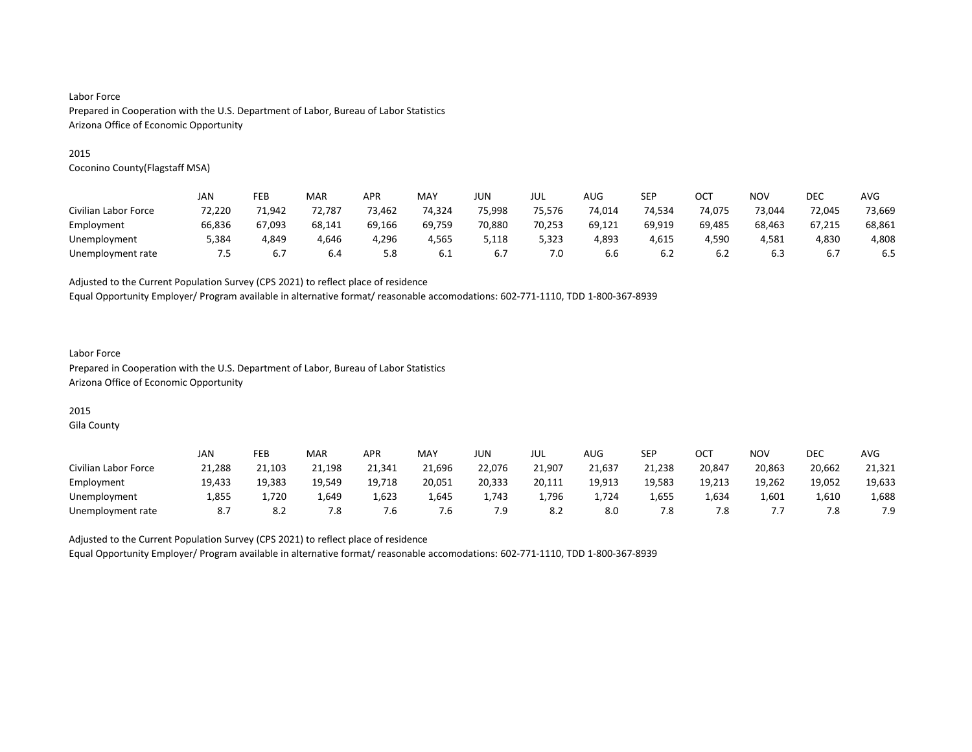#### 2015

Coconino County(Flagstaff MSA)

|                      | JAN    | FEB    | MAR    | APR    | MAY    | JUN    | JUL    | AUG    | SEP    | OCT    | <b>NOV</b> | <b>DEC</b> | <b>AVG</b> |
|----------------------|--------|--------|--------|--------|--------|--------|--------|--------|--------|--------|------------|------------|------------|
| Civilian Labor Force | 72,220 | 71.942 | 72,787 | 73,462 | 74,324 | 75,998 | 75.576 | 74,014 | 74,534 | 74,075 | 73.044     | 72,045     | 73,669     |
| Employment           | 66,836 | 67,093 | 68,141 | 69,166 | 69,759 | 70,880 | 70,253 | 69,121 | 69,919 | 69,485 | 68,463     | 67.215     | 68,861     |
| Unemployment         | 384,د  | 4.849  | 4.646  | 4.296  | 4.565  | 5.118  | 5,323  | 4.893  | 4.615  | 4.590  | 4.581      | 4.830      | 4,808      |
| Unemployment rate    | 7.5    | 6.7    | 6.4    | 5.8    | 6.1    | 6.7    | 7.0    | 6.6    | 6.2    | 6.2    | 6.3        | 6.7        | 6.5        |

Adjusted to the Current Population Survey (CPS 2021) to reflect place of residence

Equal Opportunity Employer/ Program available in alternative format/ reasonable accomodations: 602-771-1110, TDD 1-800-367-8939

### Labor Force Prepared in Cooperation with the U.S. Department of Labor, Bureau of Labor Statistics Arizona Office of Economic Opportunity

# 2015

Gila County

|                      | JAN    | FEB    | MAR    | <b>APR</b> | MAY    | JUN    | JUL    | AUG    | SEP    | OCT    | <b>NOV</b> | DEC    | <b>AVG</b> |
|----------------------|--------|--------|--------|------------|--------|--------|--------|--------|--------|--------|------------|--------|------------|
| Civilian Labor Force | 21,288 | 21.103 | 21,198 | 21,341     | 21,696 | 22,076 | 21,907 | 21,637 | 21,238 | 20,847 | 20,863     | 20,662 | 21,321     |
| Employment           | 19,433 | 19,383 | 19,549 | 19,718     | 20,051 | 20,333 | 20,111 | 19,913 | 19,583 | 19,213 | 19,262     | 19,052 | 19,633     |
| Unemployment         | 1,855  | 1.720  | 1,649  | 1,623      | 1,645  | 1.743  | 1,796  | 1.724  | 1,655  | 1,634  | 1,601      | 1,610  | 1,688      |
| Unemployment rate    |        | 8.2    | 7.8    | 6.′        | 7.6    | 7.9    | 8.2    | 8.0    | 7.8    |        | , , ,      | 7.8    | 7.9        |

Adjusted to the Current Population Survey (CPS 2021) to reflect place of residence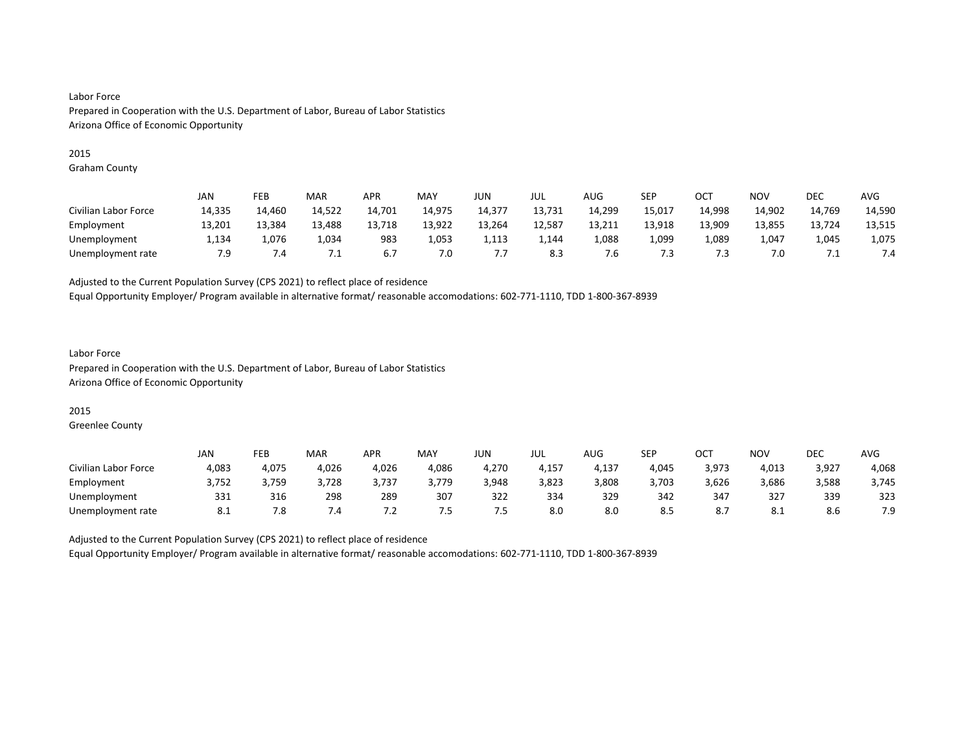#### 2015

Graham County

|                      | JAN    | FEB    | MAR    | APR    | MAY    | JUN    | JUL    | AUG    | SEP    | OC1    | <b>NOV</b> | DEC    | AVG    |
|----------------------|--------|--------|--------|--------|--------|--------|--------|--------|--------|--------|------------|--------|--------|
| Civilian Labor Force | 14,335 | 14.460 | 14,522 | 14,701 | 14.975 | 14,377 | 13,731 | 14,299 | 15,017 | 14,998 | 14,902     | 14,769 | 14,590 |
| Employment           | 13,201 | 13.384 | 13,488 | 13,718 | 13,922 | 13,264 | 12,587 | 13,211 | 13,918 | 13,909 | 13,855     | 13,724 | 13,515 |
| Unemployment         | 1,134  | 1.076  | 1,034  | 983    | 1,053  | 1,113  | 1,144  | 1,088  | 1,099  | 1,089  | 1,047      | 1,045  | 1,075  |
| Unemployment rate    | 7.9    | 7.4    |        | 6.7    | 7.0    | ٠.۱    | 8.3    | ′.б    | 7.3    | د.'    | 7.0        | ـــ    | 7.4    |

Adjusted to the Current Population Survey (CPS 2021) to reflect place of residence

Equal Opportunity Employer/ Program available in alternative format/ reasonable accomodations: 602-771-1110, TDD 1-800-367-8939

### Labor Force Prepared in Cooperation with the U.S. Department of Labor, Bureau of Labor Statistics Arizona Office of Economic Opportunity

### 2015

Greenlee County

|                      | JAN   | FEB   | MAR   | <b>APR</b>          | MAY   | JUN   | JUL   | AUG   | SEP   | ост   | <b>NOV</b> | <b>DEC</b> | <b>AVG</b> |
|----------------------|-------|-------|-------|---------------------|-------|-------|-------|-------|-------|-------|------------|------------|------------|
| Civilian Labor Force | 4,083 | 4,075 | 4,026 | 4,026               | 4,086 | 4,270 | 4,157 | 4,137 | 4,045 | 3,973 | 4,013      | 3,927      | 4,068      |
| Employment           | 3,752 | 3,759 | 3,728 | 3,737               | 3,779 | 3,948 | 3,823 | 3,808 | 3,703 | 3,626 | 3,686      | 3,588      | 3,745      |
| Unemployment         | 331   | 316   | 298   | 289                 | 307   | 322   | 334   | 329   | 342   | 347   | 327        | 339        | 323        |
| Unemployment rate    | 0.1   | 8.'   | 7.4   | $\cdot$ 4.4 $\cdot$ | כ. ז  | ر.,   | 8.0   | 8.0   | 8.5   | ŏ./   | 8.1        | 8.6        | 7.9        |

Adjusted to the Current Population Survey (CPS 2021) to reflect place of residence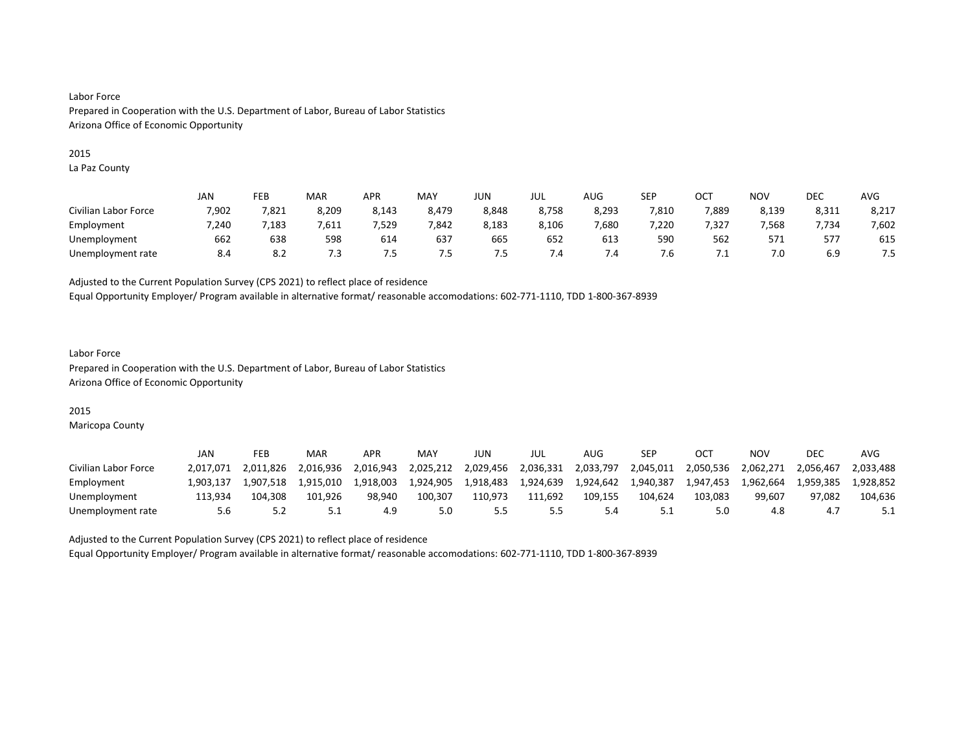#### 2015

La Paz County

|                      | <b>JAN</b> | FEB   | MAR   | <b>APR</b> | MAY   | JUN   | JUL   | <b>AUG</b> | SEP   | OCT   | <b>NOV</b> | DEC   | <b>AVG</b> |
|----------------------|------------|-------|-------|------------|-------|-------|-------|------------|-------|-------|------------|-------|------------|
| Civilian Labor Force | 7,902      | 7,821 | 8,209 | 8,143      | 8,479 | 8,848 | 8,758 | 8,293      | 7,810 | 7,889 | 8,139      | 8,311 | 8,217      |
| Employment           | 7.240      | .183  | 7,611 | ,529       | 7.842 | 8,183 | 8,106 | 7,680      | ,220  | 7.327 | 7,568      | 7.734 | 7,602      |
| Unemployment         | 662        | 638   | 598   | 614        | 637   | 665   | 652   | 613        | 590   | 562   | 571        | 577   | 615        |
| Unemployment rate    | 8.4        | 8.2   | 7.3   | כ. י       | 7.5   | כ. י  | 7.4   | 7.4        | /.ხ   | ـ .   | 7.0        | 6.9   | 7.5        |

Adjusted to the Current Population Survey (CPS 2021) to reflect place of residence

Equal Opportunity Employer/ Program available in alternative format/ reasonable accomodations: 602-771-1110, TDD 1-800-367-8939

### Labor Force Prepared in Cooperation with the U.S. Department of Labor, Bureau of Labor Statistics Arizona Office of Economic Opportunity

## 2015

Maricopa County

|                      | JAN       | FEB       | MAR       | <b>APR</b> | MAY       | JUN       | JUL       | AUG       | SEP       | CT        | NOV       | DEC       | AVG       |
|----------------------|-----------|-----------|-----------|------------|-----------|-----------|-----------|-----------|-----------|-----------|-----------|-----------|-----------|
| Civilian Labor Force | 2.017.071 | 2.011.826 | 2.016.936 | 2.016.943  | 2,025,212 | 2,029,456 | 2,036,331 | 2,033,797 | 2,045,011 | 2,050,536 | 2.062.271 | 2.056.467 | 2.033.488 |
| Employment           | .903.137  | 1.907.518 | 1.915.010 | 1.918.003  | 1.924.905 | 1.918.483 | 1,924,639 | 1.924.642 | 1.940.387 | 1.947.453 | 1.962.664 | 1.959.385 | 1.928.852 |
| Unemployment         | 113.934   | 104.308   | 101.926   | 98.940     | 100.307   | 110.973   | 111.692   | 109.155   | 104.624   | 103.083   | 99.607    | 97.082    | 104,636   |
| Unemployment rate    | 5.6       |           | ــ.       |            | 5.0       |           |           |           | 5.1       |           | 4.8       |           |           |

Adjusted to the Current Population Survey (CPS 2021) to reflect place of residence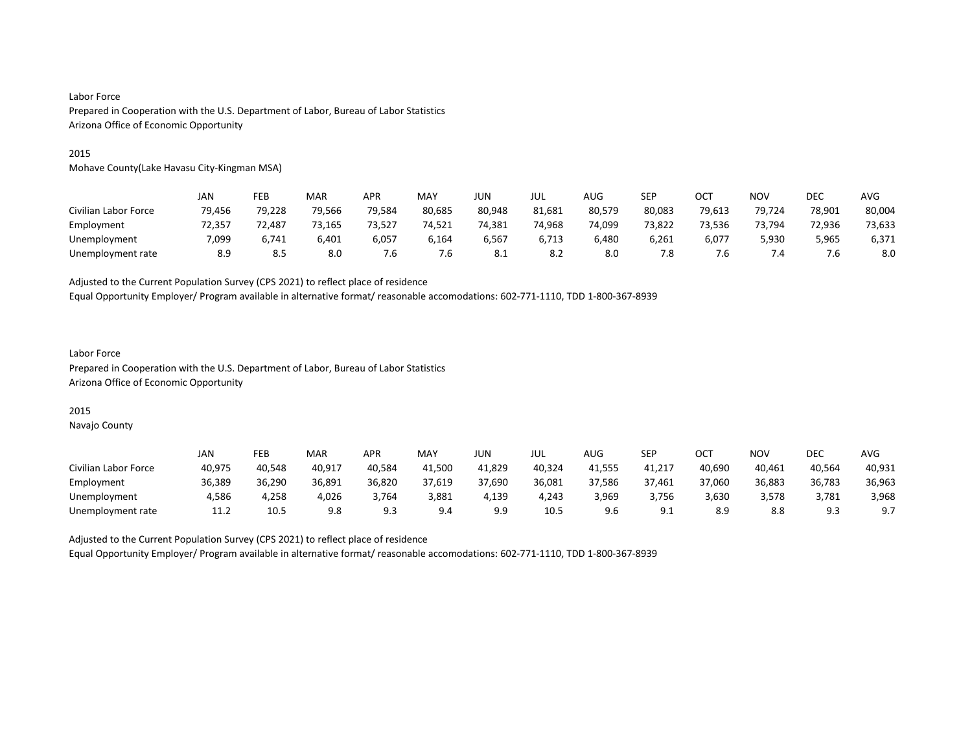#### 2015

Mohave County(Lake Havasu City-Kingman MSA)

|                      | JAN    | FEB    | MAR    | APR    | MAY    | <b>JUN</b> | JUL    | AUG    | SEP    | OCT    | <b>NOV</b> | <b>DEC</b> | AVG    |
|----------------------|--------|--------|--------|--------|--------|------------|--------|--------|--------|--------|------------|------------|--------|
| Civilian Labor Force | 79,456 | 79,228 | 79,566 | 79,584 | 80,685 | 80,948     | 81,681 | 80,579 | 80,083 | 79,613 | 79,724     | 78,901     | 80,004 |
| Employment           | 72.357 | 72.487 | 73.165 | 73.527 | 74.521 | 74.381     | 74.968 | 74.099 | 73.822 | 73.536 | 73.794     | 72.936     | 73,633 |
| Unemployment         | 7,099  | 6,741  | 6,401  | 6,057  | 6,164  | 6,567      | 6,713  | 6,480  | 6,261  | 6,077  | 5,930      | 5,965      | 6,371  |
| Unemployment rate    | 8.9    | 8.5    | 8.0    | '.b    | 7.6    | 8.1        | 8.2    | 8.0    | 7.8    |        | 7.4        |            | 8.0    |

Adjusted to the Current Population Survey (CPS 2021) to reflect place of residence

Equal Opportunity Employer/ Program available in alternative format/ reasonable accomodations: 602-771-1110, TDD 1-800-367-8939

### Labor Force Prepared in Cooperation with the U.S. Department of Labor, Bureau of Labor Statistics Arizona Office of Economic Opportunity

# 2015

Navajo County

|                      | JAN    | FEB    | MAR    | <b>APR</b>  | MAY    | JUN        | JUL    | AUG    | <b>SEP</b> | ост    | <b>NOV</b> | DEC     | <b>AVG</b> |
|----------------------|--------|--------|--------|-------------|--------|------------|--------|--------|------------|--------|------------|---------|------------|
| Civilian Labor Force | 40,975 | 40.548 | 40.917 | 40.584      | 41.500 | 41,829     | 40,324 | 41,555 | 41,217     | 40.690 | 40.461     | 40,564  | 40,931     |
| Employment           | 36,389 | 36,290 | 36,891 | 36,820      | 37,619 | 37,690     | 36,081 | 37,586 | 37,461     | 37,060 | 36,883     | 36,783  | 36,963     |
| Unemployment         | 4.586  | 4.258  | 4,026  | 3.764       | 3,881  | 4.139      | 4.243  | 3,969  | 3,756      | 3,630  | 3,578      | 3,781   | 3,968      |
| Unemployment rate    | 11.2   | 10.5   | 9.8    | a =<br>ر. ت | 9.4    | <b>J.J</b> | 10.5   |        | <u></u>    | 8.9    | 8.8        | a a<br> | 9.7        |

Adjusted to the Current Population Survey (CPS 2021) to reflect place of residence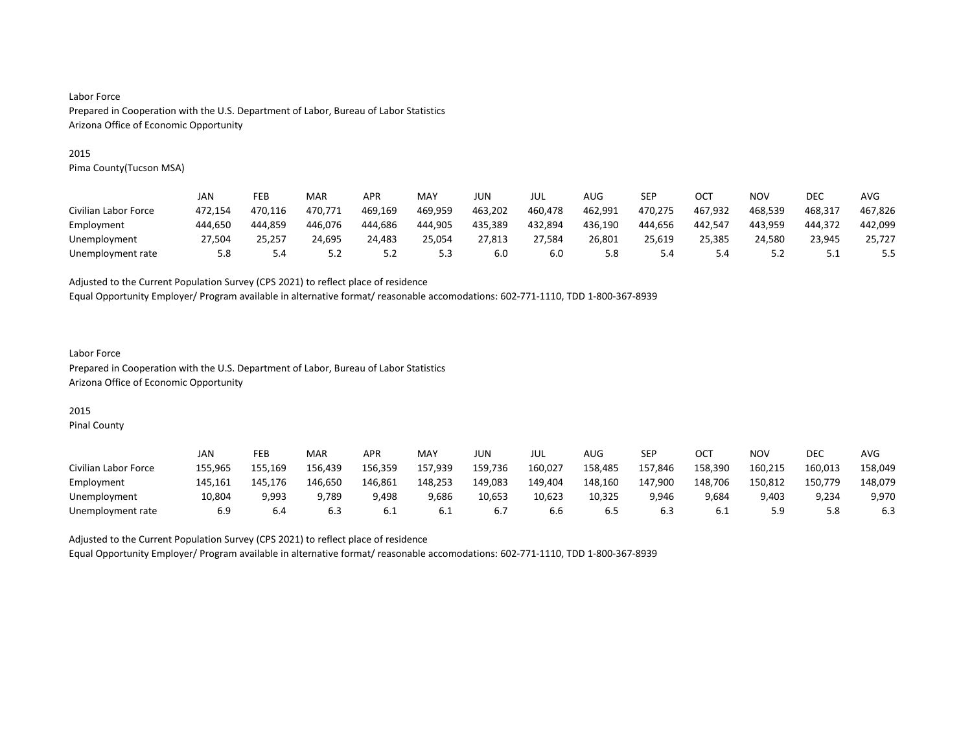#### 2015

Pima County(Tucson MSA)

|                      | JAN     | FEB     | MAR     | <b>APR</b> | MAY     | JUN     | jul     | AUG     | SEP     | OCT     | NOV     | DEC     | AVG     |
|----------------------|---------|---------|---------|------------|---------|---------|---------|---------|---------|---------|---------|---------|---------|
| Civilian Labor Force | 472.154 | 470.116 | 470.771 | 469.169    | 469,959 | 463,202 | 460,478 | 462,991 | 470,275 | 467.932 | 468,539 | 468.317 | 467,826 |
| Employment           | 444.650 | 444.859 | 446.076 | 444.686    | 444.905 | 435.389 | 432,894 | 436,190 | 444.656 | 442.547 | 443,959 | 444.372 | 442,099 |
| Unemployment         | 27.504  | 25.257  | 24.695  | 24.483     | 25.054  | 27.813  | 27.584  | 26.801  | 25.619  | 25.385  | 24.580  | 23.945  | 25.727  |
| Unemployment rate    | 5.8     | 5.4     | 5.2     | 5.2        | 5.3     | 6.0     | 6.0     | 5.8     | 5.4     | 5.4     | 5.2     | ــــ    | 5.5     |

Adjusted to the Current Population Survey (CPS 2021) to reflect place of residence

Equal Opportunity Employer/ Program available in alternative format/ reasonable accomodations: 602-771-1110, TDD 1-800-367-8939

### Labor Force Prepared in Cooperation with the U.S. Department of Labor, Bureau of Labor Statistics Arizona Office of Economic Opportunity

# 2015

Pinal County

|                      | JAN     | FEB     | <b>MAR</b> | APR     | <b>MAY</b> | JUN     | JUL     | AUG     | SEP     | $OC^{\intercal}$ | NO٧     | DEC     | AVG     |
|----------------------|---------|---------|------------|---------|------------|---------|---------|---------|---------|------------------|---------|---------|---------|
| Civilian Labor Force | 155.965 | 155.169 | 156.439    | 156.359 | 157,939    | 159,736 | 160,027 | 158,485 | 157.846 | 158.390          | 160,215 | 160,013 | 158,049 |
| Employment           | 145.161 | 145.176 | 146.650    | 146.861 | 148.253    | 149,083 | 149,404 | 148,160 | 147.900 | 148.706          | 150,812 | 150,779 | 148,079 |
| Unemployment         | 10.804  | 9.993   | 9.789      | 9.498   | 9.686      | 10.653  | 10.623  | 10.325  | 9.946   | 9,684            | 9.403   | 9.234   | 9,970   |
| Unemployment rate    | 6.9     | 6.4     | 6.3        | b.1     | 6.1        | b.,     | b.b     | 6.5     | 6.3     | b.1              | 5.9     |         | 6.3     |

Adjusted to the Current Population Survey (CPS 2021) to reflect place of residence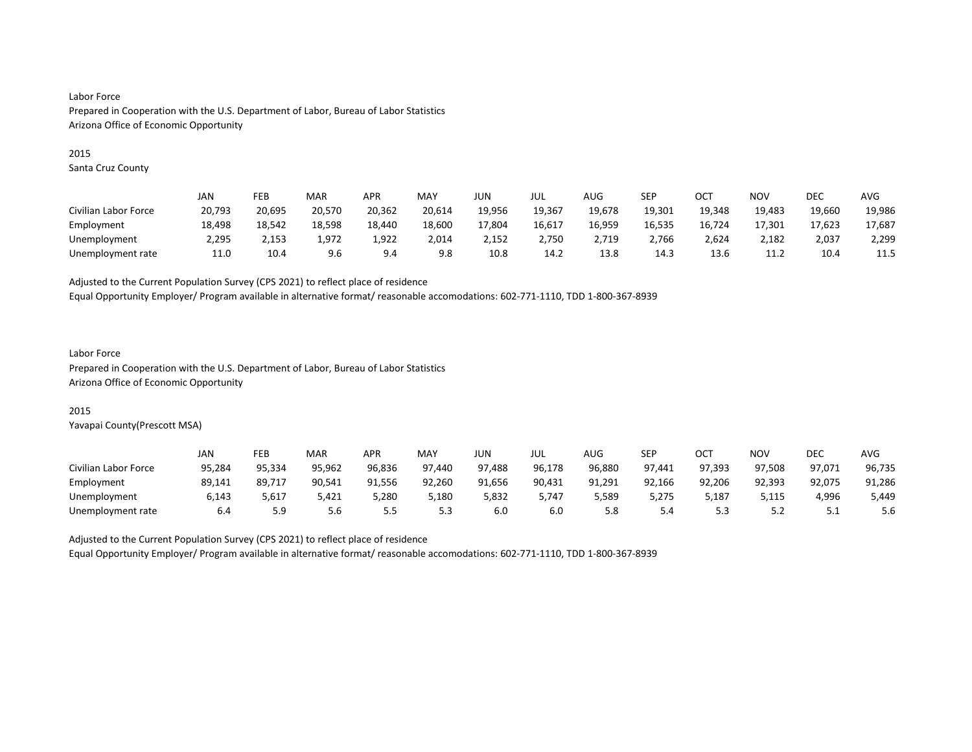#### 2015

Santa Cruz County

|                      | JAN    | FEB    | MAR    | APR    | MAY    | JUN    | JUL    | AUG    | SEP    | OC1    | NOV    | DEC    | AVG    |
|----------------------|--------|--------|--------|--------|--------|--------|--------|--------|--------|--------|--------|--------|--------|
| Civilian Labor Force | 20,793 | 20,695 | 20,570 | 20,362 | 20,614 | 19,956 | 19.367 | 19.678 | 19,301 | 19.348 | 19,483 | 19,660 | 19,986 |
| Employment           | 18,498 | 18.542 | 18,598 | 18,440 | 18,600 | 17,804 | 16,617 | 16,959 | 16,535 | 16,724 | 17.301 | 17.623 | 17,687 |
| Unemployment         | 2,295  | 2,153  | 1,972  | 1,922  | 2,014  | 2,152  | 2,750  | 2,719  | 2,766  | 2,624  | 2,182  | 2,037  | 2,299  |
| Unemployment rate    | 11.0   | 10.4   | 9.6    | 9.4    | 9.8    | 10.8   | 14.2   | 13.8   | 14.3   | 13.6   | 11.2   | 10.4   | 11.5   |

Adjusted to the Current Population Survey (CPS 2021) to reflect place of residence

Equal Opportunity Employer/ Program available in alternative format/ reasonable accomodations: 602-771-1110, TDD 1-800-367-8939

#### Labor Force

Prepared in Cooperation with the U.S. Department of Labor, Bureau of Labor Statistics Arizona Office of Economic Opportunity

### 2015

Yavapai County(Prescott MSA)

|                      | JAN    | FEB    | MAR    | <b>APR</b> | MAY    | <b>JUN</b> | JUL    | AUG    | SEP    | OCT    | NO۱    | DEC    | <b>AVG</b> |
|----------------------|--------|--------|--------|------------|--------|------------|--------|--------|--------|--------|--------|--------|------------|
| Civilian Labor Force | 95,284 | 95.334 | 95,962 | 96,836     | 97.440 | 97,488     | 96,178 | 96,880 | 97.441 | 97.393 | 97.508 | 97,071 | 96,735     |
| Employment           | 89,141 | 89,717 | 90,541 | 91,556     | 92,260 | 91,656     | 90,431 | 91,291 | 92,166 | 92,206 | 92,393 | 92,075 | 91,286     |
| Unemployment         | 6.143  | 5,617  | 5.421  | 5,280      | 5,180  | 5,832      | 5.747  | 5,589  | 5,275  | 187,د  | 5,115  | 4.996  | 5,449      |
| Unemployment rate    | 6.4    | 5.9    | 5.6    | ر.ر        | ر.ر    | 6.0        | 6.0    | 5.8    | 5.4    | ر.ر    | ے . د  | ــــ   | 5.6        |

Adjusted to the Current Population Survey (CPS 2021) to reflect place of residence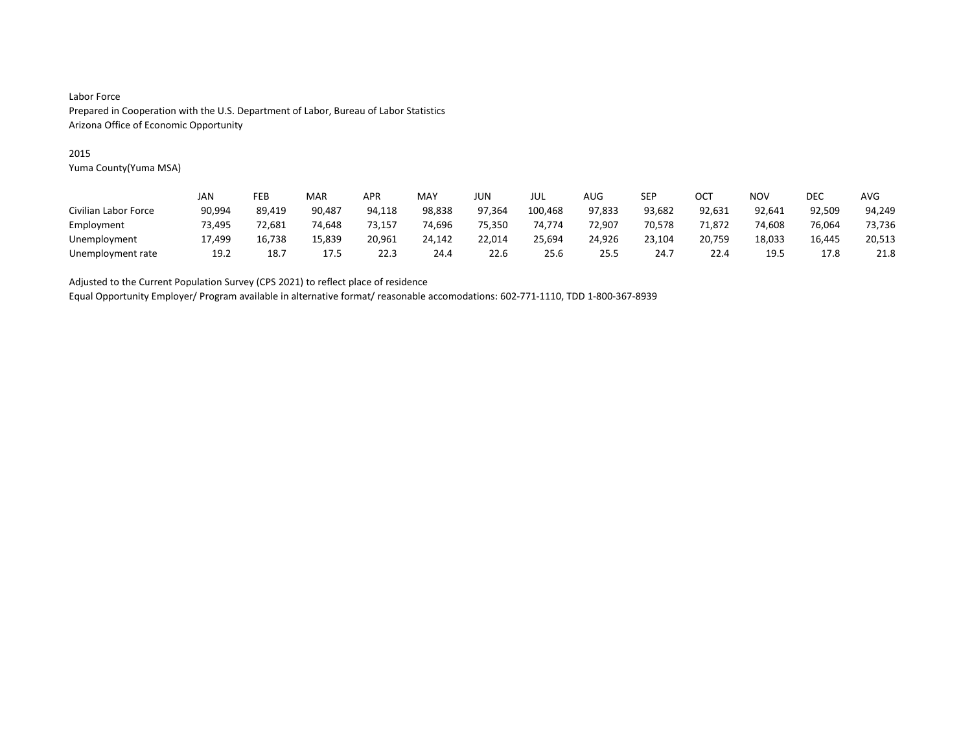### 2015

Yuma County(Yuma MSA)

|                      | JAN    | FEB    | MAR    | APR    | MAY    | <b>JUN</b> | JUL     | AUG    | SEP    | OCT    | ΝΟν    | <b>DEC</b> | AVG    |
|----------------------|--------|--------|--------|--------|--------|------------|---------|--------|--------|--------|--------|------------|--------|
| Civilian Labor Force | 90,994 | 89,419 | 90.487 | 94,118 | 98,838 | 97,364     | 100,468 | 97,833 | 93,682 | 92,631 | 92.641 | 92,509     | 94,249 |
| Employment           | 73.495 | 72.681 | 74.648 | 73.157 | 74.696 | 75.350     | 74.774  | 72.907 | 70.578 | 71.872 | 74.608 | 76.064     | 73,736 |
| Unemployment         | 17,499 | 16,738 | 15,839 | 20,961 | 24,142 | 22,014     | 25,694  | 24,926 | 23,104 | 20,759 | 18,033 | 16,445     | 20,513 |
| Unemployment rate    | 19.2   | 18.7   | 17.5   | 22.3   | 24.4   | 22.6       | 25.6    | 25.5   | 24.7   | 22.4   | 19.5   | 17.8       | 21.8   |

Adjusted to the Current Population Survey (CPS 2021) to reflect place of residence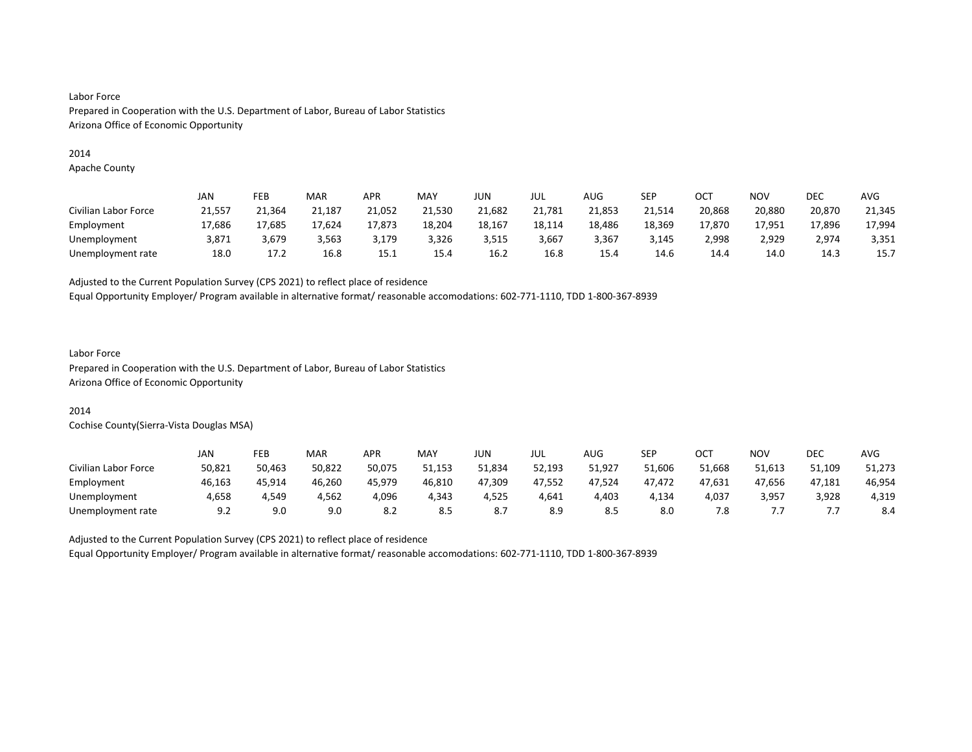#### 2014

Apache County

|                      | JAN    | FEB    | MAR    | APR    | MAY    | JUN    | JUL    | AUG    | SEP    | OC1    | <b>NOV</b> | DEC    | AVG    |
|----------------------|--------|--------|--------|--------|--------|--------|--------|--------|--------|--------|------------|--------|--------|
| Civilian Labor Force | 21,557 | 21.364 | 21,187 | 21,052 | 21,530 | 21,682 | 21,781 | 21,853 | 21,514 | 20,868 | 20,880     | 20,870 | 21,345 |
| Employment           | 17,686 | 17,685 | 17,624 | 17,873 | 18.204 | 18,167 | 18,114 | 18,486 | 18,369 | 17,870 | 17,951     | 17,896 | 17,994 |
| Unemployment         | 3.871  | 3.679  | 3.563  | 3,179  | 3,326  | 3,515  | 3,667  | 3,367  | 3.145  | 2.998  | 2,929      | 2.974  | 3,351  |
| Unemployment rate    | 18.0   | 17.2   | 16.8   | 15.1   | 15.4   | 16.2   | 16.8   | 15.4   | 14.6   | 14.4   | 14.0       | 14.3   | 15.7   |

Adjusted to the Current Population Survey (CPS 2021) to reflect place of residence

Equal Opportunity Employer/ Program available in alternative format/ reasonable accomodations: 602-771-1110, TDD 1-800-367-8939

# Labor Force

Prepared in Cooperation with the U.S. Department of Labor, Bureau of Labor Statistics Arizona Office of Economic Opportunity

#### 2014

Cochise County(Sierra-Vista Douglas MSA)

|                      | JAN    | FEB    | MAR    | <b>APR</b> | <b>MAY</b> | JUN.   | JUL    | <b>AUG</b> | <b>SEP</b> | ∩∩⊤<br>UC. | <b>NOV</b> | <b>DEC</b> | <b>AVG</b> |
|----------------------|--------|--------|--------|------------|------------|--------|--------|------------|------------|------------|------------|------------|------------|
| Civilian Labor Force | 50,821 | 50.463 | 50.822 | 50.075     | 51.153     | 51.834 | 52,193 | 51,927     | 51.606     | 51.668     | 51.613     | 51.109     | 51,273     |
| Employment           | 46,163 | 45,914 | 46,260 | 45.979     | 46,810     | 47,309 | 47,552 | 47,524     | 47.472     | 47,631     | 47,656     | 47,181     | 46,954     |
| Unemployment         | 4.658  | 4.549  | 4.562  | 4,096      | 4.343      | 4.525  | 4.641  | 4.403      | 4.134      | 4.037      | 3,957      | 3,928      | 4,319      |
| Unemployment rate    | 9.2    | 9.0    | 9.0    | 8.2        | 8.5        | ٥.,    | 8.9    | 8.5        | 8.0        | 7.8        |            |            | 8.4        |

Adjusted to the Current Population Survey (CPS 2021) to reflect place of residence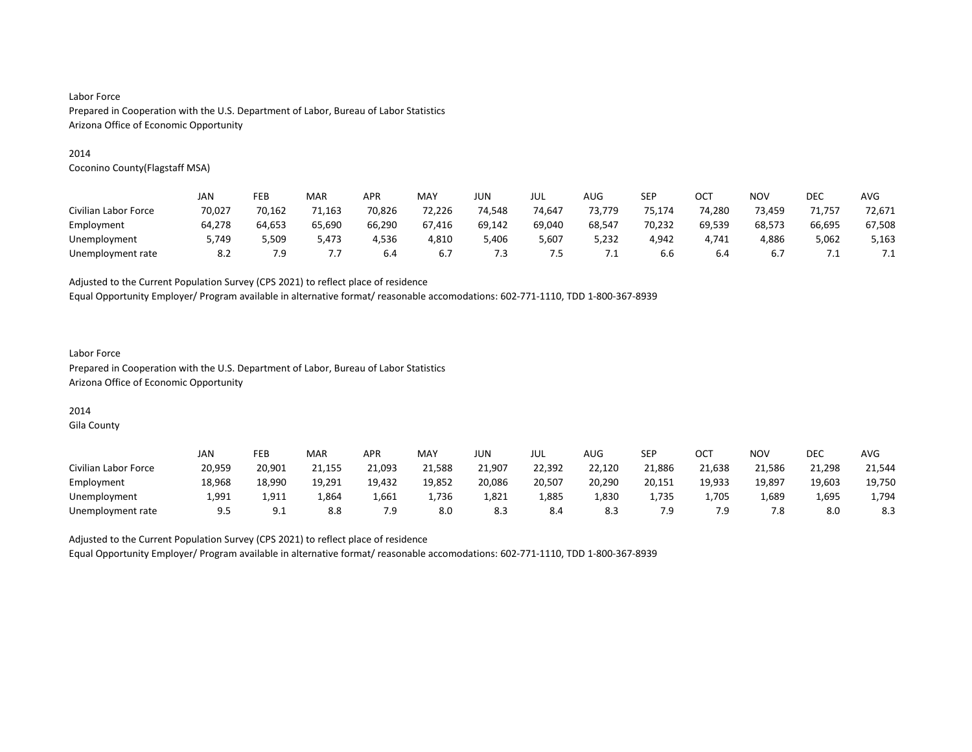#### 2014

Coconino County(Flagstaff MSA)

|                      | JAN    | FEB    | <b>MAR</b> | <b>APR</b> | MAY    | JUN    | jul    | AUG     | SEP    | OC1    | <b>NOV</b> | DEC    | AVG       |
|----------------------|--------|--------|------------|------------|--------|--------|--------|---------|--------|--------|------------|--------|-----------|
| Civilian Labor Force | 70,027 | 70,162 | 71,163     | 70,826     | 72,226 | 74.548 | 74,647 | 73.779  | 75.174 | 74,280 | 73,459     | 71,757 | 72,671    |
| Employment           | 64.278 | 64,653 | 65,690     | 66,290     | 67,416 | 69,142 | 69,040 | 68,547  | 70,232 | 69,539 | 68,573     | 66,695 | 67,508    |
| Unemployment         | 5.749  | 5.509  | 5.473      | 4.536      | 4.810  | 5.406  | 5.607  | 5.232   | 4.942  | 4.741  | 4.886      | 5,062  | 5,163     |
| Unemployment rate    | 8.2    | 7.9    | ٠.         | 6.4        | 6.7    | ر.'    | 7.5    | $\cdot$ | 6.6    | 6.4    | 6.7        | ـــ    | $\cdot$ . |

Adjusted to the Current Population Survey (CPS 2021) to reflect place of residence

Equal Opportunity Employer/ Program available in alternative format/ reasonable accomodations: 602-771-1110, TDD 1-800-367-8939

### Labor Force Prepared in Cooperation with the U.S. Department of Labor, Bureau of Labor Statistics Arizona Office of Economic Opportunity

# 2014

Gila County

|                      | JAN    | FEB      | MAR    | <b>APR</b> | MAY    | JUN    | JUL    | AUG    | SEP    | OCT    | NO۱    | DEC    | <b>AVG</b> |
|----------------------|--------|----------|--------|------------|--------|--------|--------|--------|--------|--------|--------|--------|------------|
| Civilian Labor Force | 20,959 | 20.901   | 21.155 | 21,093     | 21,588 | 21,907 | 22,392 | 22,120 | 21,886 | 21.638 | 21.586 | 21,298 | 21,544     |
| Employment           | 18,968 | 18,990   | 19,291 | 19,432     | 19,852 | 20,086 | 20,507 | 20,290 | 20,151 | 19,933 | 19,897 | 19,603 | 19,750     |
| Unemployment         | 1.991  | 1,911    | 1,864  | 1,661      | 736ء   | 1,821  | 1,885  | 1,830  | 1,735  | 1.705  | 1,689  | 1,695  | 1.794      |
| Unemployment rate    | 9.5    | <u>.</u> | 8.8    | 7.9        | 8.0    | 8.3    | 8.4    | 8.3    | 7.9    |        | 7.8    | 8.0    | 8.3        |

Adjusted to the Current Population Survey (CPS 2021) to reflect place of residence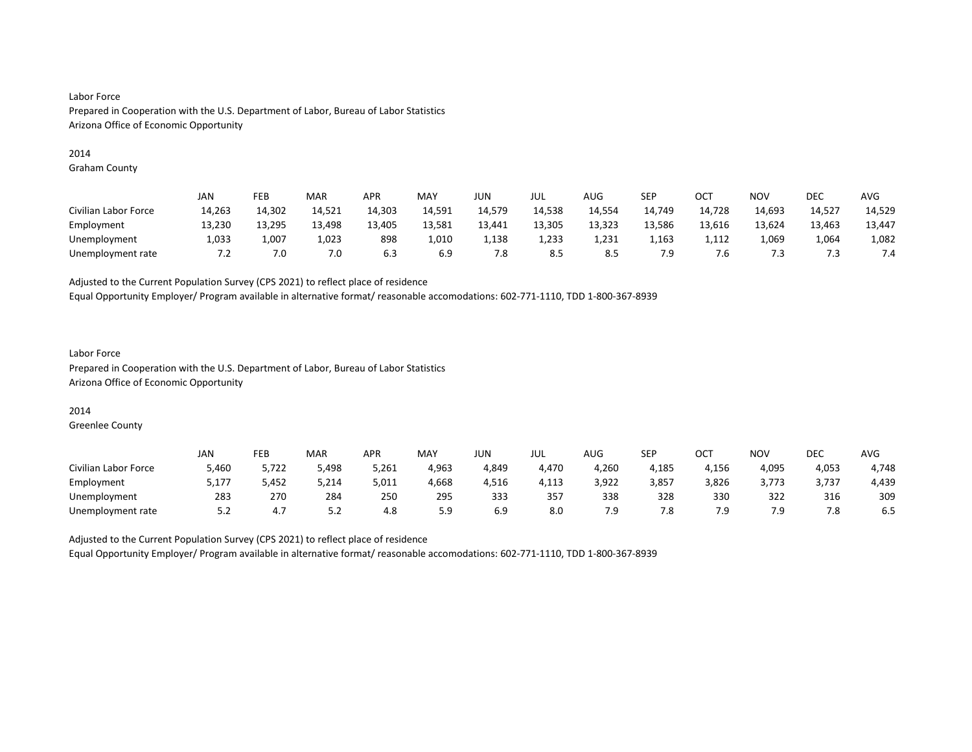#### 2014

Graham County

|                      | JAN    | FEB    | MAR    | <b>APR</b> | MAY    | JUN    | jul    | <b>AUG</b> | SEP    | OCT    | <b>NOV</b> | DEC    | <b>AVG</b> |
|----------------------|--------|--------|--------|------------|--------|--------|--------|------------|--------|--------|------------|--------|------------|
| Civilian Labor Force | 14,263 | 14,302 | 14,521 | 14,303     | 14,591 | 14,579 | 14,538 | 14,554     | 14,749 | 14,728 | 14,693     | 14,527 | 14,529     |
| Employment           | 13,230 | 13,295 | 13,498 | 13,405     | 13,581 | 13,441 | 13,305 | 13,323     | 13,586 | 13,616 | 13,624     | 13,463 | 13,447     |
| Unemployment         | 1,033  | 1,007  | 1,023  | 898        | 1.010  | 1.138  | 1,233  | 1.231      | 1,163  | 1.112  | 1,069      | 1,064  | 1,082      |
| Unemployment rate    | ے. ا   | 7.0    | 7.0    | 6.3        | 6.9    | 7.8    | 8.5    | 8.5        | 7.9    | ′.б    | 7.3        | د.'    | 7.4        |

Adjusted to the Current Population Survey (CPS 2021) to reflect place of residence

Equal Opportunity Employer/ Program available in alternative format/ reasonable accomodations: 602-771-1110, TDD 1-800-367-8939

### Labor Force Prepared in Cooperation with the U.S. Department of Labor, Bureau of Labor Statistics Arizona Office of Economic Opportunity

### 2014

Greenlee County

|                      | <b>JAN</b> | FEB   | MAR   | <b>APR</b> | MAY   | <b>JUN</b> | JUL   | <b>AUG</b> | <b>SEP</b> | ост   | NO۱   | <b>DEC</b> | AVG   |
|----------------------|------------|-------|-------|------------|-------|------------|-------|------------|------------|-------|-------|------------|-------|
| Civilian Labor Force | 5,460      | 5,722 | 5,498 | 5,261      | 4,963 | 4,849      | 4,470 | 4,260      | 4,185      | 4,156 | 4,095 | 4,053      | 4,748 |
| Employment           | 177,د      | 5,452 | 5,214 | 5,011      | 4,668 | 4,516      | 4,113 | 3,922      | 3,857      | 3,826 | 3,773 | 3,737      | 4,439 |
| Unemployment         | 283        | 270   | 284   | 250        | 295   | 333        | 357   | 338        | 328        | 330   | 322   | 316        | 309   |
| Unemployment rate    | 5.2        | 4.,   | ے . د | 4.8        | 5.9   | 6.9        | 8.0   | 7.9        | 7.8        | 7.9   | 7.9   | 7.8        | 6.5   |

Adjusted to the Current Population Survey (CPS 2021) to reflect place of residence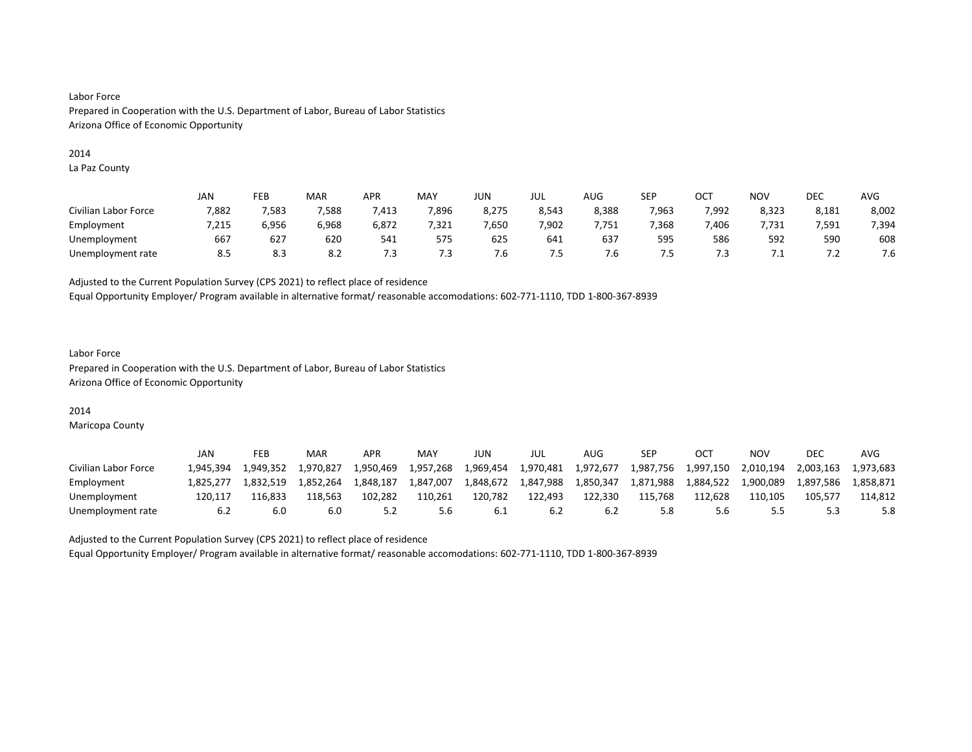#### 2014

La Paz County

|                      | <b>JAN</b> | FEB   | MAR   | <b>APR</b> | MAY   | JUN    | JUL   | AUG   | <b>SEP</b> | OCT   | NO <sub>V</sub> | <b>DEC</b> | <b>AVG</b> |
|----------------------|------------|-------|-------|------------|-------|--------|-------|-------|------------|-------|-----------------|------------|------------|
| Civilian Labor Force | 7,882      | 7,583 | 7,588 | 413,       | 7,896 | 8,275  | 8,543 | 8,388 | 7,963      | 7,992 | 8,323           | 8,181      | 8,002      |
| Employment           | 7,215      | 6.956 | 6,968 | 6,872      | 7,321 | 7,650  | 7,902 | 7.751 | 7,368      | .406  | .731            | 7.591      | 7,394      |
| Unemployment         | 667        | 627   | 620   | 541        | 575   | 625    | 641   | 637   | 595        | 586   | 592             | 590        | 608        |
| Unemployment rate    | 8.5        | 8.3   | 8.2   | د./        | 7.3   | . ס. ∕ | . ت   | ∴ס.   | כ. ו       | . . ت | .               | .          | 7.6        |

Adjusted to the Current Population Survey (CPS 2021) to reflect place of residence

Equal Opportunity Employer/ Program available in alternative format/ reasonable accomodations: 602-771-1110, TDD 1-800-367-8939

### Labor Force Prepared in Cooperation with the U.S. Department of Labor, Bureau of Labor Statistics Arizona Office of Economic Opportunity

#### 2014

Maricopa County

|                      | JAN       | FEB       | MAR       | APR       | MAY       | JUN       | JUL       | AUG       | SEP       | OC1       | NOV       | DEC       | AVG       |
|----------------------|-----------|-----------|-----------|-----------|-----------|-----------|-----------|-----------|-----------|-----------|-----------|-----------|-----------|
| Civilian Labor Force | L.945.394 | 1.949.352 | 1.970.827 | 1.950.469 | 1.957.268 | 1.969.454 | 1.970.481 | 1,972,677 | 1,987,756 | 1.997.150 | 2.010.194 | 2.003.163 | 1.973.683 |
| Employment           | 1.825.277 | 1.832.519 | 1.852.264 | 1.848.187 | 1,847,007 | 1,848,672 | 1,847,988 | 1.850.347 | 1,871,988 | 1.884.522 | 1.900.089 | 1.897.586 | l.858.871 |
| Unemployment         | 120.117   | 116.833   | 118.563   | 102.282   | 110.261   | 120.782   | 122.493   | 122.330   | 115.768   | 112.628   | 110.105   | 105.577   | 114.812   |
| Unemployment rate    |           | 6.0       | 6.0       |           | 5.6       | 6.1       | 6.2       | 6.2       | 5.8       | 5.6       | 5.5       |           | 5.8       |

Adjusted to the Current Population Survey (CPS 2021) to reflect place of residence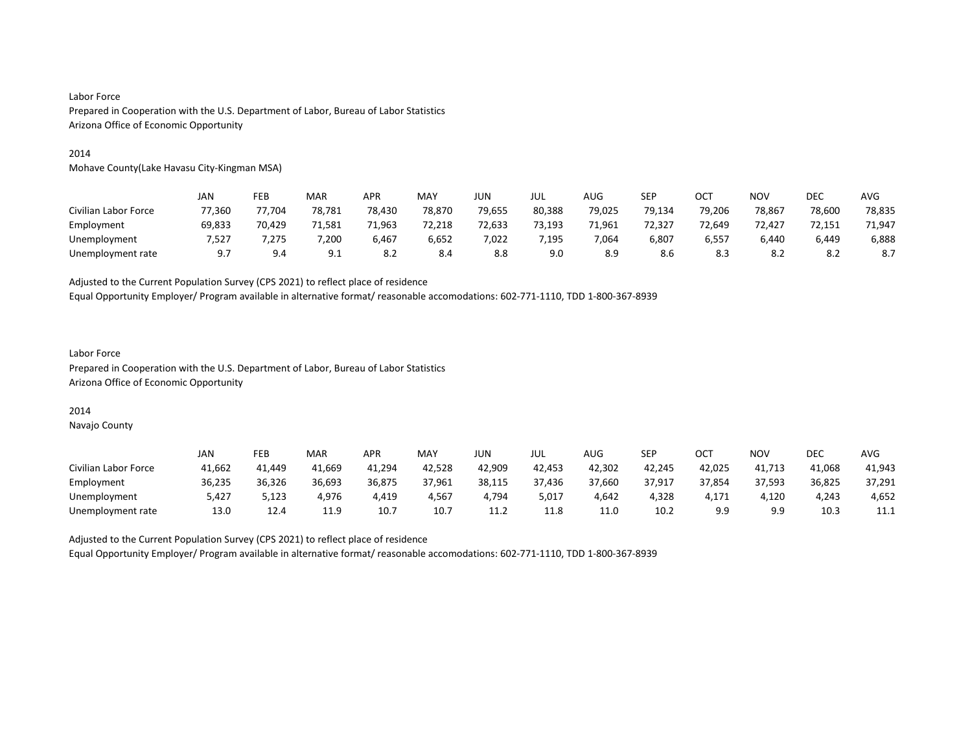#### 2014

Mohave County(Lake Havasu City-Kingman MSA)

|                      | JAN    | FEB    | MAR    | APR    | MAY    | JUN    | jul    | AUG    | SEP    | OCT    | <b>NOV</b> | <b>DEC</b> | <b>AVG</b> |
|----------------------|--------|--------|--------|--------|--------|--------|--------|--------|--------|--------|------------|------------|------------|
| Civilian Labor Force | 77.360 | 77.704 | 78,781 | 78,430 | 78,870 | 79,655 | 80,388 | 79,025 | 79.134 | 79,206 | 78,867     | 78,600     | 78,835     |
| Employment           | 69.833 | 70.429 | 71.581 | 71,963 | 72.218 | 72,633 | 73.193 | 71.961 | 72.327 | 72.649 | 72.427     | 72.151     | 71.947     |
| Unemployment         | 7,527  | ',275  | 7,200  | 6,467  | 6,652  | 7,022  | 7,195  | 7,064  | 6,807  | 6,557  | 6,440      | 6,449      | 6,888      |
| Unemployment rate    | 9.7    | 9.4    | 9.1    | 8.2    | 8.4    | 8.8    | 9.0    | 8.9    | 8.6    | 8.3    | 8.2        |            | 8.7        |

Adjusted to the Current Population Survey (CPS 2021) to reflect place of residence

Equal Opportunity Employer/ Program available in alternative format/ reasonable accomodations: 602-771-1110, TDD 1-800-367-8939

### Labor Force Prepared in Cooperation with the U.S. Department of Labor, Bureau of Labor Statistics Arizona Office of Economic Opportunity

#### 2014

Navajo County

|                      | JAN    | FEB    | MAR    | APR    | MAY    | JUN.   | JUL    | <b>AUG</b> | <b>SEP</b> | OCT    | NO٧    | DEC    | AVG    |
|----------------------|--------|--------|--------|--------|--------|--------|--------|------------|------------|--------|--------|--------|--------|
| Civilian Labor Force | 41,662 | 41.449 | 41.669 | 41,294 | 42,528 | 42.909 | 42.453 | 42,302     | 42,245     | 42,025 | 41,713 | 41.068 | 41,943 |
| Employment           | 36,235 | 36,326 | 36.693 | 36,875 | 37.961 | 38,115 | 37,436 | 37,660     | 37.917     | 37,854 | 37.593 | 36,825 | 37,291 |
| Unemployment         | 5.427  | 123,د  | 4.976  | 4.419  | 4.567  | 4.794  | 5,017  | 4.642      | 4,328      | 4.171  | 4,120  | 4.243  | 4,652  |
| Unemployment rate    | 13.0   | 12.4   | 11.9   | 10.7   | 10.7   | 11.2   | 11.8   | 11.0       | 10.2       | 9.9    | 9.9    | 10.3   | 11.1   |

Adjusted to the Current Population Survey (CPS 2021) to reflect place of residence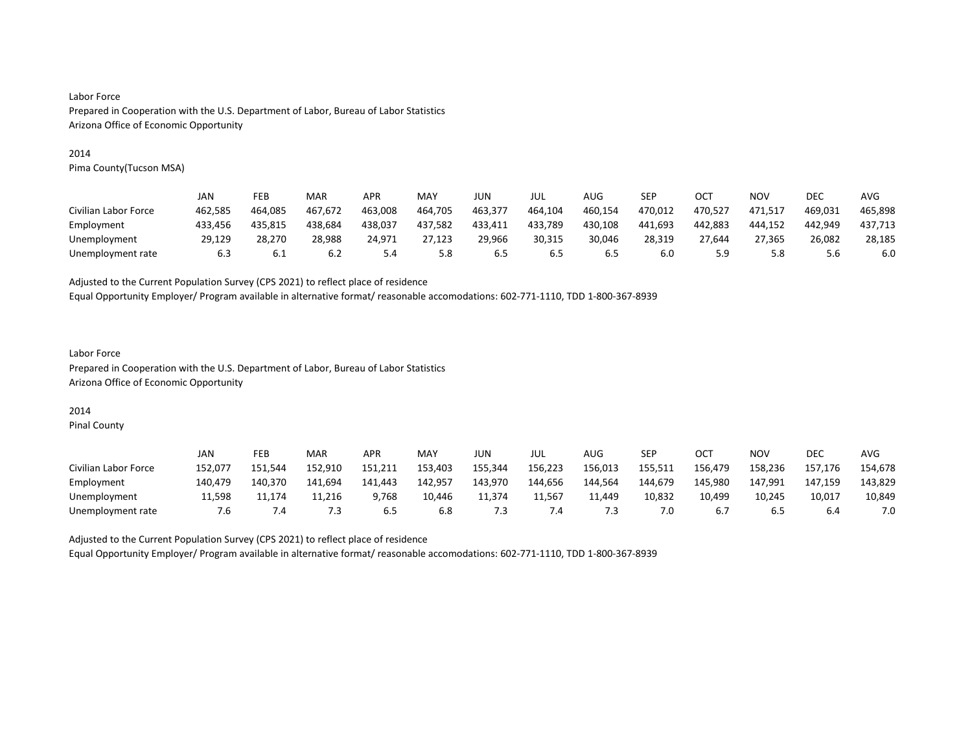#### 2014

Pima County(Tucson MSA)

|                      | JAN     | FEB     | MAR     | <b>APR</b> | MAY     | JUN     | jul     | AUG     | SEP     | OC1     | NOV     | DEC     | AVG     |
|----------------------|---------|---------|---------|------------|---------|---------|---------|---------|---------|---------|---------|---------|---------|
| Civilian Labor Force | 462.585 | 464.085 | 467.672 | 463.008    | 464,705 | 463,377 | 464,104 | 460.154 | 470.012 | 470.527 | 471.517 | 469.031 | 465.898 |
| Employment           | 433.456 | 435.815 | 438.684 | 438,037    | 437,582 | 433.411 | 433,789 | 430.108 | 441.693 | 442.883 | 444.152 | 442.949 | 437,713 |
| Unemployment         | 29.129  | 28.270  | 28.988  | 24.971     | 27.123  | 29.966  | 30.315  | 30.046  | 28.319  | 27.644  | 27.365  | 26.082  | 28.185  |
| Unemployment rate    | 6.3     | 6.1     | 6.2     | 5.4        | 5.8     | 6.5     | 6.5     | 6.5     | 6.0     | 5.9     | 5.8     | 5.6     | 6.0     |

Adjusted to the Current Population Survey (CPS 2021) to reflect place of residence

Equal Opportunity Employer/ Program available in alternative format/ reasonable accomodations: 602-771-1110, TDD 1-800-367-8939

### Labor Force Prepared in Cooperation with the U.S. Department of Labor, Bureau of Labor Statistics Arizona Office of Economic Opportunity

# 2014

Pinal County

|                      | JAN     | FEB     | MAR     | APR     | MAY     | JUN -   | JUL     | AUG     | <b>SEP</b> | ост     | NOV     | DEC     | <b>AVG</b> |
|----------------------|---------|---------|---------|---------|---------|---------|---------|---------|------------|---------|---------|---------|------------|
| Civilian Labor Force | 152.077 | 151.544 | 152.910 | 151.211 | 153.403 | 155,344 | 156,223 | 156.013 | 155.511    | 156.479 | 158,236 | 157.176 | 154,678    |
| Employment           | 140.479 | 140.370 | 141.694 | 141.443 | 142.957 | 143.970 | 144,656 | 144.564 | 144.679    | 145.980 | 147,991 | 147.159 | 143,829    |
| Unemployment         | 11.598  | 11.174  | 11.216  | 9,768   | 10.446  | 11.374  | 11.567  | 11.449  | 10.832     | 10,499  | 10.245  | 10,017  | 10,849     |
| Unemployment rate    | '.6     | .4      | 7.3     | 6.5     | 6.8     | ٠3      | -.4     | 5       | 7.0        | b.,     | 6.5     | b.4     | 7.0        |

Adjusted to the Current Population Survey (CPS 2021) to reflect place of residence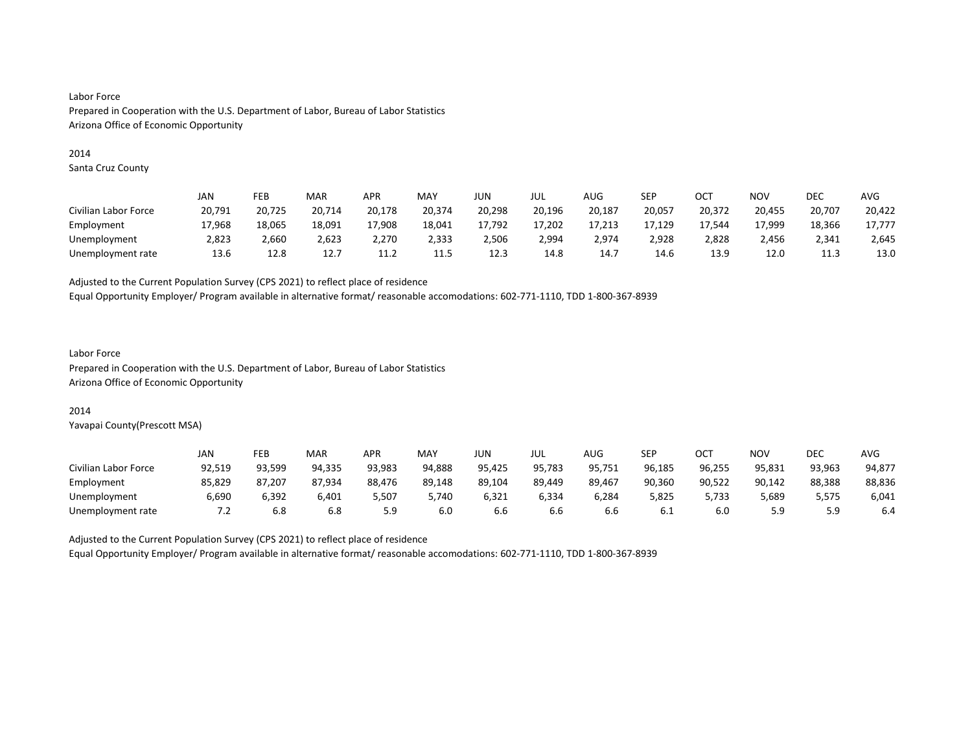#### 2014

Santa Cruz County

|                      | JAN    | FEB    | MAR    | APR    | <b>MAY</b> | JUN    | JUL    | AUG    | SEP    | OC1    | NOV    | DEC    | AVG    |
|----------------------|--------|--------|--------|--------|------------|--------|--------|--------|--------|--------|--------|--------|--------|
| Civilian Labor Force | 20,791 | 20,725 | 20,714 | 20,178 | 20,374     | 20,298 | 20,196 | 20,187 | 20,057 | 20,372 | 20,455 | 20,707 | 20,422 |
| Employment           | 17.968 | 18,065 | 18,091 | 17.908 | 18,041     | 17.792 | 17.202 | 17.213 | 17,129 | 17.544 | 17,999 | 18,366 | 17.777 |
| Unemployment         | 2,823  | 2,660  | 2,623  | 2,270  | 2,333      | 2,506  | 2,994  | 2,974  | 2,928  | 2,828  | 2,456  | 2,341  | 2,645  |
| Unemployment rate    | 13.6   | 12.8   | 12.7   | 11.2   | 11.5       | 12.3   | 14.8   | 14.7   | 14.6   | 13.9   | 12.0   | 11.3   | 13.0   |

Adjusted to the Current Population Survey (CPS 2021) to reflect place of residence

Equal Opportunity Employer/ Program available in alternative format/ reasonable accomodations: 602-771-1110, TDD 1-800-367-8939

#### Labor Force

Prepared in Cooperation with the U.S. Department of Labor, Bureau of Labor Statistics Arizona Office of Economic Opportunity

#### 2014

Yavapai County(Prescott MSA)

|                      | JAN                      | FEB    | MAR    | <b>APR</b> | MAY    | <b>JUN</b> | JUL    | AUG    | SEP    | ост    | NO٧        | <b>DEC</b> | AVG    |
|----------------------|--------------------------|--------|--------|------------|--------|------------|--------|--------|--------|--------|------------|------------|--------|
| Civilian Labor Force | 92,519                   | 93.599 | 94,335 | 93,983     | 94,888 | 95,425     | 95,783 | 95,751 | 96,185 | 96,255 | 95,831     | 93,963     | 94,877 |
| Employment           | 85,829                   | 87.207 | 87.934 | 88,476     | 89.148 | 89.104     | 89,449 | 89,467 | 90.360 | 90,522 | 90.142     | 88,388     | 88,836 |
| Unemployment         | 6,690                    | 6,392  | 6,401  | 507,د      | 5,740  | 6,321      | 6,334  | 6,284  | 5,825  | 5.733  | 5,689      | 5.575      | 6,041  |
| Unemployment rate    | $\overline{\phantom{a}}$ | 6.8    | 6.8    | 5.9        | 6.0    | b.b        | 6.6    | b.b    | 6.1    | 6.0    | 59<br>ت. ب |            | 6.4    |

Adjusted to the Current Population Survey (CPS 2021) to reflect place of residence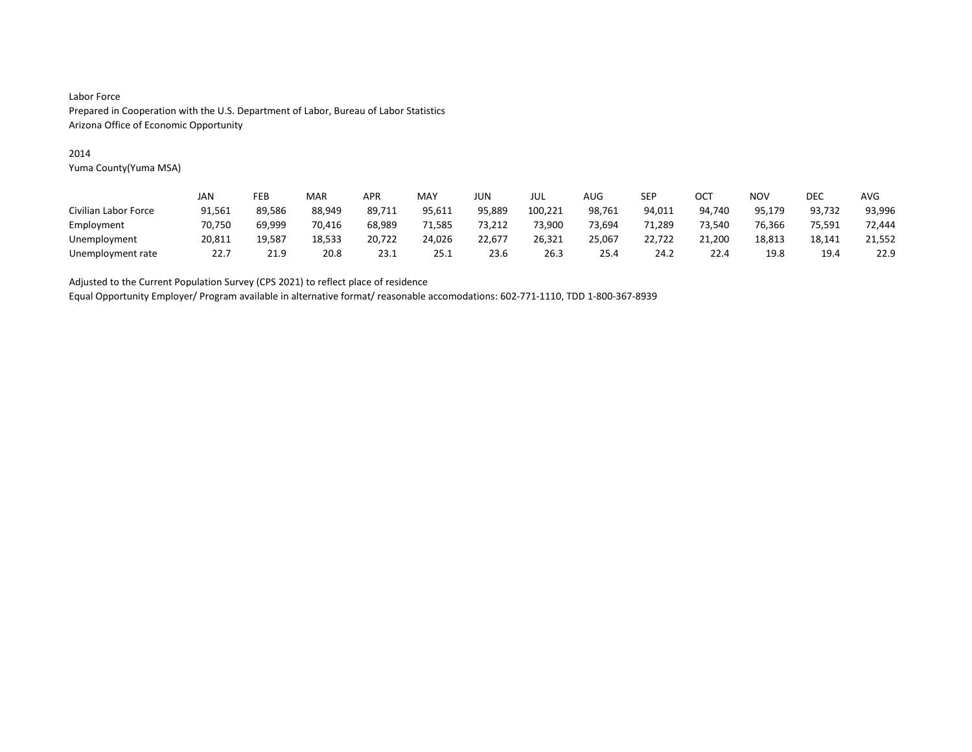#### 2014

Yuma County(Yuma MSA)

|                      | JAN    | FEB    | MAR    | APR    | MAY    | JUN    | JUL     | AUG    | SEP    | OCT    | NOV    | DEC    | <b>AVG</b> |
|----------------------|--------|--------|--------|--------|--------|--------|---------|--------|--------|--------|--------|--------|------------|
| Civilian Labor Force | 91,561 | 89.586 | 88.949 | 89,711 | 95,611 | 95,889 | 100,221 | 98,761 | 94,011 | 94.740 | 95,179 | 93,732 | 93,996     |
| Employment           | 70.750 | 69.999 | 70,416 | 68.989 | 71,585 | 73,212 | 73.900  | 73,694 | 71,289 | 73,540 | 76.366 | 75,591 | 72.444     |
| Unemployment         | 20,811 | 19,587 | 18,533 | 20,722 | 24,026 | 22.677 | 26,321  | 25,067 | 22,722 | 21.200 | 18,813 | 18,141 | 21,552     |
| Unemployment rate    | 22.7   | 21.9   | 20.8   | 23.1   | 25.1   | 23.6   | 26.3    | 25.4   | 24.2   | 22.4   | 19.8   | 19.4   | 22.9       |

Adjusted to the Current Population Survey (CPS 2021) to reflect place of residence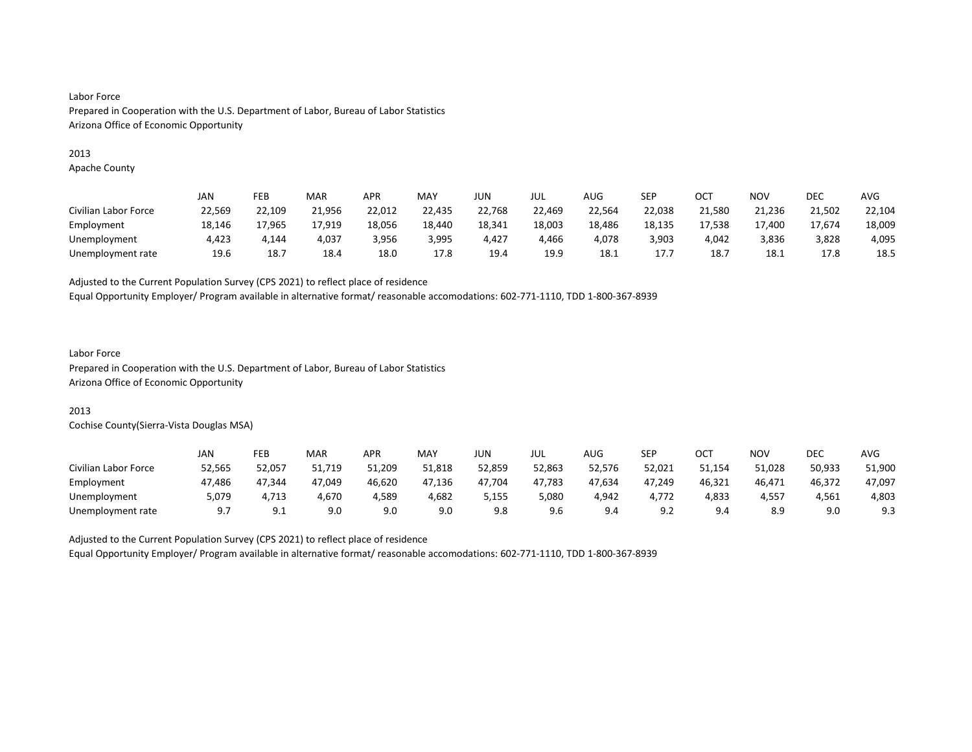#### 2013

Apache County

|                      | JAN    | FEB    | MAR    | APR    | MAY    | JUN    | JUL    | AUG    | SEP    | OC1    | <b>NOV</b> | DEC    | AVG    |
|----------------------|--------|--------|--------|--------|--------|--------|--------|--------|--------|--------|------------|--------|--------|
| Civilian Labor Force | 22,569 | 22.109 | 21,956 | 22,012 | 22,435 | 22,768 | 22,469 | 22.564 | 22,038 | 21.580 | 21,236     | 21,502 | 22,104 |
| Employment           | 18,146 | 17,965 | 17,919 | 18,056 | 18,440 | 18,341 | 18,003 | 18,486 | 18,135 | 17,538 | 17,400     | 17,674 | 18,009 |
| Unemployment         | 4.423  | 4.144  | 4.037  | 3,956  | 3,995  | 4.427  | 4.466  | 4.078  | 3,903  | 4.042  | 3,836      | 3,828  | 4,095  |
| Unemployment rate    | 19.6   | 18.7   | 18.4   | 18.0   | 17.8   | 19.4   | 19.9   | 18.1   | 17.7   | 18.    | 18.1       | 17.8   | 18.5   |

Adjusted to the Current Population Survey (CPS 2021) to reflect place of residence

Equal Opportunity Employer/ Program available in alternative format/ reasonable accomodations: 602-771-1110, TDD 1-800-367-8939

#### Labor Force

Prepared in Cooperation with the U.S. Department of Labor, Bureau of Labor Statistics Arizona Office of Economic Opportunity

### 2013

Cochise County(Sierra-Vista Douglas MSA)

|                      | JAN       | FEB      | MAR    | <b>APR</b> | MAY    | JUN    | JUL    | AUG    | SEP    | OCT    | NO۱    | DEC    | <b>AVG</b> |
|----------------------|-----------|----------|--------|------------|--------|--------|--------|--------|--------|--------|--------|--------|------------|
| Civilian Labor Force | 52,565    | 52,057   | 51,719 | 51,209     | 51,818 | 52,859 | 52,863 | 52,576 | 52,021 | 51,154 | 51,028 | 50,933 | 51,900     |
| Employment           | 47,486    | 47.344   | 47.049 | 46,620     | 47,136 | 47,704 | 47,783 | 47,634 | 47,249 | 46,321 | 46,471 | 46,372 | 47,097     |
| Unemployment         | 5.079     | 4.713    | 4,670  | 4.589      | 4,682  | 5,155  | 5,080  | 4,942  | 4.772  | 4,833  | 4,557  | 4.561  | 4,803      |
| Unemployment rate    | <u>.,</u> | <u>.</u> | 9.0    | 9.0        | 9.0    | 9.8    | 9.6    | 9.4    | 9.2    | 9.4    | 8.9    | 9.0    | 9.3        |

Adjusted to the Current Population Survey (CPS 2021) to reflect place of residence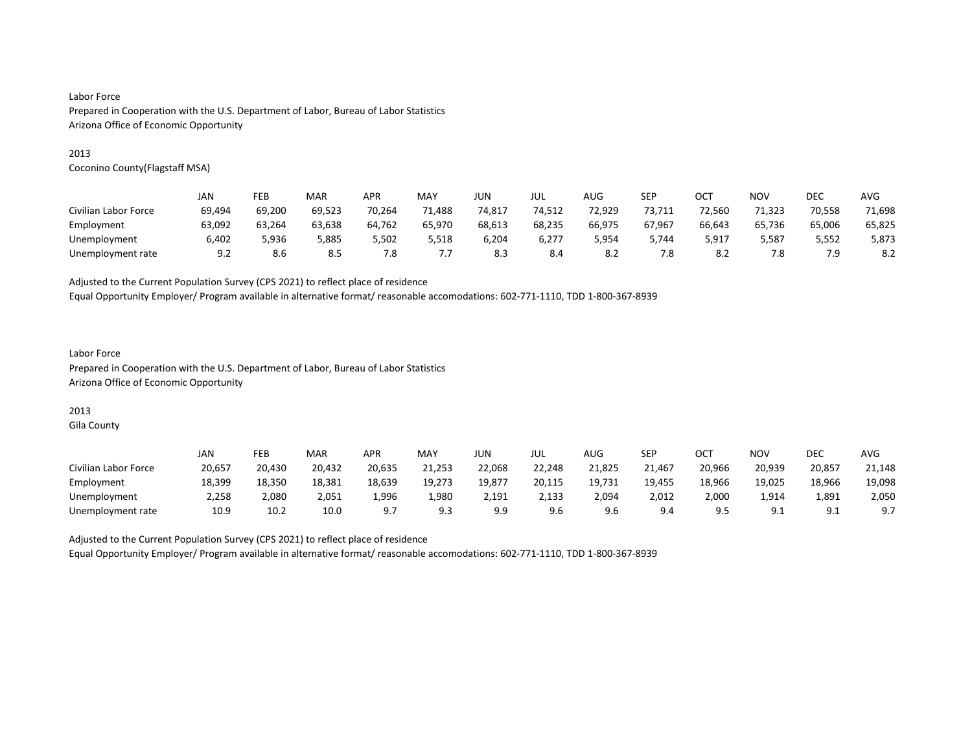#### 2013

Coconino County(Flagstaff MSA)

|                      | JAN    | FEB    | MAR    | <b>APR</b> | MAY    | JUN    | JUL    | AUG    | <b>SEP</b> | OC1    | <b>NOV</b> | DEC    | AVG    |
|----------------------|--------|--------|--------|------------|--------|--------|--------|--------|------------|--------|------------|--------|--------|
| Civilian Labor Force | 69,494 | 69.200 | 69,523 | 70,264     | '1,488 | 74,817 | 74,512 | 72,929 | 73,711     | 72.560 | 71,323     | 70,558 | 71,698 |
| Employment           | 63.092 | 63.264 | 63.638 | 64.762     | 65,970 | 68.613 | 68,235 | 66.975 | 67.967     | 66.643 | 65,736     | 65,006 | 65,825 |
| Unemployment         | 6,402  | 5,936  | 5,885  | 5,502      | 5,518  | 6,204  | 6,277  | 5,954  | 5,744      | 5,917  | 5,587      | 5,552  | 5,873  |
| Unemployment rate    | 9.2    | 8.6    | 8.5    | 7.8        | ٠.     | 8.3    | 8.4    | 8.2    | 7.8        | 8.2    | 7.8        | 7.9    | 8.2    |

Adjusted to the Current Population Survey (CPS 2021) to reflect place of residence

Equal Opportunity Employer/ Program available in alternative format/ reasonable accomodations: 602-771-1110, TDD 1-800-367-8939

### Labor Force Prepared in Cooperation with the U.S. Department of Labor, Bureau of Labor Statistics Arizona Office of Economic Opportunity

# 2013

Gila County

|                      | JAN    | FEB    | MAR    | <b>APR</b> | MAY    | JUN    | JUL    | AUG    | SEP    | OCT    | <b>NOV</b> | DEC             | <b>AVG</b> |
|----------------------|--------|--------|--------|------------|--------|--------|--------|--------|--------|--------|------------|-----------------|------------|
| Civilian Labor Force | 20,657 | 20.430 | 20,432 | 20,635     | 21,253 | 22,068 | 22,248 | 21,825 | 21,467 | 20,966 | 20,939     | 20,857          | 21,148     |
| Employment           | 18,399 | 18,350 | 18,381 | 18,639     | 19,273 | 19,877 | 20,115 | 19,731 | 19,455 | 18,966 | 19,025     | 18,966          | 19,098     |
| Unemployment         | 2.258  | 2,080  | 2,051  | 1,996      | 1,980  | 2.191  | 2,133  | 2,094  | 2,012  | 2,000  | 1,914      | 1,891           | 2,050      |
| Unemployment rate    | 10.9   | 10.2   | 10.0   |            | 9.3    | a a    | 9.6    | 9.6    | 9.4    |        | 9.1        | ، ۵<br><u>.</u> | 9.7        |

Adjusted to the Current Population Survey (CPS 2021) to reflect place of residence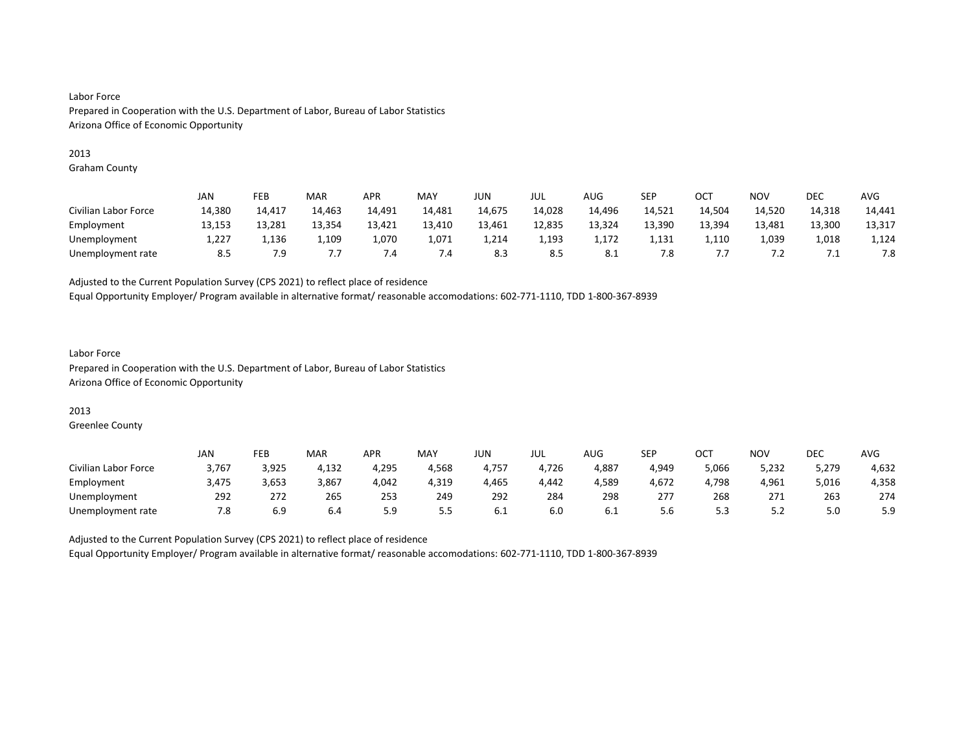#### 2013

Graham County

|                      | JAN    | FEB    | MAR    | <b>APR</b> | MAY    | JUN    | jul    | <b>AUG</b> | SEP    | OCT             | <b>NOV</b> | DEC    | <b>AVG</b> |
|----------------------|--------|--------|--------|------------|--------|--------|--------|------------|--------|-----------------|------------|--------|------------|
| Civilian Labor Force | 14,380 | 14,417 | 14,463 | 14,491     | 14,481 | 14,675 | 14,028 | 14,496     | 14,521 | 14,504          | 14,520     | 14,318 | 14,441     |
| Employment           | 13,153 | 13.281 | 13,354 | 13,421     | 13,410 | 13,461 | 12,835 | 13,324     | 13,390 | 13,394          | 13,481     | 13,300 | 13,317     |
| Unemployment         | 1,227  | 1,136  | 1,109  | 1,070      | 1,071  | 4,214  | 1,193  | 1,172      | 1,131  | 1,110           | 1,039      | 1,018  | 1,124      |
| Unemployment rate    | 8.5    | 7.9    | . .    | 4. ا       | 7.4    | 8.3    | 8.5    | 8.1        | 7.8    | $\cdot$ $\cdot$ | ے ،        | ــ .   | 7.8        |

Adjusted to the Current Population Survey (CPS 2021) to reflect place of residence

Equal Opportunity Employer/ Program available in alternative format/ reasonable accomodations: 602-771-1110, TDD 1-800-367-8939

### Labor Force Prepared in Cooperation with the U.S. Department of Labor, Bureau of Labor Statistics Arizona Office of Economic Opportunity

### 2013

Greenlee County

|                      | <b>JAN</b> | FEB   | MAR   | <b>APR</b> | MAY        | JUN   | JUL   | <b>AUG</b> | <b>SEP</b> | ост   | NO۱   | <b>DEC</b> | AVG   |
|----------------------|------------|-------|-------|------------|------------|-------|-------|------------|------------|-------|-------|------------|-------|
| Civilian Labor Force | 3,767      | 3,925 | 4,132 | 4,295      | 4,568      | 4,757 | 4,726 | 4,887      | 4,949      | 5,066 | 5,232 | 5,279      | 4,632 |
| Employment           | 3,475      | 3,653 | 3,867 | 4,042      | 4,319      | 4,465 | 4,442 | 4,589      | 4,672      | 1,798 | 4,961 | 5,016      | 4,358 |
| Unemployment         | 292        | 272   | 265   | 253        | 249        | 292   | 284   | 298        | 277        | 268   | 271   | 263        | 274   |
| Unemployment rate    | 7.8        | 6.9   | 6.4   | 5.9        | - -<br>ر.ر | 6.1   | 6.0   | 6.I        | 5.6        | ر.ر   | ے . د | 5.0        | 5.9   |

Adjusted to the Current Population Survey (CPS 2021) to reflect place of residence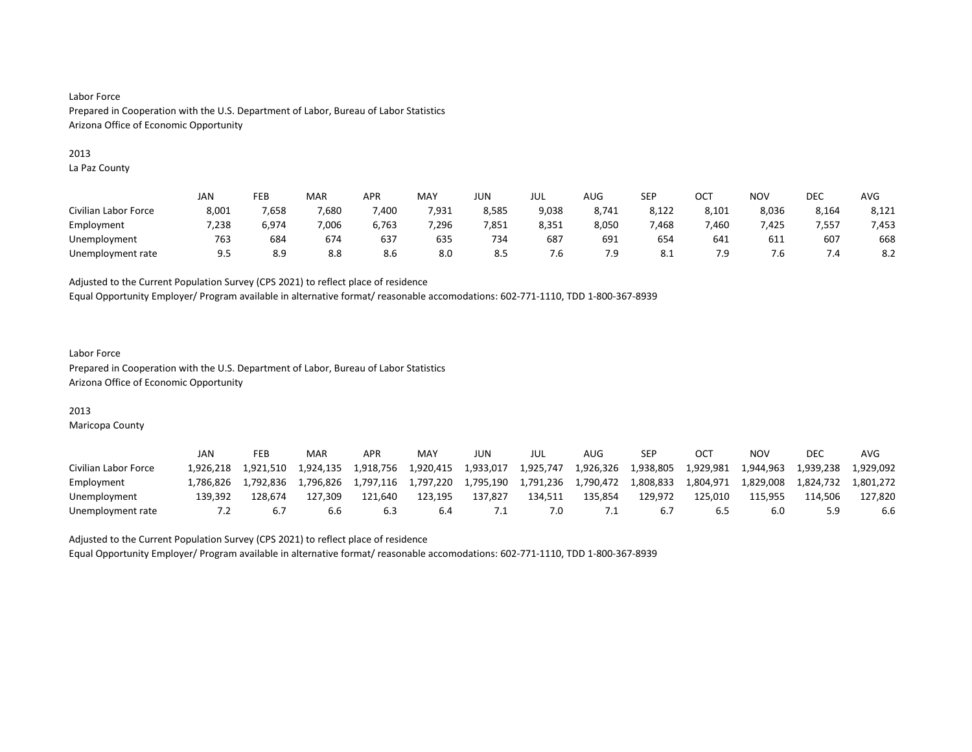#### 2013

La Paz County

|                      | <b>JAN</b> | FEB   | MAR   | <b>APR</b> | MAY   | JUN   | JUL   | AUG   | <b>SEP</b> | ост   | NO <sub>V</sub> | <b>DEC</b> | AVG   |
|----------------------|------------|-------|-------|------------|-------|-------|-------|-------|------------|-------|-----------------|------------|-------|
| Civilian Labor Force | 8,001      | 7,658 | 7,680 | ,400       | 7,931 | 8,585 | 9,038 | 8,741 | 8,122      | 8,101 | 8,036           | 8,164      | 8,121 |
| Employment           | 7,238      | 6.974 | 7.006 | 6,763      | 7.296 | 7,851 | 8,351 | 8,050 | 468,       | .460  | .425            | 7.557      | 7,453 |
| Unemployment         | 763        | 684   | 674   | 637        | 635   | 734   | 687   | 691   | 654        | 641   | 611             | 607        | 668   |
| Unemployment rate    | 9.5        | 8.9   | 8.8   | 8.6        | 8.0   | 8.5   | 7.b   | 7.9   | 8.1        | 7.9   | 7.b             | 7.4        | 8.2   |

Adjusted to the Current Population Survey (CPS 2021) to reflect place of residence

Equal Opportunity Employer/ Program available in alternative format/ reasonable accomodations: 602-771-1110, TDD 1-800-367-8939

### Labor Force Prepared in Cooperation with the U.S. Department of Labor, Bureau of Labor Statistics Arizona Office of Economic Opportunity

### 2013

Maricopa County

|                      | JAN       | FEB       | MAR       | APR       | MAY       | JUN       | JUL       | AUG       | SEP       |           | ΝΟν       | <b>DEC</b> | AVG       |
|----------------------|-----------|-----------|-----------|-----------|-----------|-----------|-----------|-----------|-----------|-----------|-----------|------------|-----------|
| Civilian Labor Force | 1.926.218 | 1.921.510 | 1.924.135 | 1.918.756 | 1.920.415 | 1.933.017 | 1.925.747 | 1,926,326 | 1.938.805 | 1,929,981 | 1.944.963 | 1.939.238  | 1.929.092 |
| Employment           | .786.826  | 1.792.836 | 1.796.826 | 1.797.116 | 1,797,220 | 1.795.190 | 1,791,236 | 1,790,472 | 1.808.833 | 1,804,971 | 1,829,008 | 1.824.732  | 1.801.272 |
| Unemployment         | 139.392   | 128.674   | 127.309   | 121.640   | 123.195   | 137.827   | 134.511   | 135.854   | 129.972   | 125.010   | 115.955   | 114.506    | 127.820   |
| Unemployment rate    |           |           | b.b       | 6.3       | 6.4       |           | 7.0       |           | 6.7       |           | 6.0       |            | 6.6       |

Adjusted to the Current Population Survey (CPS 2021) to reflect place of residence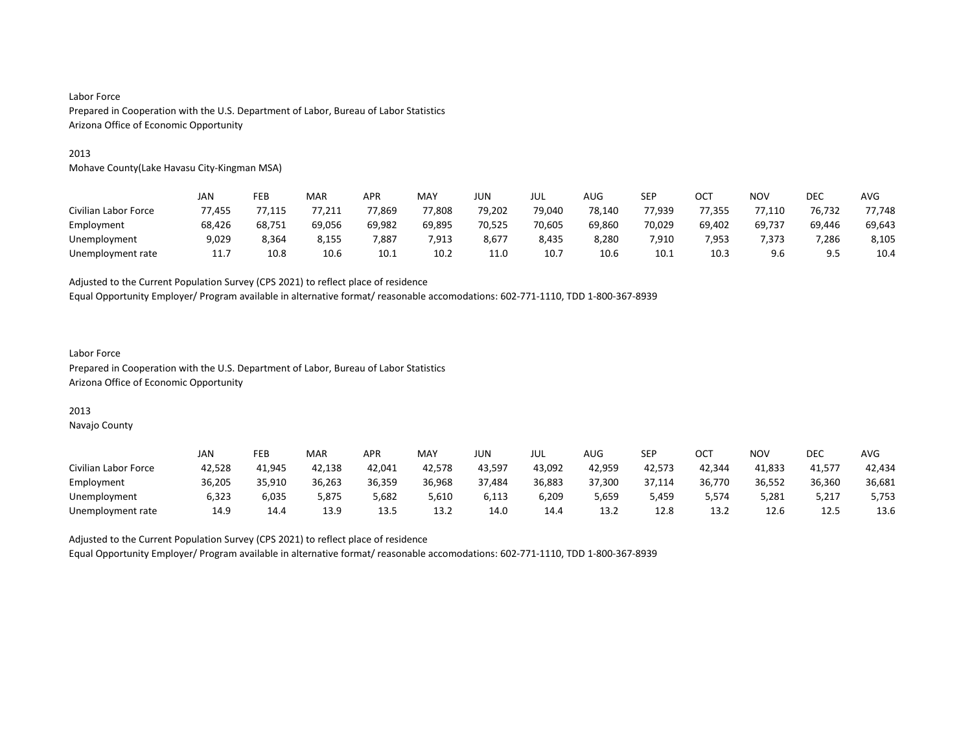#### 2013

Mohave County(Lake Havasu City-Kingman MSA)

|                      | JAN    | FEB    | MAR    | APR    | MAY    | JUN    | JUL    | AUG    | SEP    | OCT    | <b>NOV</b> | DEC    | <b>AVG</b> |
|----------------------|--------|--------|--------|--------|--------|--------|--------|--------|--------|--------|------------|--------|------------|
| Civilian Labor Force | 77.455 | 77,115 | 77,211 | 77,869 | 77,808 | 79,202 | 79,040 | 78,140 | 77,939 | 77,355 | 77,110     | 76,732 | 77.748     |
| Employment           | 68.426 | 68.751 | 69.056 | 69.982 | 69.895 | 70.525 | 70,605 | 69.860 | 70,029 | 69.402 | 69.737     | 69.446 | 69,643     |
| Unemployment         | 9,029  | 8,364  | 8,155  | 7,887  | 7,913  | 8,677  | 8,435  | 8,280  | 7,910  | 7,953  | 7,373      | 7,286  | 8,105      |
| Unemployment rate    | 11.7   | 10.8   | 10.6   | 10.1   | 10.2   | 11.0   | 10.7   | 10.6   | 10.1   | 10.3   | 9.6        | 9.5    | 10.4       |

Adjusted to the Current Population Survey (CPS 2021) to reflect place of residence

Equal Opportunity Employer/ Program available in alternative format/ reasonable accomodations: 602-771-1110, TDD 1-800-367-8939

#### Labor Force Prepared in Cooperation with the U.S. Department of Labor, Bureau of Labor Statistics Arizona Office of Economic Opportunity

### 2013

Navajo County

|                      | JAN    | FEB    | <b>MAR</b> | APR    | <b>MAY</b> | JUN    | JUL    | AUG    | SEP    | OCT    | NO۱    | DEC    | AVG    |
|----------------------|--------|--------|------------|--------|------------|--------|--------|--------|--------|--------|--------|--------|--------|
| Civilian Labor Force | 42,528 | 41.945 | 42.138     | 42.041 | 42.578     | 43.597 | 43.092 | 42.959 | 42.573 | 42.344 | 41.833 | 41.577 | 42.434 |
| Employment           | 36,205 | 35,910 | 36,263     | 36,359 | 36,968     | 37,484 | 36,883 | 37,300 | 37,114 | 36,770 | 36,552 | 36,360 | 36,681 |
| Unemployment         | 6,323  | 6,035  | 5.875      | 5,682  | 5,610      | 6.113  | 6,209  | 5,659  | 5,459  | 5,574  | 5,281  | 5,217  | 5,753  |
| Unemployment rate    | 14.9   | 14.4   | 13.9       | 13.5   | 13.2       | 14.0   | 14.4   | 13.2   | 12.8   | 13.2   | 12.6   | 12.5   | 13.6   |

Adjusted to the Current Population Survey (CPS 2021) to reflect place of residence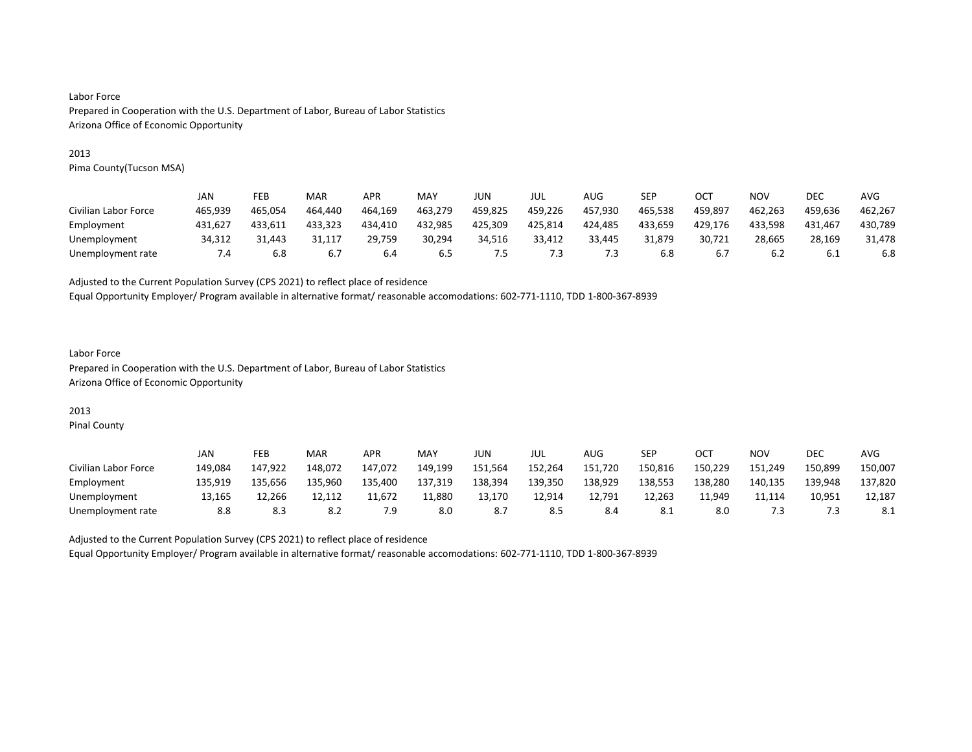#### 2013

Pima County(Tucson MSA)

|                      | JAN           | FEB     | MAR     | <b>APR</b> | MAY     | JUN     | JUL     | AUG     | SEP     | OCT     | <b>NOV</b> | DEC     | AVG     |
|----------------------|---------------|---------|---------|------------|---------|---------|---------|---------|---------|---------|------------|---------|---------|
| Civilian Labor Force | 465.939       | 465.054 | 464.440 | 464.169    | 463.279 | 459.825 | 459,226 | 457.930 | 465,538 | 459,897 | 462.263    | 459.636 | 462,267 |
| Employment           | 431.627       | 433.611 | 433.323 | 434.410    | 432,985 | 425,309 | 425,814 | 424,485 | 433,659 | 429,176 | 433.598    | 431.467 | 430,789 |
| Unemployment         | 34,312        | 31.443  | 31.117  | 29,759     | 30,294  | 34,516  | 33,412  | 33.445  | 31.879  | 30.721  | 28,665     | 28,169  | 31,478  |
| Unemployment rate    | $\mathcal{A}$ | 6.8     | 6.7     | 6.4        | 6.5     | כ.      | ر.'     | د. آ    | 6.8     | ь       | 6.2        | 6.1     | 6.8     |

Adjusted to the Current Population Survey (CPS 2021) to reflect place of residence

Equal Opportunity Employer/ Program available in alternative format/ reasonable accomodations: 602-771-1110, TDD 1-800-367-8939

### Labor Force Prepared in Cooperation with the U.S. Department of Labor, Bureau of Labor Statistics Arizona Office of Economic Opportunity

# 2013

Pinal County

|                      | JAN     | FEB     | MAR     | <b>APR</b> | MAY     | JUN     | JUL     | AUG     | SEP     | OCT     | NO۱     | <b>DEC</b> | <b>AVG</b> |
|----------------------|---------|---------|---------|------------|---------|---------|---------|---------|---------|---------|---------|------------|------------|
| Civilian Labor Force | 149.084 | 147.922 | 148.072 | 147.072    | 149.199 | 151,564 | 152,264 | 151,720 | 150,816 | 150.229 | 151,249 | 150.899    | 150.007    |
| Employment           | 135,919 | 135.656 | 135,960 | 135,400    | 137,319 | 138,394 | 139,350 | 138,929 | 138,553 | 138,280 | 140,135 | 139,948    | 137,820    |
| Unemployment         | 13.165  | 12.266  |         | 11.672     | 11,880  | 13.170  | 12.914  | 12.791  | 12.263  | 11.949  | 11.114  | 10.951     | 12.187     |
| Unemployment rate    | 8.8     | 8.3     | 8.2     | و.י        | 8.0     |         | 8.5     | 8.4     | 8.1     | 8.0     | د./     |            |            |

Adjusted to the Current Population Survey (CPS 2021) to reflect place of residence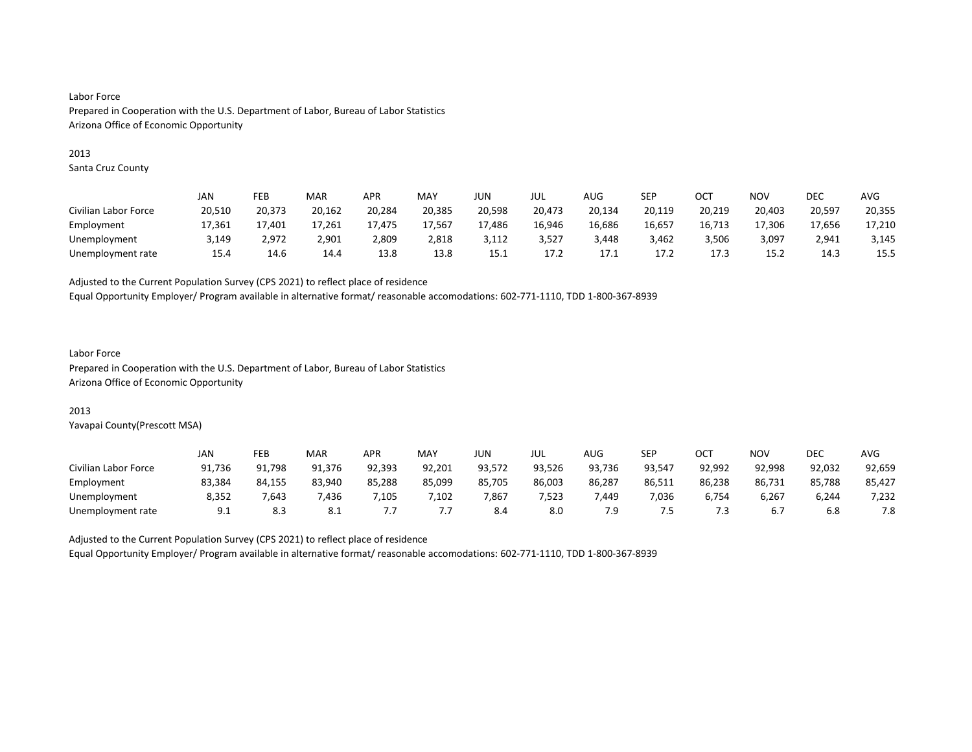#### 2013

Santa Cruz County

|                      | JAN    | FEB    | MAR    | <b>APR</b> | MAY    | JUN    | JUL    | AUG    | SEP    | ост    | <b>NOV</b> | DEC    | <b>AVG</b> |
|----------------------|--------|--------|--------|------------|--------|--------|--------|--------|--------|--------|------------|--------|------------|
| Civilian Labor Force | 20,510 | 20,373 | 20,162 | 20,284     | 20,385 | 20,598 | 20,473 | 20,134 | 20,119 | 20,219 | 20,403     | 20,597 | 20,355     |
| Employment           | 17.361 | 17.401 | 17.261 | 17.475     | 17.567 | 17,486 | 16,946 | 16,686 | 16,657 | 16,713 | 17.306     | 17.656 | 17,210     |
| Unemployment         | 3,149  | 2,972  | 2,901  | 2,809      | 2,818  | 3,112  | 3,527  | 3.448  | 3,462  | 3,506  | 3,097      | 2,941  | 3,145      |
| Unemployment rate    | 15.4   | 14.6   | 14.4   | 13.8       | 13.8   | 15.1   | 17.2   | 17.1   | 17.2   | 17.3   | 15.2       | 14.3   | 15.5       |

Adjusted to the Current Population Survey (CPS 2021) to reflect place of residence

Equal Opportunity Employer/ Program available in alternative format/ reasonable accomodations: 602-771-1110, TDD 1-800-367-8939

#### Labor Force

Prepared in Cooperation with the U.S. Department of Labor, Bureau of Labor Statistics Arizona Office of Economic Opportunity

### 2013

Yavapai County(Prescott MSA)

|                      | JAN    | FEB    | MAR        | <b>APR</b> | MAY    | JUN    | JUL    | AUG    | SEP    | OCT    | NO۱    | DEC    | <b>AVG</b> |
|----------------------|--------|--------|------------|------------|--------|--------|--------|--------|--------|--------|--------|--------|------------|
| Civilian Labor Force | 91,736 | 91.798 | 91.376     | 92.393     | 92,201 | 93,572 | 93.526 | 93,736 | 93.547 | 92,992 | 92.998 | 92,032 | 92,659     |
| Employment           | 83,384 | 84,155 | 83.940     | 85,288     | 85,099 | 85,705 | 86,003 | 86,287 | 86,511 | 86,238 | 86,731 | 85,788 | 85,427     |
| Unemployment         | 8,352  | .643   | .436       | .105       | ,102   | 7,867  | 7.523  | .449   | 7,036  | 6.754  | 6,267  | 6,244  | 7,232      |
| Unemployment rate    | 9.1    | 8.3    | <b>8.1</b> |            | .      | 8.4    | 8.0    | 7.9    | כ.י    | ر.     | υ.,    | 6.8    | 7.8        |

Adjusted to the Current Population Survey (CPS 2021) to reflect place of residence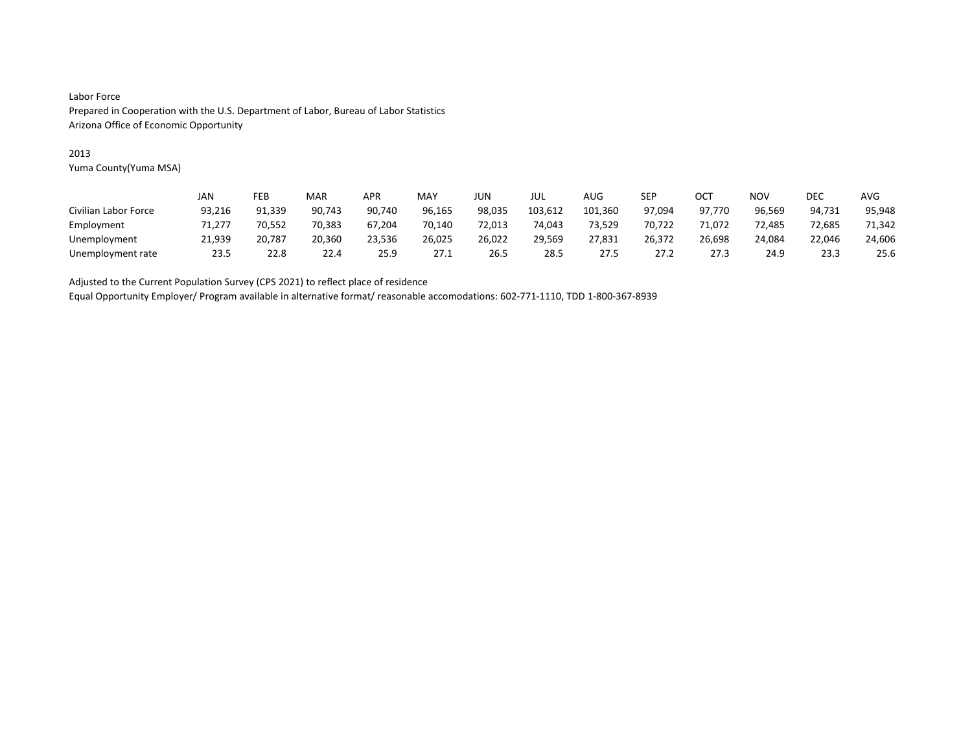### 2013

Yuma County(Yuma MSA)

|                      | JAN    | FEB    | MAR    | APR    | MAY    | JUN    | JUL     | AUG     | SEP    | OCT    | NOV    | DEC    | <b>AVG</b> |
|----------------------|--------|--------|--------|--------|--------|--------|---------|---------|--------|--------|--------|--------|------------|
| Civilian Labor Force | 93,216 | 91,339 | 90,743 | 90.740 | 96,165 | 98,035 | 103,612 | 101,360 | 97.094 | 97.770 | 96,569 | 94,731 | 95,948     |
| Employment           | 71.277 | 70.552 | 70.383 | 67.204 | 70.140 | 72.013 | 74.043  | 73,529  | 70.722 | 71.072 | 72.485 | 72.685 | 71.342     |
| Unemployment         | 21,939 | 20.787 | 20,360 | 23,536 | 26,025 | 26,022 | 29,569  | 27,831  | 26,372 | 26,698 | 24,084 | 22,046 | 24,606     |
| Unemployment rate    | 23.5   | 22.8   | 22.4   | 25.9   | 27.1   | 26.5   | 28.5    | 27.5    | 27.2   | 27.3   | 24.9   | 23.3   | 25.6       |

Adjusted to the Current Population Survey (CPS 2021) to reflect place of residence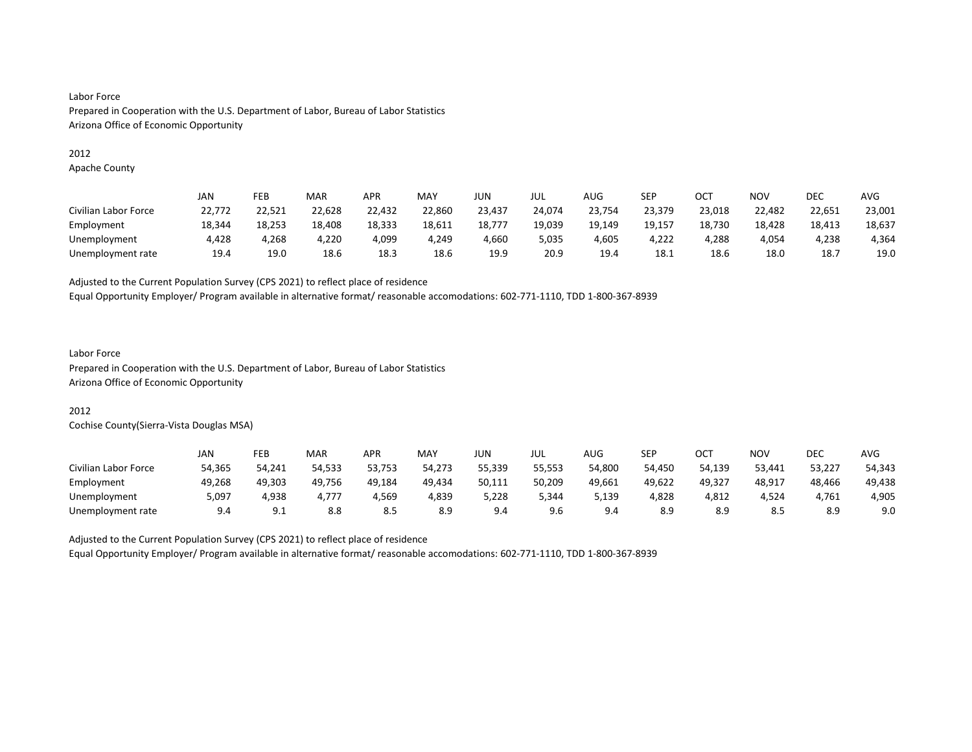#### 2012

Apache County

|                      | JAN    | FEB    | MAR    | <b>APR</b> | MAY    | JUN    | JUL    | AUG    | SEP    | ост    | <b>NOV</b> | DEC    | AVG    |
|----------------------|--------|--------|--------|------------|--------|--------|--------|--------|--------|--------|------------|--------|--------|
| Civilian Labor Force | 22,772 | 22,521 | 22,628 | 22,432     | 22,860 | 23,437 | 24.074 | 23,754 | 23.379 | 23,018 | 22,482     | 22,651 | 23,001 |
| Employment           | 18,344 | 18.253 | 18,408 | 18,333     | 18,611 | 18,777 | 19,039 | 19,149 | 19,157 | 18,730 | 18,428     | 18,413 | 18,637 |
| Unemployment         | 4,428  | 4,268  | 4,220  | 4,099      | 4,249  | 4,660  | 5,035  | 4,605  | 4,222  | 4,288  | 4,054      | 4,238  | 4,364  |
| Unemployment rate    | 19.4   | 19.0   | 18.6   | 18.3       | 18.6   | 19.9   | 20.9   | 19.4   | 18.1   | 18.6   | 18.0       | 18.7   | 19.0   |

Adjusted to the Current Population Survey (CPS 2021) to reflect place of residence

Equal Opportunity Employer/ Program available in alternative format/ reasonable accomodations: 602-771-1110, TDD 1-800-367-8939

#### Labor Force

Prepared in Cooperation with the U.S. Department of Labor, Bureau of Labor Statistics Arizona Office of Economic Opportunity

### 2012

Cochise County(Sierra-Vista Douglas MSA)

|                      | JAN    | FEB        | MAR    | APR    | MAY    | JUN    | JUL    | AUG    | <b>SEP</b> | ост    | NOV    | DEC    | <b>AVG</b> |
|----------------------|--------|------------|--------|--------|--------|--------|--------|--------|------------|--------|--------|--------|------------|
| Civilian Labor Force | 54.365 | 54.241     | 54.533 | 53.753 | 54.273 | 55.339 | 55.553 | 54.800 | 54.450     | 54.139 | 53,441 | 53,227 | 54,343     |
| Employment           | 49,268 | 49.303     | 49,756 | 49,184 | 49,434 | 50,111 | 50,209 | 49,661 | 49,622     | 49,327 | 48,917 | 48,466 | 49,438     |
| Unemployment         | 5,097  | 4.938      | 4.777  | 4,569  | 4,839  | 5,228  | 5,344  | 139,د  | 4,828      | 4,812  | 4,524  | 4.761  | 4,905      |
| Unemployment rate    | 9.4    | a<br>ـ . ـ | 8.8    | 8.5    | 8.9    | 9.4    | 9.6    | 9.4    | 8.9        | 8.9    | 8.5    | 8.9    | 9.0        |

Adjusted to the Current Population Survey (CPS 2021) to reflect place of residence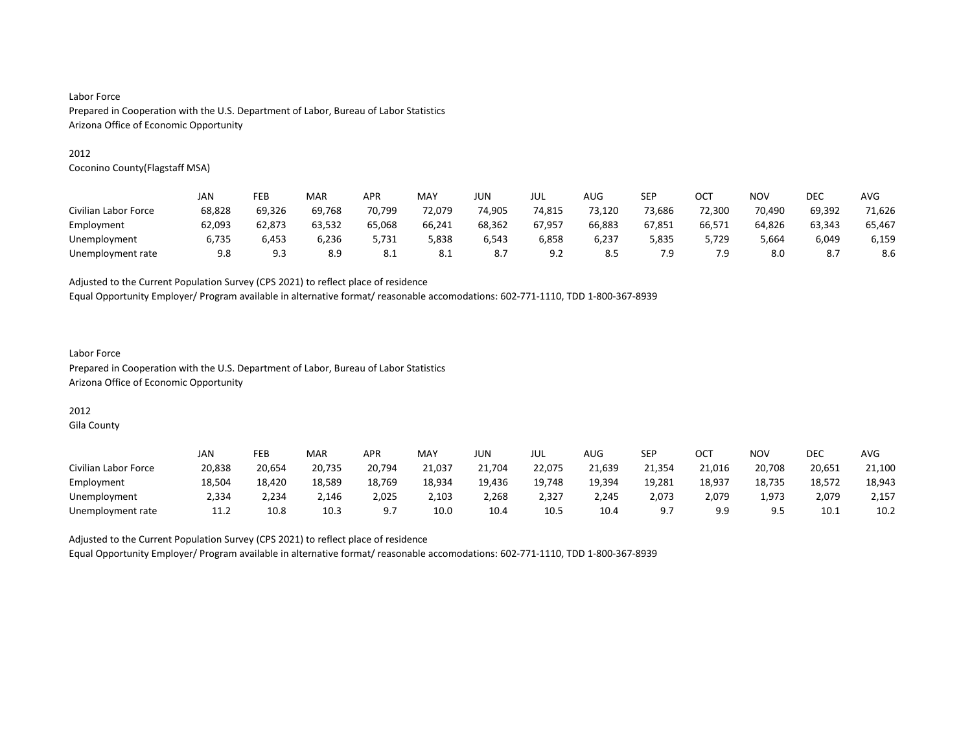#### 2012

Coconino County(Flagstaff MSA)

|                      | JAN    | FEB         | MAR    | <b>APR</b> | MAY    | JUN    | jul    | AUG    | <b>SEP</b> | OC1    | <b>NOV</b> | DEC    | AVG    |
|----------------------|--------|-------------|--------|------------|--------|--------|--------|--------|------------|--------|------------|--------|--------|
| Civilian Labor Force | 68,828 | 69,326      | 69.768 | 70,799     | 72.079 | 74,905 | 74,815 | 73,120 | 73,686     | 72,300 | 70,490     | 69,392 | 71,626 |
| Employment           | 62,093 | 62.873      | 63,532 | 65,068     | 66,241 | 68.362 | 67,957 | 66,883 | 67,851     | 66,571 | 64,826     | 63,343 | 65,467 |
| Unemployment         | 6.735  | 6.453       | 6.236  | 5.731      | 838ء   | 6.543  | 6,858  | 6,237  | 5,835      | 5.729  | 5.664      | 6,049  | 6,159  |
| Unemployment rate    | 9.8    | Q 3<br>د. ت | 8.9    | 8.1        | 8.1    |        | 9.2    | 8.5    | 7.9        | 7.9    | 8.0        |        | 8.6    |

Adjusted to the Current Population Survey (CPS 2021) to reflect place of residence

Equal Opportunity Employer/ Program available in alternative format/ reasonable accomodations: 602-771-1110, TDD 1-800-367-8939

### Labor Force Prepared in Cooperation with the U.S. Department of Labor, Bureau of Labor Statistics Arizona Office of Economic Opportunity

# 2012

Gila County

|                      | JAN    | FEB    | MAR    | <b>APR</b> | MAY    | JUN    | JUL    | AUG    | <b>SEP</b> | ост    | <b>NOV</b> | DEC    | <b>AVG</b> |
|----------------------|--------|--------|--------|------------|--------|--------|--------|--------|------------|--------|------------|--------|------------|
| Civilian Labor Force | 20,838 | 20,654 | 20,735 | 20,794     | 21,037 | 21,704 | 22,075 | 21,639 | 21,354     | 21,016 | 20,708     | 20,651 | 21,100     |
| Employment           | 18.504 | 18.420 | 18,589 | 18,769     | 18,934 | 19,436 | 19,748 | 19,394 | 19,281     | 18,937 | 18,735     | 18,572 | 18,943     |
| Unemployment         | 2,334  | 2,234  | 2,146  | 2,025      | 2,103  | 2,268  | 2,327  | 2,245  | 2,073      | 2,079  | 1,973      | 2,079  | 2,157      |
| Unemployment rate    | 11.2   | 10.8   | 10.3   |            | 10.0   | 10.4   | 10.5   | 10.4   | 9.7        | a a    | 9.5        | 10.1   | 10.2       |

Adjusted to the Current Population Survey (CPS 2021) to reflect place of residence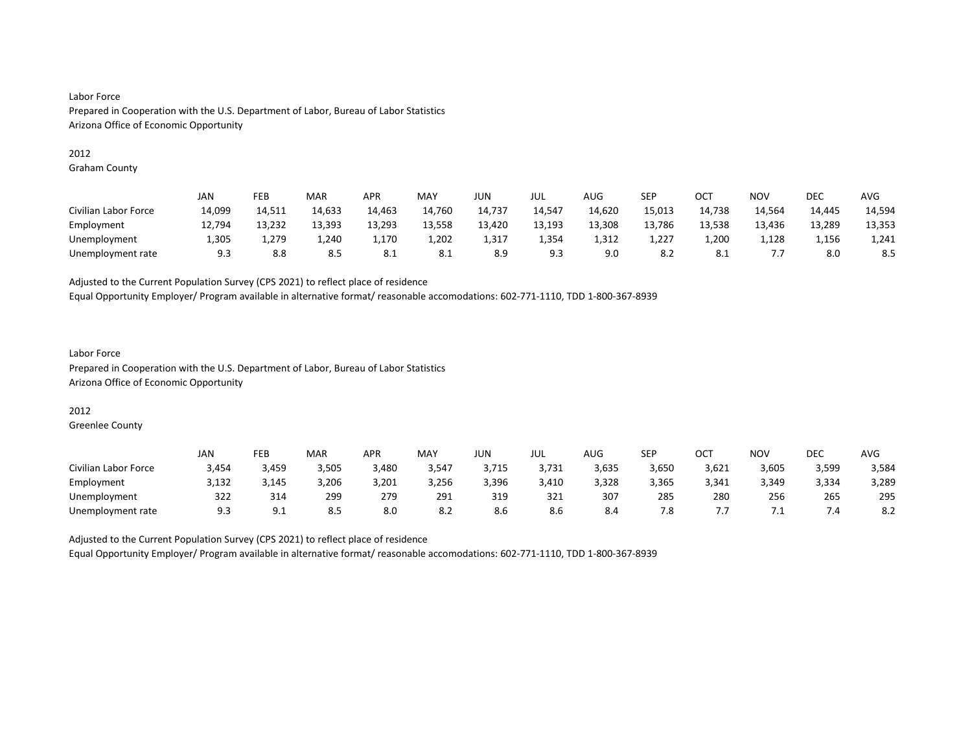#### 2012

Graham County

|                      | JAN    | FEB    | MAR    | <b>APR</b> | MAY    | <b>JUN</b> | JUL    | <b>AUG</b> | SEP    | ост    | NO <sub>V</sub> | <b>DEC</b> | <b>AVG</b> |
|----------------------|--------|--------|--------|------------|--------|------------|--------|------------|--------|--------|-----------------|------------|------------|
| Civilian Labor Force | 14,099 | 14,511 | 14,633 | 14,463     | 14,760 | 14,737     | 14,547 | 14,620     | 15,013 | 14,738 | 14.564          | 14,445     | 14,594     |
| Employment           | 12,794 | 13,232 | 13,393 | 13,293     | 13,558 | 13,420     | 13,193 | 13,308     | 13,786 | 13,538 | 13,436          | 13,289     | 13,353     |
| Unemployment         | 1,305  | 1,279  | 1,240  | 1,170      | 1,202  | 1,317      | 1,354  | 1,312      | 1,227  | 1,200  | 1,128           | 1,156      | 1,241      |
| Unemployment rate    | 9.3    | 8.8    | 8.5    | 8.1        | 8.1    | 8.9        | 9.3    | 9.0        | 8.2    | 8.1    | ,,,             | 8.0        | 8.5        |

Adjusted to the Current Population Survey (CPS 2021) to reflect place of residence

Equal Opportunity Employer/ Program available in alternative format/ reasonable accomodations: 602-771-1110, TDD 1-800-367-8939

### Labor Force Prepared in Cooperation with the U.S. Department of Labor, Bureau of Labor Statistics Arizona Office of Economic Opportunity

### 2012

Greenlee County

|                      | <b>JAN</b> | FEB      | MAR   | <b>APR</b> | MAY   | JUN   | JUL   | AUG   | SEP   | ост   | <b>NOV</b> | <b>DEC</b> | <b>AVG</b> |
|----------------------|------------|----------|-------|------------|-------|-------|-------|-------|-------|-------|------------|------------|------------|
| Civilian Labor Force | 3,454      | 3,459    | 3,505 | 3,480      | 3,547 | 3,715 | 3,731 | 3,635 | 3,650 | 3,621 | 3,605      | 3,599      | 3,584      |
| Employment           | 3,132      | 3,145    | 3,206 | 3,201      | 3,256 | 3,396 | 3,410 | 3,328 | 3,365 | 3,341 | 3,349      | 3,334      | 3,289      |
| Unemployment         | 322        | 314      | 299   | 279        | 291   | 319   | 321   | 307   | 285   | 280   | 256        | 265        | 295        |
| Unemployment rate    | 9.3        | <u>.</u> | 8.5   | 8.0        | 8.2   | 8.6   | 8.6   | 8.4   | 7.8   | ,,,   | ـ ،        | ۰.4        | 8.2        |

Adjusted to the Current Population Survey (CPS 2021) to reflect place of residence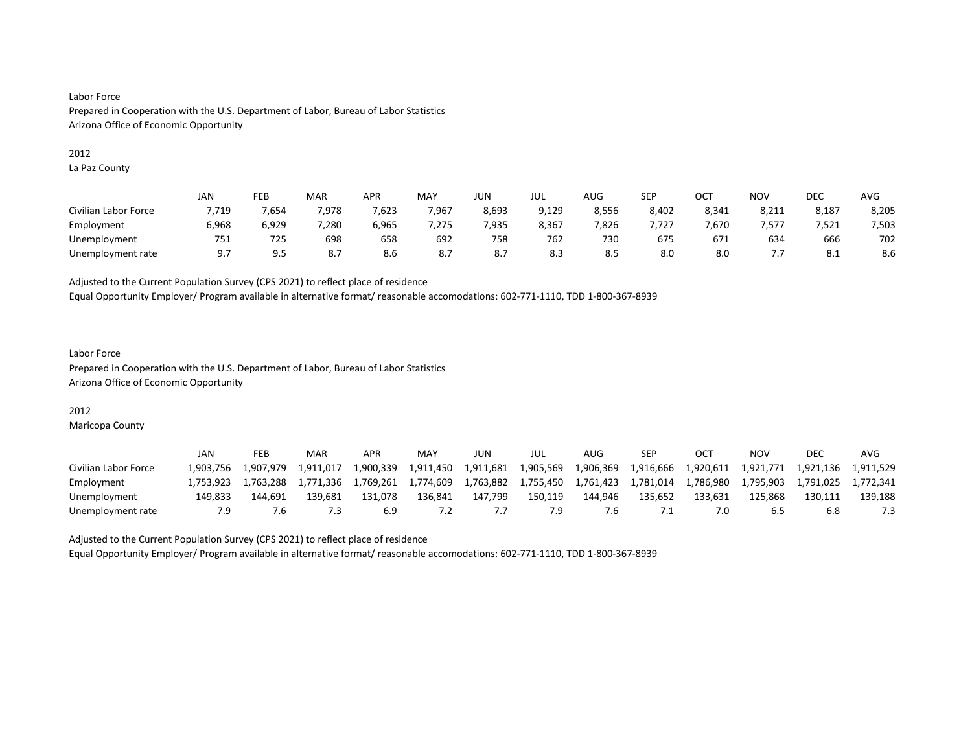#### 2012

La Paz County

|                      | <b>JAN</b> | FEB   | MAR   | <b>APR</b> | MAY   | JUN   | JUL   | AUG   | <b>SEP</b> | ост   | NO <sub>V</sub> | <b>DEC</b> | <b>AVG</b> |
|----------------------|------------|-------|-------|------------|-------|-------|-------|-------|------------|-------|-----------------|------------|------------|
| Civilian Labor Force | 7,719      | 7,654 | 7,978 | 7,623      | 7,967 | 8,693 | 9,129 | 8,556 | 8,402      | 8,341 | 8,211           | 8,187      | 8,205      |
| Employment           | 6,968      | 6,929 | 7,280 | 6,965      | 275   | 7.935 | 8.367 | 7,826 | ,727       | .670  | .577            | 7.521      | 7,503      |
| Unemployment         | 751        | 725   | 698   | 658        | 692   | 758   | 762   | 730   | 675        | 671   | 634             | 666        | 702        |
| Unemployment rate    | 9.7        | 9.5   | 8.7   | 8.6        | 8.7   | 8.7   | 8.3   | 8.5   | 8.0        | 8.0   | ,,,             | O.L        | 8.6        |

Adjusted to the Current Population Survey (CPS 2021) to reflect place of residence

Equal Opportunity Employer/ Program available in alternative format/ reasonable accomodations: 602-771-1110, TDD 1-800-367-8939

### Labor Force Prepared in Cooperation with the U.S. Department of Labor, Bureau of Labor Statistics Arizona Office of Economic Opportunity

### 2012

Maricopa County

|                      | JAN       | FEB       | MAR       | APR       | MAY       | JUN       | JUL       | AUG       | SEP       |           | ΝΟν       | <b>DEC</b> | AVG       |
|----------------------|-----------|-----------|-----------|-----------|-----------|-----------|-----------|-----------|-----------|-----------|-----------|------------|-----------|
| Civilian Labor Force | 1.903.756 | 1.907.979 | 1.911.017 | 1.900.339 | 1,911,450 | 1,911,681 | 1.905.569 | 1,906,369 | 1,916,666 | 1,920,611 | 1.921.771 | 1.921.136  | 1.911.529 |
| Employment           | 1.753.923 | 1.763.288 | 1.771.336 | 1.769.261 | 1,774,609 | 1,763,882 | 1,755,450 | 1,761,423 | 1,781,014 | 1.786.980 | 1.795.903 | 1.791.025  | 1.772.341 |
| Unemployment         | 149.833   | 144.691   | 139.681   | 131.078   | 136.841   | 147.799   | 150,119   | 144.946   | 135,652   | 133.631   | 125.868   | 130.111    | 139.188   |
| Unemployment rate    | 7.9       |           |           |           |           |           | و ַ       | '.b       | . .       |           | 6.5       | 6.8        |           |

Adjusted to the Current Population Survey (CPS 2021) to reflect place of residence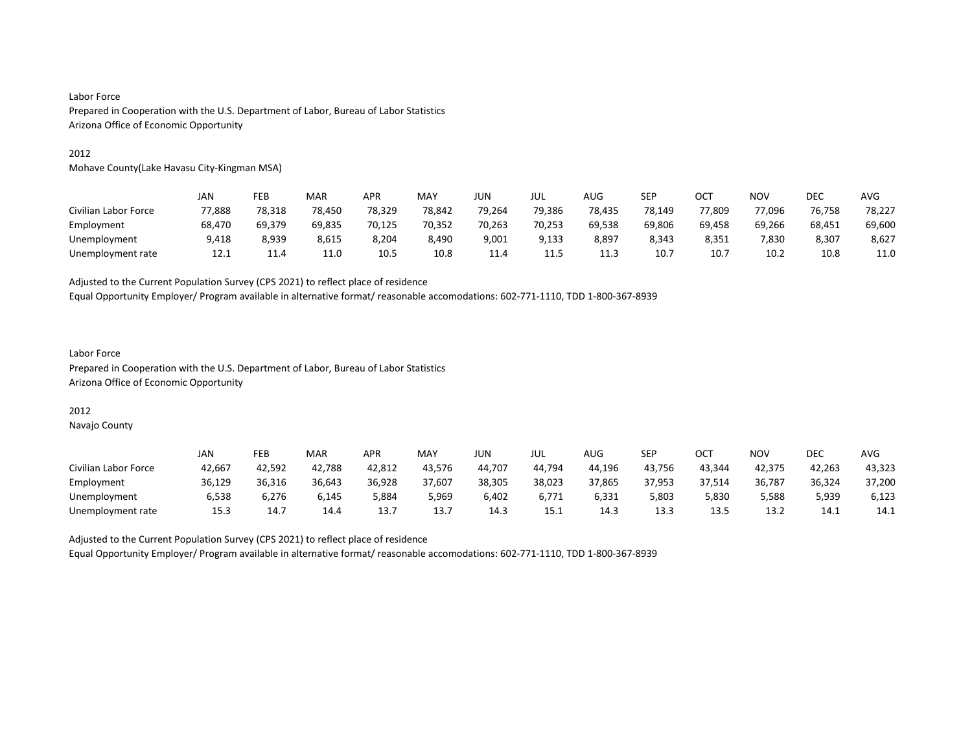#### 2012

Mohave County(Lake Havasu City-Kingman MSA)

|                      | JAN    | FEB    | MAR    | APR    | <b>MAY</b> | JUN    | jul    | AUG    | SEP    | OCT    | <b>NOV</b> | <b>DEC</b> | AVG    |
|----------------------|--------|--------|--------|--------|------------|--------|--------|--------|--------|--------|------------|------------|--------|
| Civilian Labor Force | 77,888 | 78,318 | 78,450 | 78,329 | 78.842     | 79,264 | 79,386 | 78,435 | 78.149 | 77,809 | 77.096     | 76,758     | 78,227 |
| Employment           | 68,470 | 69.379 | 69,835 | 70.125 | 70.352     | 70,263 | 70,253 | 69,538 | 69,806 | 69,458 | 69.266     | 68,451     | 69,600 |
| Unemployment         | 9,418  | 8,939  | 8,615  | 8,204  | 8,490      | 9,001  | 9,133  | 8,897  | 8,343  | 8,351  | 7,830      | 8,307      | 8,627  |
| Unemployment rate    | 12.1   | 11.4   | 11.0   | 10.5   | 10.8       | 11.4   | 11.5   | 11.3   | 10.7   | 10.7   | 10.2       | 10.8       | 11.0   |

Adjusted to the Current Population Survey (CPS 2021) to reflect place of residence

Equal Opportunity Employer/ Program available in alternative format/ reasonable accomodations: 602-771-1110, TDD 1-800-367-8939

#### Labor Force Prepared in Cooperation with the U.S. Department of Labor, Bureau of Labor Statistics Arizona Office of Economic Opportunity

### 2012

Navajo County

|                      | JAN    | FEB    | <b>MAR</b> | APR    | <b>MAY</b> | JUN    | JUL    | AUG    | <b>SEP</b> | OCT    | NO۱    | DEC    | AVG    |
|----------------------|--------|--------|------------|--------|------------|--------|--------|--------|------------|--------|--------|--------|--------|
| Civilian Labor Force | 42.667 | 42.592 | 42.788     | 42,812 | 43.576     | 44.707 | 44.794 | 44.196 | 43.756     | 43.344 | 42.375 | 42.263 | 43,323 |
| Employment           | 36,129 | 36,316 | 36,643     | 36,928 | 37,607     | 38,305 | 38,023 | 37,865 | 37,953     | 37,514 | 36,787 | 36,324 | 37,200 |
| Unemployment         | 6.538  | 6.276  | 6.145      | 884,دَ | 5,969      | 6.402  | 6.771  | 6,331  | 5,803      | 5,830  | 5,588  | 5,939  | 6,123  |
| Unemployment rate    | 15.3   | 14.7   | 14.4       | 13.    | 13.7       | 14.3   | 15.1   | 14.3   | 13.3       | 13.5   | 13.2   | 14.1   | 14.1   |

Adjusted to the Current Population Survey (CPS 2021) to reflect place of residence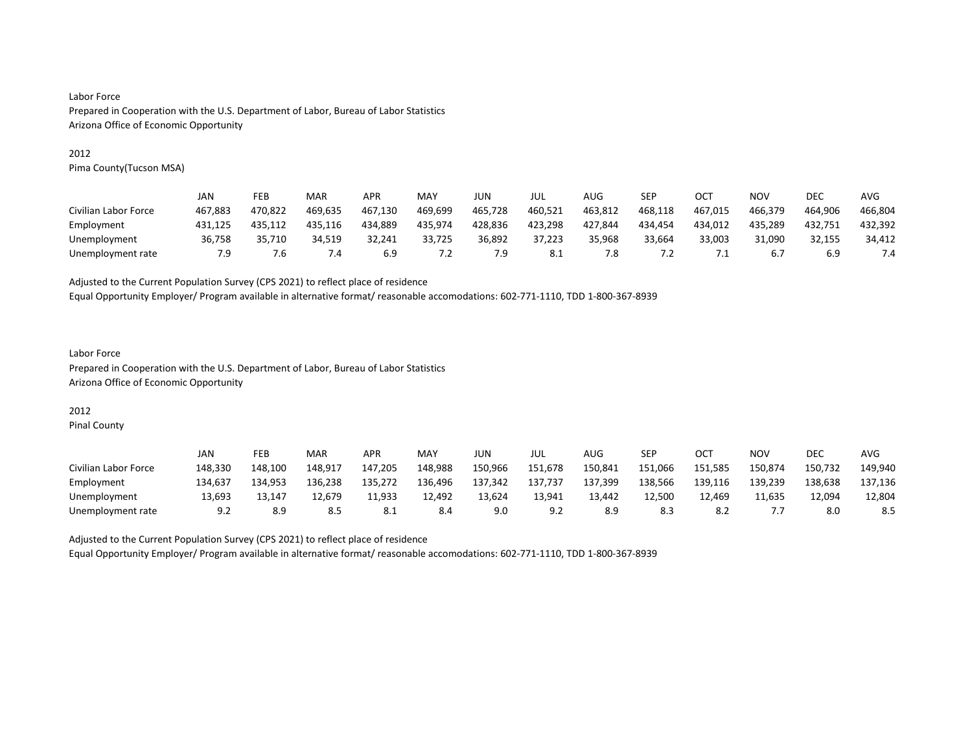#### 2012

Pima County(Tucson MSA)

|                      | JAN     | FEB     | MAR     | APR     | MAY     | JUN     | JUL     | AUG     | SEP     | OCT        | NOV     | DEC     | AVG     |
|----------------------|---------|---------|---------|---------|---------|---------|---------|---------|---------|------------|---------|---------|---------|
| Civilian Labor Force | 467.883 | 470.822 | 469.635 | 467.130 | 469.699 | 465.728 | 460.521 | 463.812 | 468.118 | 467.015    | 466.379 | 464.906 | 466.804 |
| Employment           | 431,125 | 435.112 | 435.116 | 434.889 | 435,974 | 428,836 | 423,298 | 427,844 | 434,454 | 434,012    | 435,289 | 432,751 | 432,392 |
| Unemployment         | 36,758  | 35.710  | 34.519  | 32.241  | 33,725  | 36.892  | 37.223  | 35.968  | 33.664  | 33.003     | 31.090  | 32,155  | 34.412  |
| Unemployment rate    | 7.9     | 1. б    | 4.4     | 6.9     | 7.2     | 7.9     | 8.1     | 7.8     | 7.2     | $\cdot$ 1. | 6.7     | 6.9     | 7.4     |

Adjusted to the Current Population Survey (CPS 2021) to reflect place of residence

Equal Opportunity Employer/ Program available in alternative format/ reasonable accomodations: 602-771-1110, TDD 1-800-367-8939

### Labor Force Prepared in Cooperation with the U.S. Department of Labor, Bureau of Labor Statistics Arizona Office of Economic Opportunity

# 2012

Pinal County

|                      | JAN     | FEB     | MAR     | APR     | <b>MAY</b> | JUN     | JUL     | AUG     | <b>SEP</b> | OCT     | NO٧     | <b>DEC</b> | AVG     |
|----------------------|---------|---------|---------|---------|------------|---------|---------|---------|------------|---------|---------|------------|---------|
| Civilian Labor Force | 148,330 | 148.100 | 148.917 | 147.205 | 148,988    | 150,966 | 151,678 | 150,841 | 151,066    | 151,585 | 150,874 | 150,732    | 149,940 |
| Employment           | 134,637 | 134.953 | 136,238 | 135,272 | 136,496    | 137,342 | 137,737 | 137,399 | 138,566    | 139,116 | 139,239 | 138,638    | 137,136 |
| Unemployment         | 13.693  | 13.147  | 12.679  | 11.933  | 12.492     | 13,624  | 13.941  | 13.442  | 12.500     | 12.469  | 11.635  | 12.094     | 12,804  |
| Unemployment rate    | 9.2     | 8.9     | 8.5     | 0.1     | 8.4        | 9.0     | 9.2     |         | 8.3        | -8.2    | .       | 8.0        | 8.5     |

Adjusted to the Current Population Survey (CPS 2021) to reflect place of residence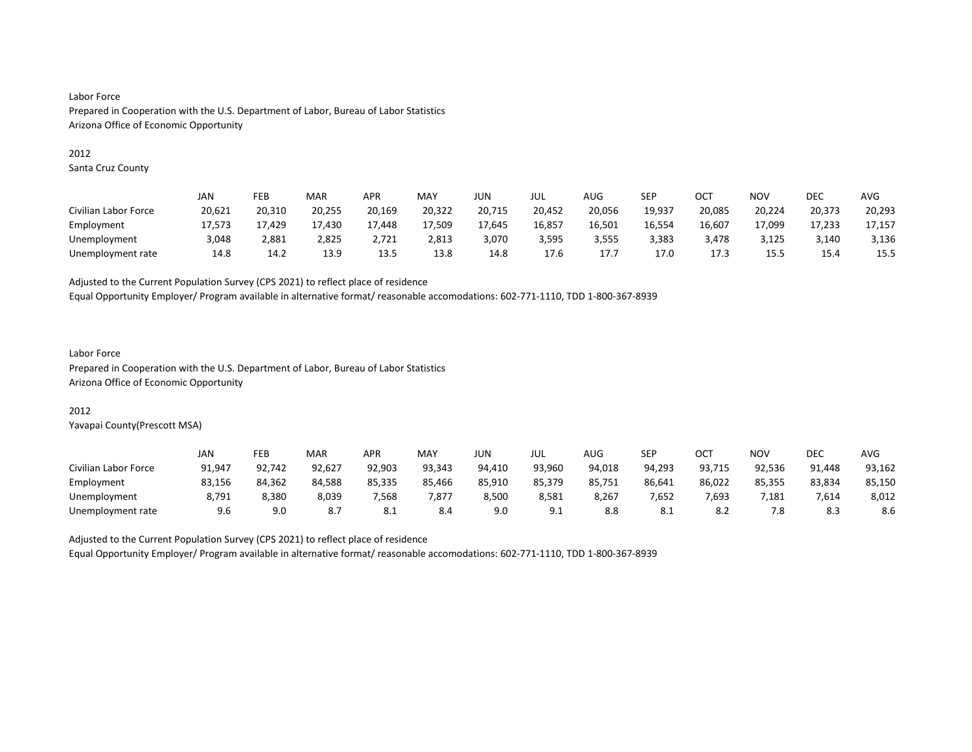#### 2012

Santa Cruz County

|                      | JAN    | FEB    | MAR    | APR    | <b>MAY</b> | JUN    | JUL    | AUG    | SEP    | OC1    | NOV    | DEC    | AVG    |
|----------------------|--------|--------|--------|--------|------------|--------|--------|--------|--------|--------|--------|--------|--------|
| Civilian Labor Force | 20,621 | 20,310 | 20,255 | 20,169 | 20,322     | 20,715 | 20,452 | 20,056 | 19.937 | 20,085 | 20,224 | 20,373 | 20,293 |
| Employment           | 17.573 | 17.429 | 17.430 | 17.448 | 17,509     | 17.645 | 16,857 | 16,501 | 16,554 | 16,607 | 17,099 | 17.233 | 17,157 |
| Unemployment         | 3,048  | 2,881  | 2,825  | 2,721  | 2,813      | 3,070  | 3,595  | 3,555  | 3,383  | 3.478  | 3,125  | 3,140  | 3,136  |
| Unemployment rate    | 14.8   | 14.2   | 13.9   | 13.5   | 13.8       | 14.8   | 17.6   | 17.7   | 17.0   | 17.3   | 15.5   | 15.4   | 15.5   |

Adjusted to the Current Population Survey (CPS 2021) to reflect place of residence

Equal Opportunity Employer/ Program available in alternative format/ reasonable accomodations: 602-771-1110, TDD 1-800-367-8939

#### Labor Force

Prepared in Cooperation with the U.S. Department of Labor, Bureau of Labor Statistics Arizona Office of Economic Opportunity

### 2012

Yavapai County(Prescott MSA)

|                      | JAN    | FEB    | MAR    | APR    | MAY    | JUN    | JUL    | AUG    | <b>SEP</b> | ост    | NOV    | DEC    | <b>AVG</b> |
|----------------------|--------|--------|--------|--------|--------|--------|--------|--------|------------|--------|--------|--------|------------|
| Civilian Labor Force | 91,947 | 92.742 | 92.627 | 92.903 | 93.343 | 94.410 | 93.960 | 94.018 | 94.293     | 93,715 | 92.536 | 91,448 | 93,162     |
| Employment           | 83,156 | 84,362 | 84,588 | 85,335 | 85,466 | 85,910 | 85,379 | 85,751 | 86,641     | 86,022 | 85,355 | 83,834 | 85,150     |
| Unemployment         | 8.791  | 8.380  | 8.039  | ',568  | 7,877  | 8.500  | 8.581  | 8,267  | 7,652      | 7,693  | 7,181  | 7,614  | 8,012      |
| Unemployment rate    | 9.6    | 9.0    |        | O.L    | 8.4    | 9.0    | 9.1    | 8.8    | 8.1        | o.z    | 7.8    | 8.3    | 8.6        |

Adjusted to the Current Population Survey (CPS 2021) to reflect place of residence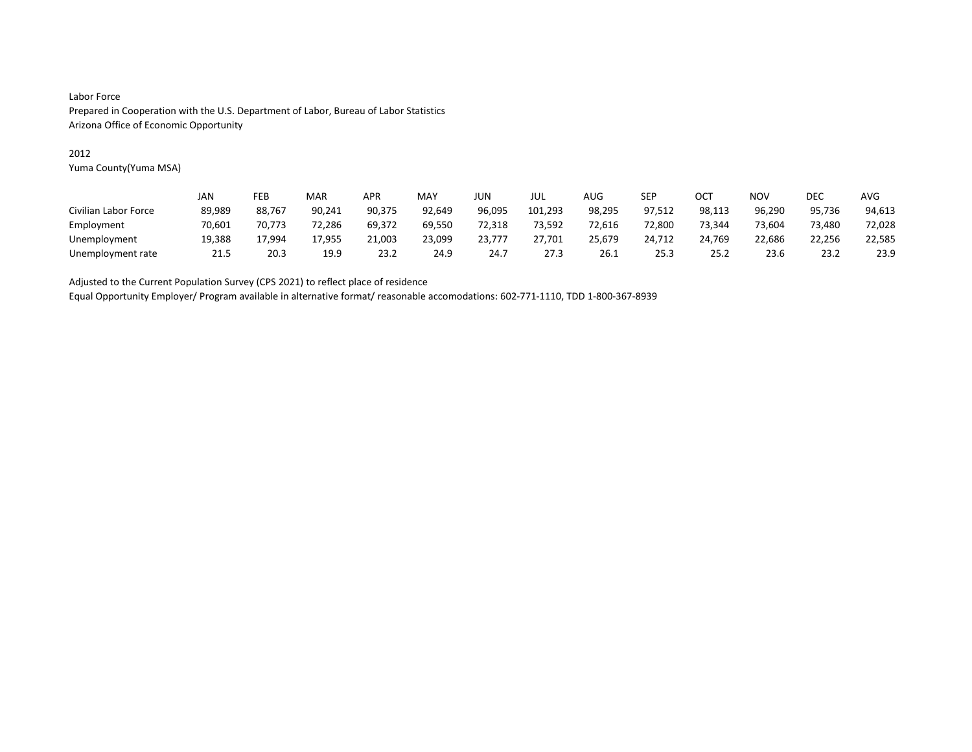### 2012

Yuma County(Yuma MSA)

|                      | JAN    | FEB    | MAR    | APR    | <b>MAY</b> | JUN    | JUL     | AUG    | SEP    | OC1    | NOV    | DEC    | AVG    |
|----------------------|--------|--------|--------|--------|------------|--------|---------|--------|--------|--------|--------|--------|--------|
| Civilian Labor Force | 89,989 | 88.767 | 90,241 | 90.375 | 92,649     | 96,095 | 101,293 | 98,295 | 97,512 | 98,113 | 96,290 | 95,736 | 94,613 |
| Employment           | 70.601 | 70.773 | 72.286 | 69,372 | 69,550     | 72,318 | 73.592  | 72.616 | 72,800 | 73,344 | 73.604 | 73.480 | 72,028 |
| Unemployment         | 19,388 | 17.994 | 17,955 | 21,003 | 23,099     | 23,777 | 27,701  | 25,679 | 24,712 | 24.769 | 22,686 | 22,256 | 22,585 |
| Unemployment rate    | 21.5   | 20.3   | 19.9   | 23.2   | 24.9       | 24.7   | 27.3    | 26.1   | 25.3   | 25.2   | 23.6   | 23.2   | 23.9   |

Adjusted to the Current Population Survey (CPS 2021) to reflect place of residence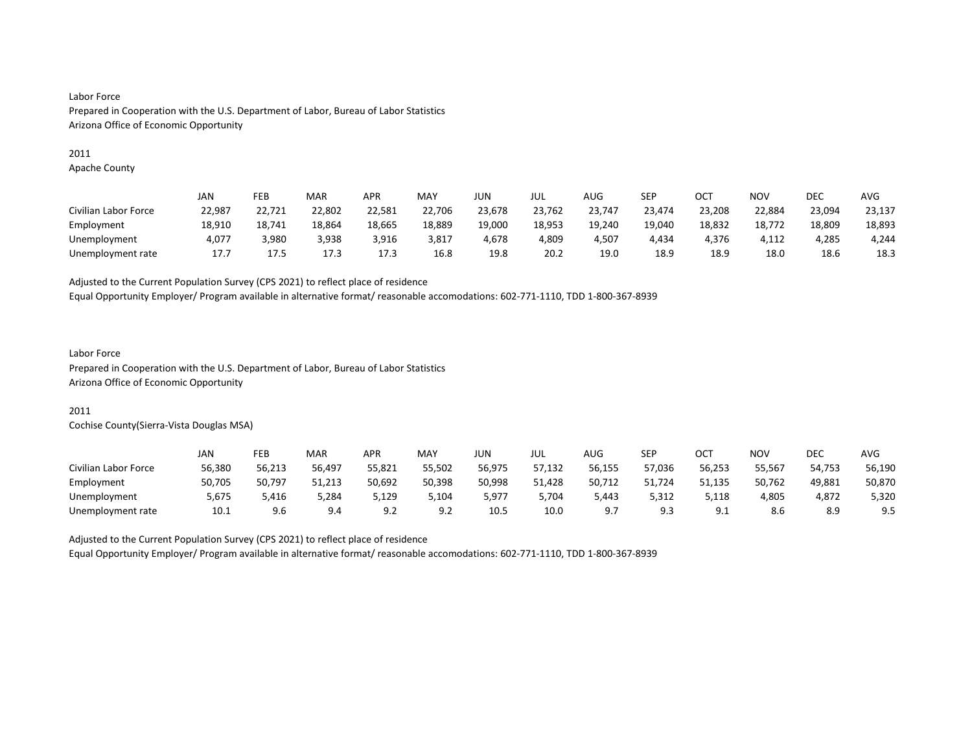#### 2011

Apache County

|                      | <b>JAN</b> | FEB    | MAR    | <b>APR</b> | MAY    | JUN    | JUL    | AUG    | SEP    | OCT    | NOV    | DEC    | <b>AVG</b> |
|----------------------|------------|--------|--------|------------|--------|--------|--------|--------|--------|--------|--------|--------|------------|
| Civilian Labor Force | 22,987     | 22,721 | 22,802 | 22,581     | 22,706 | 23,678 | 23,762 | 23,747 | 23,474 | 23,208 | 22,884 | 23,094 | 23,137     |
| Employment           | 18,910     | 18.741 | 18,864 | 18,665     | 18,889 | 19,000 | 18,953 | 19,240 | 19,040 | 18,832 | 18,772 | 18,809 | 18,893     |
| Unemployment         | 4.077      | 3.980  | 3.938  | 3,916      | 3,817  | 4.678  | 4,809  | 4,507  | 4,434  | 4.376  | 4.112  | 4.285  | 4.244      |
| Unemployment rate    | 17.7       | 17.5   | 17.3   | 17.3       | 16.8   | 19.8   | 20.2   | 19.0   | 18.9   | 18.9   | 18.0   | 18.6   | 18.3       |

Adjusted to the Current Population Survey (CPS 2021) to reflect place of residence

Equal Opportunity Employer/ Program available in alternative format/ reasonable accomodations: 602-771-1110, TDD 1-800-367-8939

# Labor Force

Prepared in Cooperation with the U.S. Department of Labor, Bureau of Labor Statistics Arizona Office of Economic Opportunity

#### 2011

Cochise County(Sierra-Vista Douglas MSA)

|                      | JAN    | FEB    | MAR    | <b>APR</b>     | MAY    | JUN.   | JUL    | <b>AUG</b> | <b>SEP</b> | ост          | NOV    | DEC    | AVG    |
|----------------------|--------|--------|--------|----------------|--------|--------|--------|------------|------------|--------------|--------|--------|--------|
| Civilian Labor Force | 56,380 | 56,213 | 56,497 | 55,821         | 55.502 | 56.975 | 57,132 | 56,155     | 57,036     | 56,253       | 55.567 | 54.753 | 56,190 |
| Employment           | 50.705 | 50.797 | 51.213 | 50,692         | 50.398 | 50,998 | 51.428 | 50,712     | 51.724     | 51.135       | 50.762 | 49.881 | 50.870 |
| Unemployment         | 5.675  | 5.416  | 5,284  | 5,129          | 104,د  | 5.977  | 5.704  | 5.443      | 5,312      | 5,118        | 4,805  | 4.872  | 5,320  |
| Unemployment rate    | 10.1   | 9.6    | 9.4    | ۹C<br><u>.</u> | 9.2    | 10.5   | 10.0   | a -        | 9.3        | a 1<br>ـ . ـ | 8.6    | 8.9    | 9.5    |

Adjusted to the Current Population Survey (CPS 2021) to reflect place of residence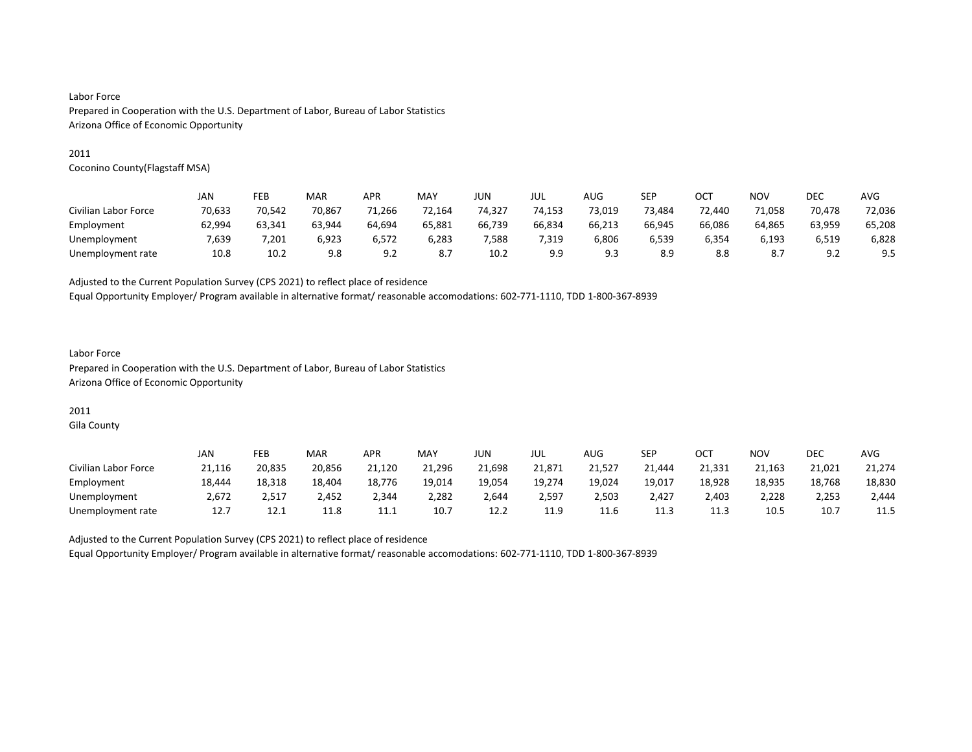#### 2011

Coconino County(Flagstaff MSA)

|                      | JAN    | FEB    | MAR    | APR    | MAY    | JUN    | JUL    | AUG    | SEP    | OCT    | <b>NOV</b> | <b>DEC</b>              | <b>AVG</b> |
|----------------------|--------|--------|--------|--------|--------|--------|--------|--------|--------|--------|------------|-------------------------|------------|
| Civilian Labor Force | 70,633 | 70.542 | 70.867 | 71,266 | 72,164 | 74,327 | 74,153 | 73,019 | 73,484 | 72.440 | 71,058     | 70,478                  | 72,036     |
| Employment           | 62,994 | 63.341 | 63,944 | 64,694 | 65,881 | 66,739 | 66,834 | 66,213 | 66,945 | 66,086 | 64,865     | 63,959                  | 65,208     |
| Unemployment         | 7.639  | .201   | 6.923  | 6.572  | 6,283  | .588   | 7,319  | 6,806  | 6,539  | 6,354  | 6,193      | 6,519                   | 6,828      |
| Unemployment rate    | 10.8   | 10.2   | 9.8    | 9.2    | 8.7    | 10.2   | 9.9    | 9.3    | 8.9    | 8.8    | -8.7       | Q <sub>1</sub><br>ے . د | 9.5        |

Adjusted to the Current Population Survey (CPS 2021) to reflect place of residence

Equal Opportunity Employer/ Program available in alternative format/ reasonable accomodations: 602-771-1110, TDD 1-800-367-8939

### Labor Force Prepared in Cooperation with the U.S. Department of Labor, Bureau of Labor Statistics Arizona Office of Economic Opportunity

# 2011

Gila County

|                      | JAN    | FEB    | MAR    | APR    | MAY    | JUN    | JUL    | AUG    | <b>SEP</b> | ост     | <b>NOV</b> | DEC    | <b>AVG</b> |
|----------------------|--------|--------|--------|--------|--------|--------|--------|--------|------------|---------|------------|--------|------------|
| Civilian Labor Force | 21.116 | 20,835 | 20.856 | 21.120 | 21.296 | 21,698 | 21.871 | 21,527 | 21.444     | 21.331  | 21.163     | 21.021 | 21,274     |
| Employment           | 18,444 | 18,318 | 18,404 | 18,776 | 19,014 | 19,054 | 19,274 | 19,024 | 19,017     | 18,928  | 18,935     | 18,768 | 18,830     |
| Unemployment         | 2.672  | 2,517  | 2,452  | 2,344  | 2,282  | 2,644  | 2,597  | 2,503  | 2,427      | 2,403   | 2,228      | 2,253  | 2,444      |
| Unemployment rate    | 12.7   | 12.1   | 11.8   | ᆠᆠᆞᆂ   | 10.7   | 12.2   | 11.9   | 11.6   | 11.3       | <b></b> | 10.5       | 10.7   | 11.5       |

Adjusted to the Current Population Survey (CPS 2021) to reflect place of residence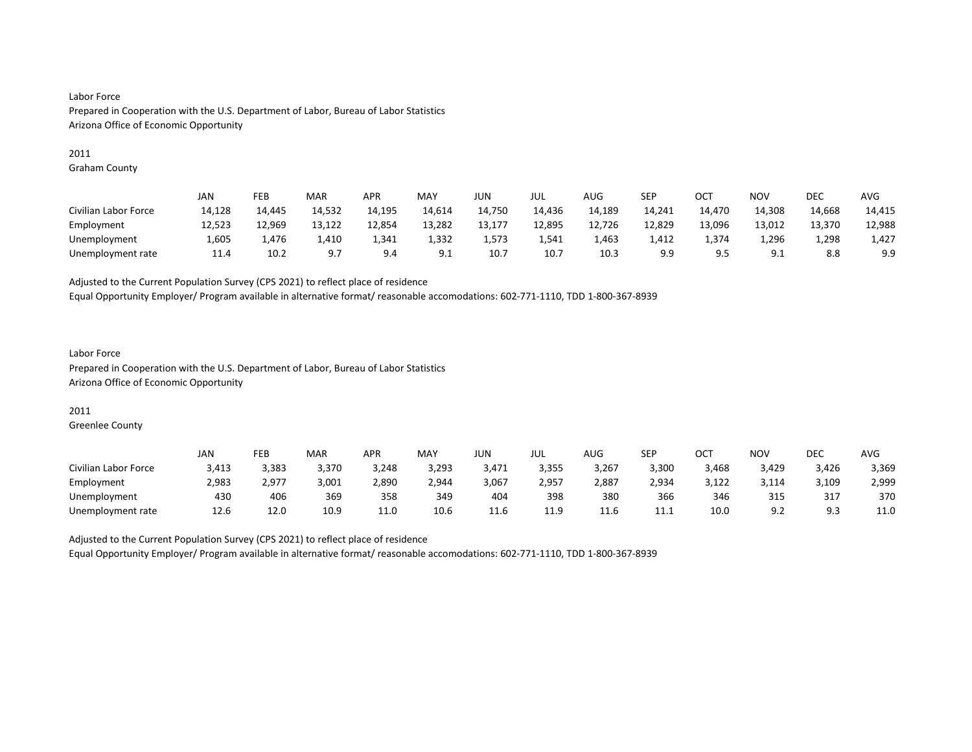#### 2011

Graham County

|                      | JAN    | FEB    | MAR    | <b>APR</b> | MAY    | <b>JUN</b> | JUL    | AUG    | SEP    | ост    | <b>NOV</b> | <b>DEC</b> | <b>AVG</b> |
|----------------------|--------|--------|--------|------------|--------|------------|--------|--------|--------|--------|------------|------------|------------|
| Civilian Labor Force | 14,128 | 14.445 | 14,532 | 14,195     | 14,614 | 14,750     | 14,436 | 14,189 | 14,241 | 14,470 | 14,308     | 14,668     | 14,415     |
| Employment           | 12,523 | 12,969 | 13,122 | 12,854     | 13,282 | 13,177     | 12,895 | 12,726 | 12,829 | 13,096 | 13,012     | 13,370     | 12,988     |
| Unemployment         | 1,605  | 1.476  | 1,410  | 1,341      | 1,332  | 1,573      | 1,541  | 1,463  | 1,412  | 1,374  | 1,296      | 1,298      | 1,427      |
| Unemployment rate    | 11.4   | 10.2   | 9.7    | 9.4        | 9.1    | 10.7       | 10.7   | 10.3   | 9.9    |        | 9.1        | 8.8        | 9.9        |

Adjusted to the Current Population Survey (CPS 2021) to reflect place of residence

Equal Opportunity Employer/ Program available in alternative format/ reasonable accomodations: 602-771-1110, TDD 1-800-367-8939

### Labor Force Prepared in Cooperation with the U.S. Department of Labor, Bureau of Labor Statistics Arizona Office of Economic Opportunity

### 2011

Greenlee County

|                      | JAN   | FEB   | <b>MAR</b> | APR   | MAY   | JUN        | JUL   | <b>AUG</b> | <b>SEP</b> | OCT   | NO۱        | DEC   | AVG   |
|----------------------|-------|-------|------------|-------|-------|------------|-------|------------|------------|-------|------------|-------|-------|
| Civilian Labor Force | 3,413 | 3.383 | 3,370      | 3,248 | 3,293 | 3,471      | 3,355 | 3,267      | 3,300      | 3,468 | 3,429      | 3,426 | 3,369 |
| Employment           | 2,983 | 2,977 | 3,001      | 2,890 | 2,944 | 3,067      | 2,957 | 2,887      | 2,934      | 3,122 | 3,114      | 3,109 | 2,999 |
| Unemployment         | 430   | 406   | 369        | 358   | 349   | 404        | 398   | 380        | 366        | 346   | 315        | 317   | 370   |
| Unemployment rate    | 12.6  | 12.0  | 10.9       | 11.0  | 10.6  | 11<br>11.0 | 11.9  | 11.6       | 11.1       | 10.0  | Q J<br>J.Z |       | 11.0  |

Adjusted to the Current Population Survey (CPS 2021) to reflect place of residence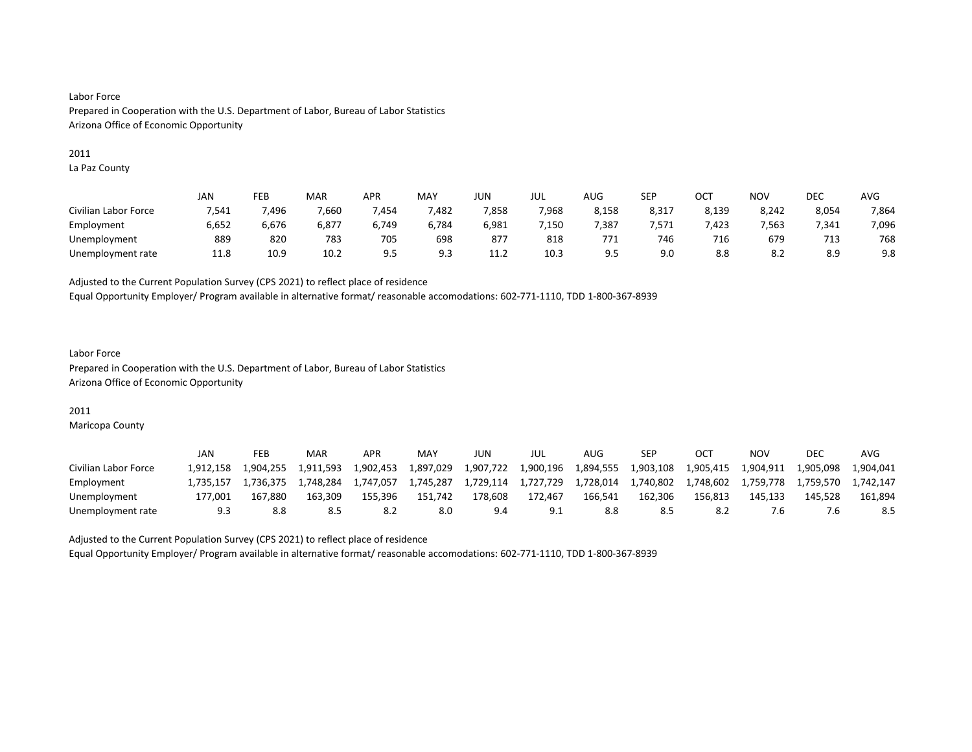#### 2011

La Paz County

|                      | JAN   | FEB   | MAR   | <b>APR</b> | MAY   | JUN                        | JUL              | AUG              | <b>SEP</b> | ост   | NO <sub>V</sub> | <b>DEC</b> | AVG   |
|----------------------|-------|-------|-------|------------|-------|----------------------------|------------------|------------------|------------|-------|-----------------|------------|-------|
| Civilian Labor Force | 7,541 | 496,  | 7,660 | 454,'      | 482,  | 7,858                      | 7,968            | 8,158            | 8,317      | 8,139 | 8,242           | 8,054      | 7,864 |
| Employment           | 6,652 | 6,676 | 6,877 | 6.749      | 6,784 | 6,981                      | $^{\prime}$ ,150 | $^{\prime}$ .387 | '.571      | .423  | 7,563           | 7.341      | 7,096 |
| Unemployment         | 889   | 820   | 783   | 705        | 698   | 877                        | 818              | 771              | 746        | 716   | 679             | 713        | 768   |
| Unemployment rate    | 11.8  | 10.9  | 10.2  | 9.5        | 9.3   | 11 <sup>1</sup><br><b></b> | 10.3             | ر.ر              | 9.0        | 8.8   | 8.2             | 8.9        | 9.8   |

Adjusted to the Current Population Survey (CPS 2021) to reflect place of residence

Equal Opportunity Employer/ Program available in alternative format/ reasonable accomodations: 602-771-1110, TDD 1-800-367-8939

### Labor Force Prepared in Cooperation with the U.S. Department of Labor, Bureau of Labor Statistics Arizona Office of Economic Opportunity

#### 2011

Maricopa County

|                      | JAN       | FEB       | MAR       | APR       | MAY       | JUN       | JUL       | AUG       | SEP       |           | ΝΟν       | <b>DEC</b> | AVG       |
|----------------------|-----------|-----------|-----------|-----------|-----------|-----------|-----------|-----------|-----------|-----------|-----------|------------|-----------|
| Civilian Labor Force | 1.912.158 | 1.904.255 | 1.911.593 | 1.902.453 | 1.897.029 | 1,907,722 | 1.900.196 | 1,894,555 | 1.903.108 | 1,905,415 | 1.904.911 | 1,905,098  | 1.904.041 |
| Employment           | 1.735.157 | 1.736.375 | 1.748.284 | 1,747,057 | 1,745,287 | 1.729.114 | 1,727,729 | 1.728.014 | 1,740,802 | 1.748.602 | 1,759,778 | 1.759.570  | 1.742.147 |
| Unemployment         | 177.001   | 167.880   | 163.309   | 155,396   | 151,742   | 178,608   | 172.467   | 166.541   | 162,306   | 156.813   | 145.133   | 145.528    | 161.894   |
| Unemployment rate    |           |           |           |           | 8.0       | 9.4       |           |           |           |           | .b        |            |           |

Adjusted to the Current Population Survey (CPS 2021) to reflect place of residence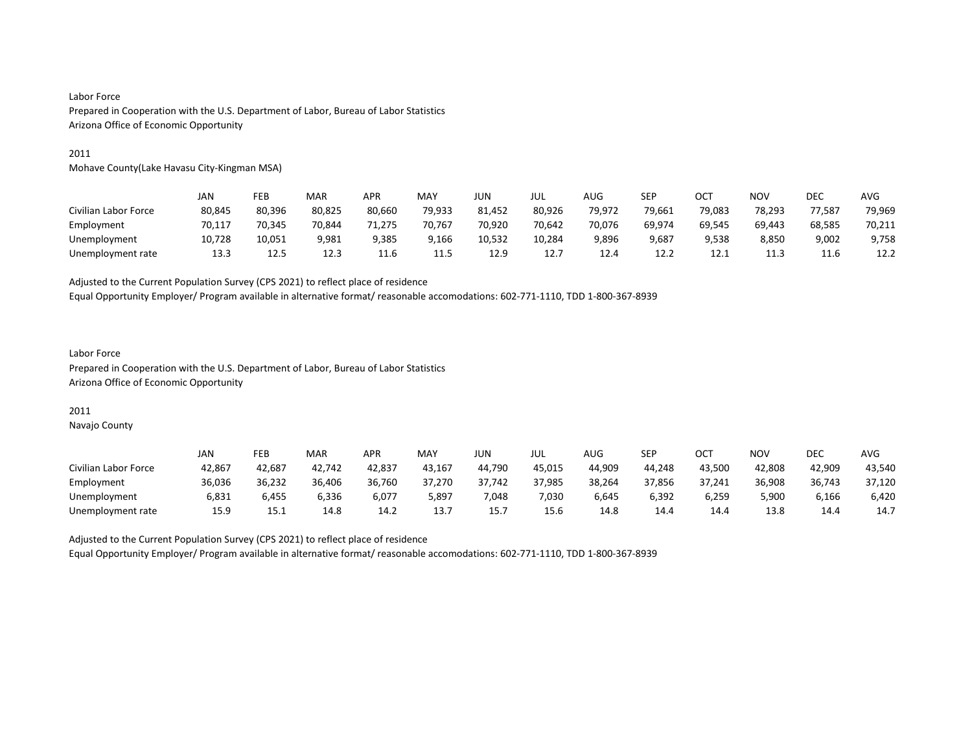#### 2011

Mohave County(Lake Havasu City-Kingman MSA)

|                      | JAN    | FEB    | MAR    | APR    | <b>MAY</b> | JUN    | jul    | AUG    | SEP    | OCT    | <b>NOV</b> | <b>DEC</b> | AVG    |
|----------------------|--------|--------|--------|--------|------------|--------|--------|--------|--------|--------|------------|------------|--------|
| Civilian Labor Force | 80,845 | 80.396 | 80,825 | 80,660 | 79,933     | 81,452 | 80,926 | 79.972 | 79,661 | 79,083 | 78.293     | 77.587     | 79,969 |
| Employment           | 70.117 | 70.345 | 70.844 | 71.275 | 70.767     | 70,920 | 70.642 | 70,076 | 69.974 | 69,545 | 69.443     | 68,585     | 70,211 |
| Unemployment         | 10,728 | 10,051 | 9,981  | 9,385  | 9,166      | 10,532 | 10,284 | 9,896  | 9,687  | 9,538  | 8,850      | 9,002      | 9,758  |
| Unemployment rate    | 13.3   | 12.5   | 12.3   | 11.6   | 11.5       | 12.9   | 12.7   | 12.4   | 12.2   | 12.1   | 11.3       | 11.6       | 12.2   |

Adjusted to the Current Population Survey (CPS 2021) to reflect place of residence

Equal Opportunity Employer/ Program available in alternative format/ reasonable accomodations: 602-771-1110, TDD 1-800-367-8939

#### Labor Force Prepared in Cooperation with the U.S. Department of Labor, Bureau of Labor Statistics Arizona Office of Economic Opportunity

#### 2011

Navajo County

|                      | JAN    | FEB    | MAR    | APR    | MAY    | JUN.   | JUL    | <b>AUG</b> | SEP    | OCT    | NO٧    | DEC    | AVG    |
|----------------------|--------|--------|--------|--------|--------|--------|--------|------------|--------|--------|--------|--------|--------|
| Civilian Labor Force | 42,867 | 42.687 | 42,742 | 42,837 | 43,167 | 44.790 | 45,015 | 44.909     | 44.248 | 43.500 | 42,808 | 42.909 | 43,540 |
| Employment           | 36.036 | 36.232 | 36,406 | 36,760 | 37.270 | 37.742 | 37,985 | 38,264     | 37,856 | 37.241 | 36,908 | 36,743 | 37,120 |
| Unemployment         | 6.831  | 6.455  | 6.336  | 6,077  | 5.897  | 7.048  | 7.030  | 6.645      | 6.392  | 6.259  | 5.900  | 6,166  | 6,420  |
| Unemployment rate    | 15.9   | 15.1   | 14.8   | 14.2   | 13.7   | 15.    | 15.6   | 14.8       | 14.4   | 14.4   | 13.8   | 14.4   | 14.7   |

Adjusted to the Current Population Survey (CPS 2021) to reflect place of residence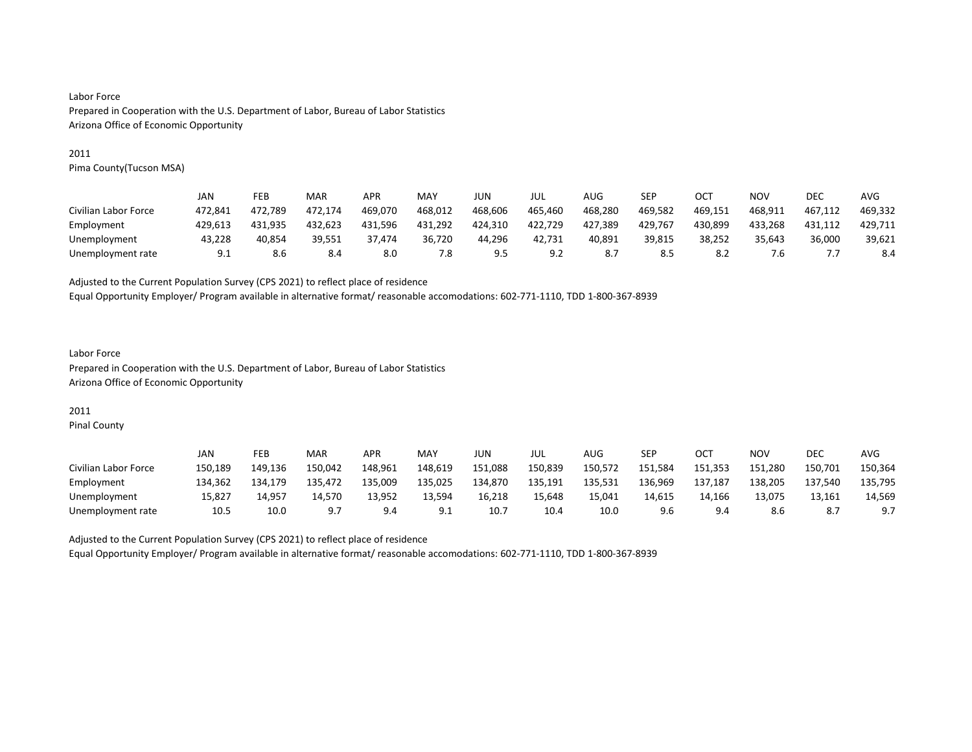#### 2011

Pima County(Tucson MSA)

|                      | JAN     | FEB     | MAR     | <b>APR</b> | MAY     | JUN     | JUL     | AUG     | SEP     | OCT     | NOV     | DEC     | AVG     |
|----------------------|---------|---------|---------|------------|---------|---------|---------|---------|---------|---------|---------|---------|---------|
| Civilian Labor Force | 472.841 | 472.789 | 472.174 | 469.070    | 468.012 | 468.606 | 465.460 | 468.280 | 469.582 | 469.151 | 468.911 | 467.112 | 469.332 |
| Employment           | 429,613 | 431.935 | 432,623 | 431.596    | 431,292 | 424,310 | 422,729 | 427,389 | 429,767 | 430.899 | 433,268 | 431,112 | 429,711 |
| Unemployment         | 43.228  | 40.854  | 39.551  | 37.474     | 36.720  | 44.296  | 42.731  | 40.891  | 39,815  | 38.252  | 35.643  | 36.000  | 39,621  |
| Unemployment rate    | 9.1     | 8.6     | 8.4     | 8.0        | 7.8     | 9.5     | 9.2     |         | 8.5     | 8.2     | 6./     |         | 8.4     |

Adjusted to the Current Population Survey (CPS 2021) to reflect place of residence

Equal Opportunity Employer/ Program available in alternative format/ reasonable accomodations: 602-771-1110, TDD 1-800-367-8939

### Labor Force Prepared in Cooperation with the U.S. Department of Labor, Bureau of Labor Statistics Arizona Office of Economic Opportunity

# 2011

Pinal County

|                      | JAN     | FEB     | MAR     | APR     | <b>MAY</b> | JUN     | JUL     | AUG     | <b>SEP</b> | OCT     | NO٧     | <b>DEC</b> | AVG     |
|----------------------|---------|---------|---------|---------|------------|---------|---------|---------|------------|---------|---------|------------|---------|
| Civilian Labor Force | 150,189 | 149.136 | 150,042 | 148.961 | 148,619    | 151,088 | 150,839 | 150,572 | 151,584    | 151,353 | 151,280 | 150,701    | 150,364 |
| Employment           | 134.362 | 134.179 | 135,472 | 135,009 | 135,025    | 134,870 | 135,191 | 135,531 | 136,969    | 137,187 | 138,205 | 137,540    | 135,795 |
| Unemployment         | 15.827  | 14.957  | 14.570  | 13.952  | 13.594     | 16,218  | 15.648  | 15,041  | 14.615     | 14.166  | 13.075  | 13.161     | 14.569  |
| Unemployment rate    | 10.5    | 10.0    |         | 9.4     | ◡.         | 10.     | 10.4    | 10.0    | 9.6        | 9.4     | 8.6     |            |         |

Adjusted to the Current Population Survey (CPS 2021) to reflect place of residence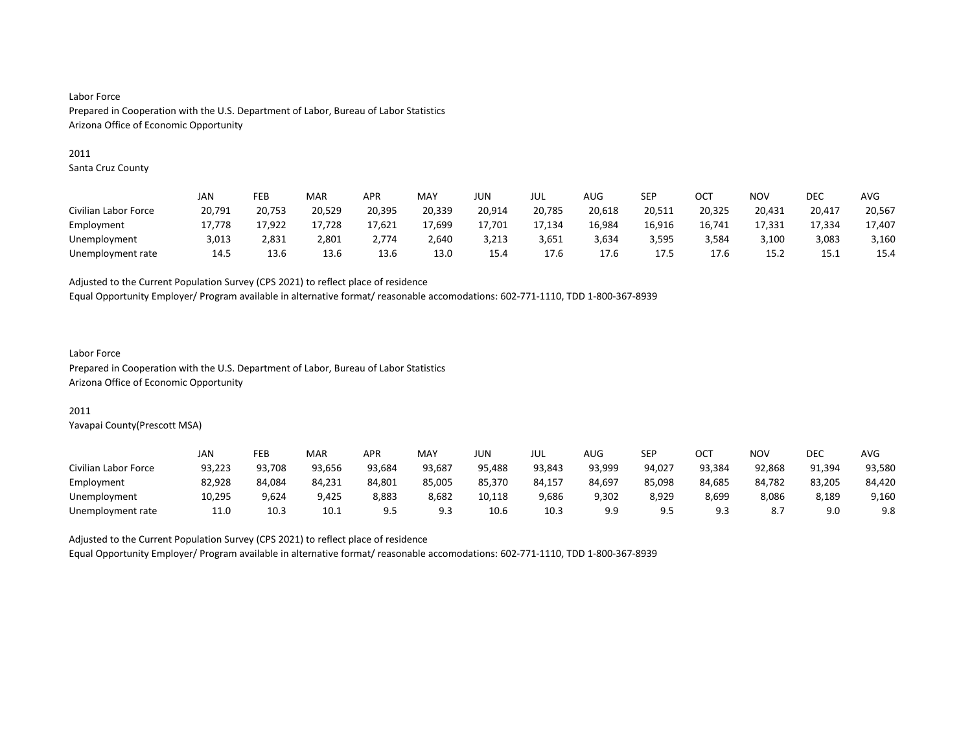#### 2011

Santa Cruz County

|                      | JAN    | FEB    | MAR    | APR    | MAY    | JUN    | JUL    | AUG    | SEP    | OC1    | NOV    | DEC    | AVG    |
|----------------------|--------|--------|--------|--------|--------|--------|--------|--------|--------|--------|--------|--------|--------|
| Civilian Labor Force | 20,791 | 20,753 | 20,529 | 20,395 | 20,339 | 20,914 | 20,785 | 20,618 | 20,511 | 20,325 | 20,431 | 20,417 | 20,567 |
| Employment           | 17.778 | 17,922 | 17.728 | 17,621 | 17,699 | 17.701 | 17.134 | 16,984 | 16,916 | 16,741 | 17.331 | 17.334 | 17,407 |
| Unemployment         | 3,013  | 2,831  | 2,801  | 2.774  | 2,640  | 3,213  | 3,651  | 3,634  | 3,595  | 3,584  | 3,100  | 3,083  | 3,160  |
| Unemployment rate    | 14.5   | 13.6   | 13.6   | 13.6   | 13.0   | 15.4   | 17.6   | 17.6   | 17.5   | 17.6   | 15.2   | 15.1   | 15.4   |

Adjusted to the Current Population Survey (CPS 2021) to reflect place of residence

Equal Opportunity Employer/ Program available in alternative format/ reasonable accomodations: 602-771-1110, TDD 1-800-367-8939

#### Labor Force

Prepared in Cooperation with the U.S. Department of Labor, Bureau of Labor Statistics Arizona Office of Economic Opportunity

#### 2011

Yavapai County(Prescott MSA)

|                      | JAN    | FEB    | MAR    | <b>APR</b> | <b>MAY</b> | JUN    | JUL    | AUG    | <b>SEP</b> | ∩∩⊤<br>UC. | <b>NOV</b> | DEC    | <b>AVG</b> |
|----------------------|--------|--------|--------|------------|------------|--------|--------|--------|------------|------------|------------|--------|------------|
| Civilian Labor Force | 93,223 | 93.708 | 93.656 | 93.684     | 93.687     | 95.488 | 93.843 | 93.999 | 94.027     | 93.384     | 92.868     | 91.394 | 93,580     |
| Employment           | 82,928 | 84,084 | 84,231 | 84,801     | 85,005     | 85,370 | 84.157 | 84,697 | 85,098     | 84,685     | 84.782     | 83,205 | 84,420     |
| Unemployment         | 10,295 | 9,624  | 9.425  | 8,883      | 8.682      | 10.118 | 9.686  | 9,302  | 8.929      | 8.699      | 8,086      | 8.189  | 9,160      |
| Unemployment rate    | 11.0   | 10.3   | 10.1   | a =<br>    | 9.3        | 10.6   | 10.3   | 9.9    | 9.5        | : ۵<br>    | 8.7        | 9.0    | 9.8        |

Adjusted to the Current Population Survey (CPS 2021) to reflect place of residence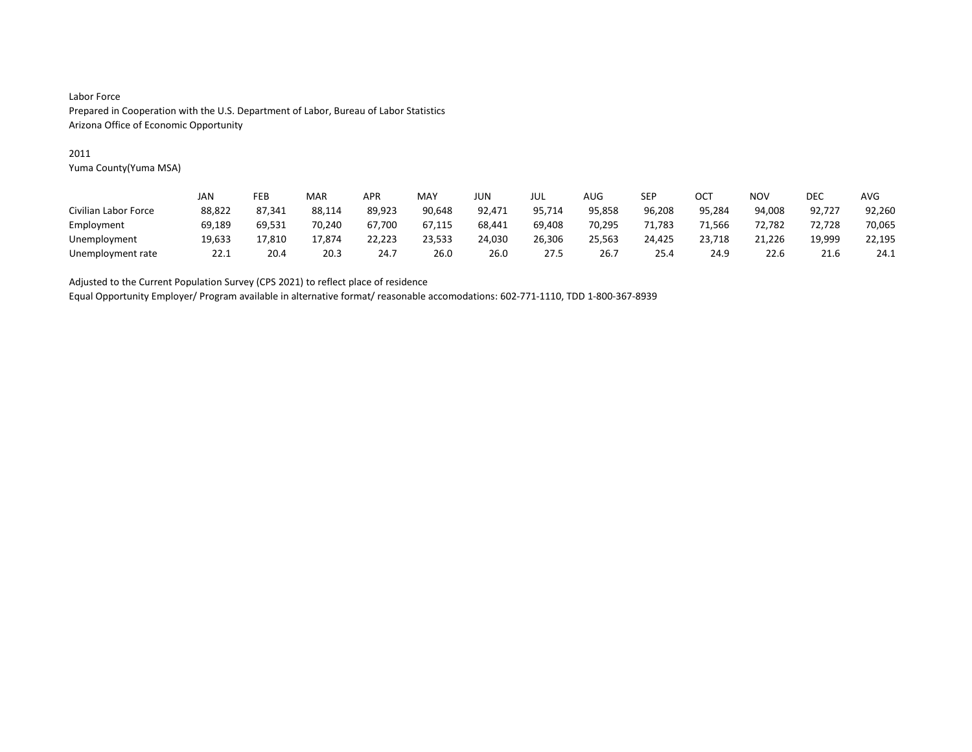#### 2011

Yuma County(Yuma MSA)

|                      | JAN    | FEB    | MAR    | APR    | MAY    | JUN    | JUL    | AUG    | SEP    | OC1    | NOV    | DEC    | AVG    |
|----------------------|--------|--------|--------|--------|--------|--------|--------|--------|--------|--------|--------|--------|--------|
| Civilian Labor Force | 88,822 | 87,341 | 88,114 | 89,923 | 90,648 | 92,471 | 95,714 | 95,858 | 96,208 | 95,284 | 94,008 | 92,727 | 92,260 |
| Employment           | 69,189 | 69.531 | 70.240 | 67.700 | 67.115 | 68.441 | 69,408 | 70.295 | 71,783 | 71.566 | 72.782 | 72.728 | 70,065 |
| Unemployment         | 19,633 | 17,810 | 17.874 | 22,223 | 23,533 | 24,030 | 26,306 | 25,563 | 24,425 | 23,718 | 21,226 | 19,999 | 22,195 |
| Unemployment rate    | 22.1   | 20.4   | 20.3   | 24.7   | 26.0   | 26.0   | 27.5   | 26.    | 25.4   | 24.9   | 22.6   | 21.6   | 24.1   |

Adjusted to the Current Population Survey (CPS 2021) to reflect place of residence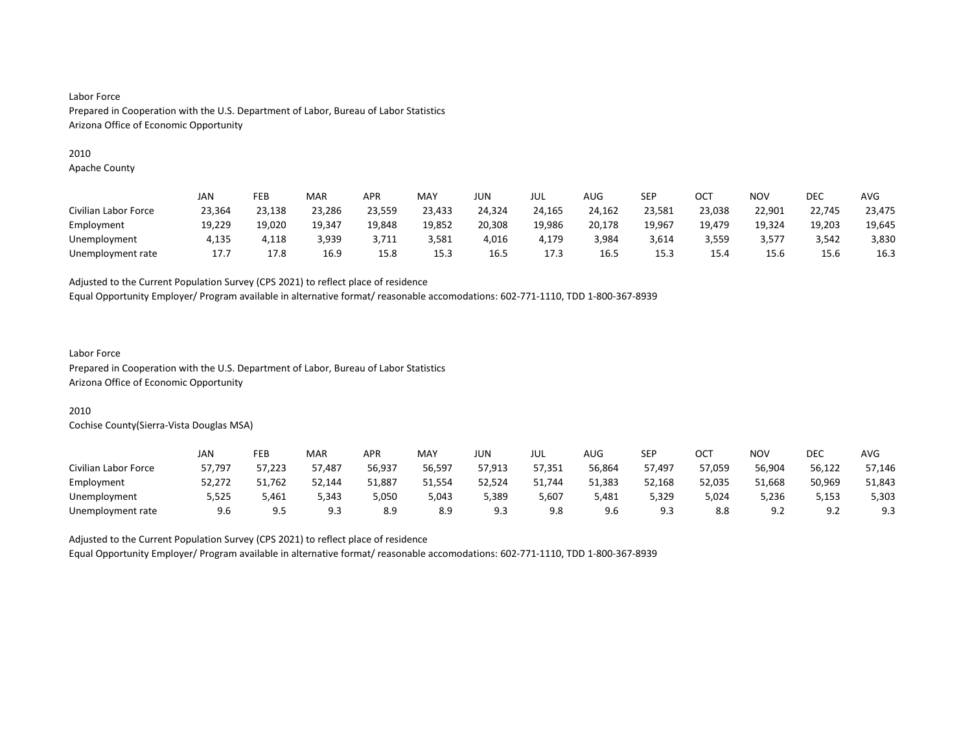#### 2010

Apache County

|                      | JAN    | FEB    | MAR    | <b>APR</b> | MAY    | JUN    | JUL    | AUG    | SEP    | ост    | <b>NOV</b> | DEC    | <b>AVG</b> |
|----------------------|--------|--------|--------|------------|--------|--------|--------|--------|--------|--------|------------|--------|------------|
| Civilian Labor Force | 23,364 | 23,138 | 23,286 | 23,559     | 23,433 | 24,324 | 24,165 | 24,162 | 23,581 | 23,038 | 22,901     | 22,745 | 23,475     |
| Employment           | 19,229 | 19,020 | 19,347 | 19,848     | 19,852 | 20,308 | 19,986 | 20,178 | 19,967 | 19,479 | 19.324     | 19,203 | 19,645     |
| Unemployment         | 4,135  | 4,118  | 3,939  | 3,711      | 3,581  | 4,016  | 4,179  | 3,984  | 3,614  | 3,559  | 3,577      | 3,542  | 3,830      |
| Unemployment rate    | 17.7   | 17.8   | 16.9   | 15.8       | 15.3   | 16.5   | 17.3   | 16.5   | 15.3   | 15.4   | 15.6       | 15.6   | 16.3       |

Adjusted to the Current Population Survey (CPS 2021) to reflect place of residence

Equal Opportunity Employer/ Program available in alternative format/ reasonable accomodations: 602-771-1110, TDD 1-800-367-8939

#### Labor Force

Prepared in Cooperation with the U.S. Department of Labor, Bureau of Labor Statistics Arizona Office of Economic Opportunity

# 2010

Cochise County(Sierra-Vista Douglas MSA)

|                      | JAN    | FEB    | MAR    | <b>APR</b> | <b>MAY</b> | JUN.   | JUL    | <b>AUG</b> | SEP    | ост    | <b>NOV</b> | <b>DEC</b>              | <b>AVG</b> |
|----------------------|--------|--------|--------|------------|------------|--------|--------|------------|--------|--------|------------|-------------------------|------------|
| Civilian Labor Force | 57.797 | 57.223 | 57.487 | 56.937     | 56,597     | 57.913 | 57.351 | 56.864     | 57.497 | 57.059 | 56.904     | 56.122                  | 57.146     |
| Employment           | 52,272 | 51,762 | 52,144 | 51,887     | 51,554     | 52,524 | 51,744 | 51,383     | 52,168 | 52,035 | 51,668     | 50,969                  | 51,843     |
| Unemployment         | 5,525  | 5,461  | 5.343  | 5,050      | 5.043      | 5,389  | 5.607  | 5.481      | 5,329  | 5,024  | 5.236      | 5,153                   | 5,303      |
| Unemployment rate    | 9.6    | 9.5    | 9.3    | 8.9        | 8.9        | 9.3    | 9.8    | 9.6        | 9.3    | 8.8    | 9.2        | Q <sub>0</sub><br>ے . ۔ | 9.3        |

Adjusted to the Current Population Survey (CPS 2021) to reflect place of residence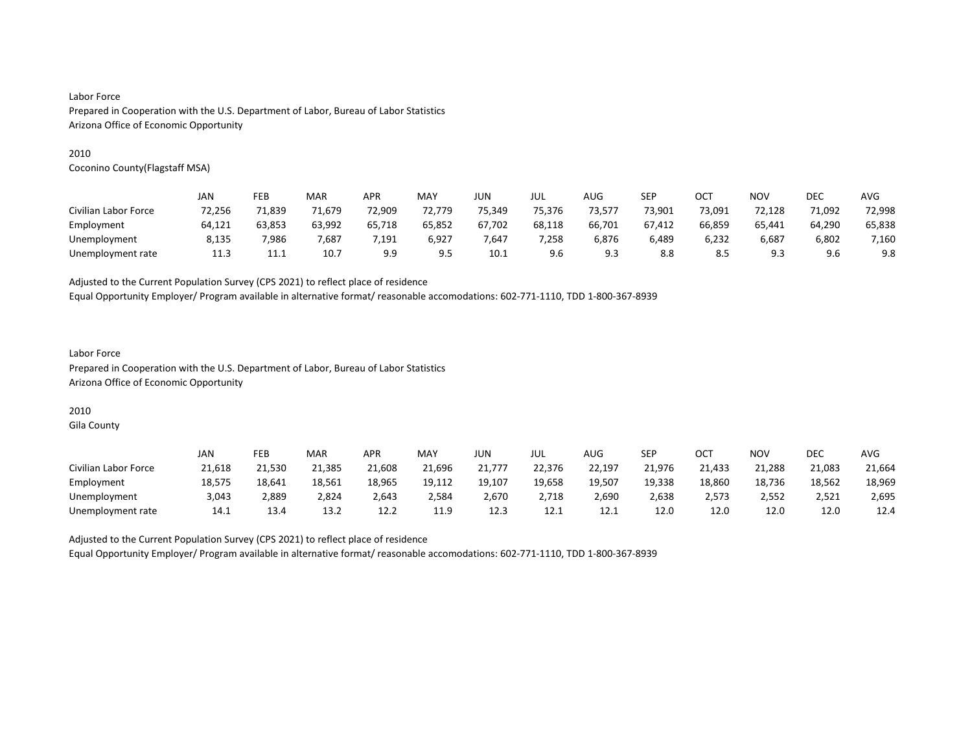#### 2010

Coconino County(Flagstaff MSA)

|                      | JAN    | FEB    | MAR    | APR      | MAY    | JUN    | JUL    | AUG    | SEP    | OCT    | NOV    | <b>DEC</b> | <b>AVG</b> |
|----------------------|--------|--------|--------|----------|--------|--------|--------|--------|--------|--------|--------|------------|------------|
| Civilian Labor Force | 72,256 | 71,839 | 71.679 | 72,909   | 72,779 | 75,349 | 75,376 | 73,577 | 73,901 | 73,091 | 72,128 | 71,092     | 72,998     |
| Employment           | 64,121 | 63,853 | 63,992 | 65,718   | 65,852 | 67,702 | 68,118 | 66,701 | 67,412 | 66,859 | 65,441 | 64,290     | 65,838     |
| Unemployment         | 8.135  | 7.986  | 7.687  | $'$ .191 | 6,927  | .647   | 7,258  | 6.876  | 6,489  | 6.232  | 6,687  | 6,802      | 7,160      |
| Unemployment rate    | 11.3   | 11.1   | 10.7   | 9.9      | 9.5    | 10.1   | 9.6    | 9.3    | 8.8    | 8.5    | 9.3    | 9.6        | 9.8        |

Adjusted to the Current Population Survey (CPS 2021) to reflect place of residence

Equal Opportunity Employer/ Program available in alternative format/ reasonable accomodations: 602-771-1110, TDD 1-800-367-8939

## Labor Force Prepared in Cooperation with the U.S. Department of Labor, Bureau of Labor Statistics Arizona Office of Economic Opportunity

# 2010

Gila County

|                      | JAN    | FEB    | MAR    | APR    | MAY    | JUN    | JUL    | AUG    | SEP    | ост    | NOV    | DEC    | <b>AVG</b> |
|----------------------|--------|--------|--------|--------|--------|--------|--------|--------|--------|--------|--------|--------|------------|
| Civilian Labor Force | 21.618 | 21.530 | 21,385 | 21,608 | 21.696 | 21.777 | 22.376 | 22.197 | 21.976 | 21,433 | 21.288 | 21,083 | 21,664     |
| Employment           | 18,575 | 18,641 | 18,561 | 18,965 | 19,112 | 19,107 | 19,658 | 19,507 | 19,338 | 18,860 | 18,736 | 18,562 | 18,969     |
| Unemployment         | 3,043  | 2,889  | 2,824  | 2,643  | 2,584  | 2,670  | 2,718  | 2,690  | 2,638  | 2,573  | 2,552  | 2,521  | 2,695      |
| Unemployment rate    | 14.1   | 13.4   | 13.2   | 12.2   | 11.9   | 12.3   | 12.1   | 12.1   | 12.0   | 12.0   | 12.0   | 12.0   | 12.4       |

Adjusted to the Current Population Survey (CPS 2021) to reflect place of residence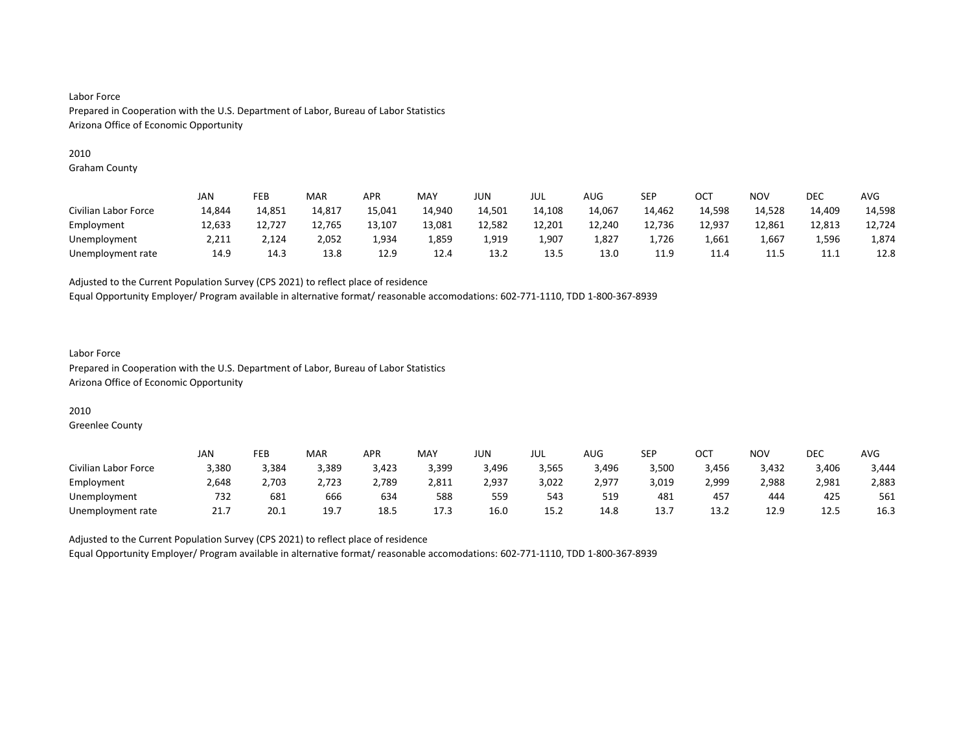#### 2010

Graham County

|                      | JAN    | FEB    | MAR    | <b>APR</b> | MAY    | <b>JUN</b> | JUL    | AUG    | SEP    | ост    | <b>NOV</b>          | <b>DEC</b>  | <b>AVG</b> |
|----------------------|--------|--------|--------|------------|--------|------------|--------|--------|--------|--------|---------------------|-------------|------------|
| Civilian Labor Force | 14,844 | 14,851 | 14,817 | 15,041     | 14.940 | 14,501     | 14,108 | 14,067 | 14,462 | 14,598 | 14,528              | 14.409      | 14,598     |
| Employment           | 12,633 | 12.727 | 12,765 | 13,107     | 13,081 | 12,582     | 12,201 | 12,240 | 12,736 | 12,937 | 12.861              | 12,813      | 12,724     |
| Unemployment         | 2,211  | 2,124  | 2,052  | 1,934      | 1,859  | 1,919      | 1,907  | 1,827  | 1,726  | 1,661  | 1,667               | 1,596       | 1,874      |
| Unemployment rate    | 14.9   | 14.3   | 13.8   | 12.9       | 12.4   | 13.2       | 13.5   | 13.0   | 11.9   | 11.4   | <b>11 F</b><br>11.5 | <b>++++</b> | 12.8       |

Adjusted to the Current Population Survey (CPS 2021) to reflect place of residence

Equal Opportunity Employer/ Program available in alternative format/ reasonable accomodations: 602-771-1110, TDD 1-800-367-8939

#### Labor Force Prepared in Cooperation with the U.S. Department of Labor, Bureau of Labor Statistics Arizona Office of Economic Opportunity

### 2010

Greenlee County

|                      | JAN   | FEB   | MAR   | APR   | <b>MAY</b> | JUN.  | JUL   | AUG   | SEP   | OCT            | NO۱   | DEC   | AVG   |
|----------------------|-------|-------|-------|-------|------------|-------|-------|-------|-------|----------------|-------|-------|-------|
| Civilian Labor Force | 3.380 | 3,384 | 3.389 | 3.423 | 3,399      | 3,496 | 3.565 | 3,496 | 3.500 | 3,456          | 3,432 | 3,406 | 3,444 |
| Employment           | 2,648 | 2,703 | 2,723 | 2,789 | 2,811      | 2,937 | 3,022 | 2,977 | 3,019 | 2,999          | 2,988 | 2,981 | 2,883 |
| Unemployment         | 732   | 681   | 666   | 634   | 588        | 559   | 543   | 519   | 481   | 457            | 444   | 425   | 561   |
| Unemployment rate    |       | 20.1  | 19.7  | 18.5  | 17.3       | 16.0  | 15.2  | 14.8  | 13.7  | $\sim$<br>13.2 | 12.9  | 12.5  | 16.3  |

Adjusted to the Current Population Survey (CPS 2021) to reflect place of residence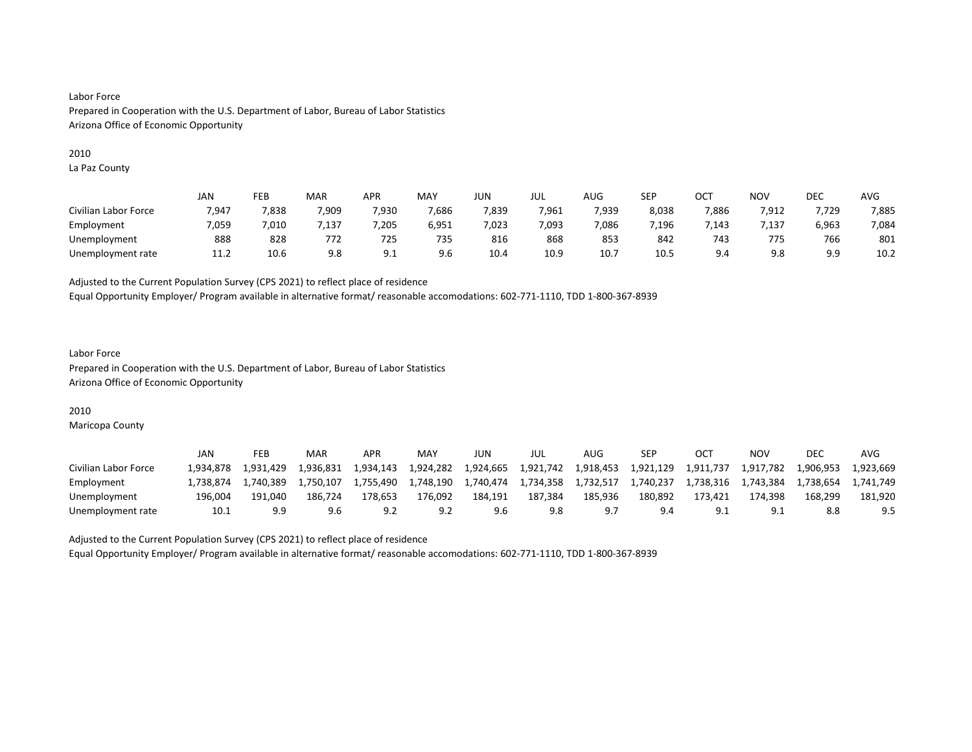#### 2010

La Paz County

|                      | JAN   | FEB   | MAR              | APR   | <b>MAY</b> | JUN   | JUL   | AUG   | SEP   | OC1   | <b>NOV</b> | DEC             | AVG   |
|----------------------|-------|-------|------------------|-------|------------|-------|-------|-------|-------|-------|------------|-----------------|-------|
| Civilian Labor Force | 7,947 | 7,838 | 7,909            | 7,930 | 7,686      | 7,839 | 7,961 | 7,939 | 8,038 | 7,886 | 7,912      | 7,729           | 7,885 |
| Employment           | 7,059 | .010  | $^{\prime}$ .137 | 205   | 6,951      | 7,023 | 7,093 | 7.086 | ,196  | 7.143 | 137.'      | 6,963           | 7,084 |
| Unemployment         | 888   | 828   | 772              | 725   | 735        | 816   | 868   | 853   | 842   | 743   | 775        | 766             | 801   |
| Unemployment rate    | 11.2  | 10.6  | 9.8              | 9.1   | 9.6        | 10.4  | 10.9  | 10.   | 10.5  | 9.4   | 9.8        | a a<br><u>.</u> | 10.2  |

Adjusted to the Current Population Survey (CPS 2021) to reflect place of residence

Equal Opportunity Employer/ Program available in alternative format/ reasonable accomodations: 602-771-1110, TDD 1-800-367-8939

### Labor Force Prepared in Cooperation with the U.S. Department of Labor, Bureau of Labor Statistics Arizona Office of Economic Opportunity

# 2010

Maricopa County

|                      | <b>JAN</b> | FEB       | MAR       | APR       | MAY       | JUN       | JUL       | AUG       | <b>SEP</b> |           | ΝΟν       | <b>DEC</b> | AVG       |
|----------------------|------------|-----------|-----------|-----------|-----------|-----------|-----------|-----------|------------|-----------|-----------|------------|-----------|
| Civilian Labor Force | 1.934.878  | 1.931.429 | 1.936.831 | 1.934.143 | 1.924.282 | 1.924.665 | 1,921,742 | 1.918.453 | 1.921.129  | 1.911.737 | 1.917.782 | 1,906,953  | 1.923.669 |
| Employment           | 1.738.874  | 1.740.389 | 1.750.107 | 1.755.490 | 1.748.190 | 1.740.474 | 1,734,358 | 1,732,517 | 1,740,237  | 1,738,316 | 1,743,384 | 1.738.654  | 1.741.749 |
| Unemployment         | 196.004    | 191.040   | 186.724   | 178,653   | 176.092   | 184.191   | 187.384   | 185.936   | 180,892    | 173.421   | 174.398   | 168.299    | 181.920   |
| Unemployment rate    | 10.1       |           | 9.6       |           |           |           | 9.8       |           | 9.4        |           |           |            | 9.5       |

Adjusted to the Current Population Survey (CPS 2021) to reflect place of residence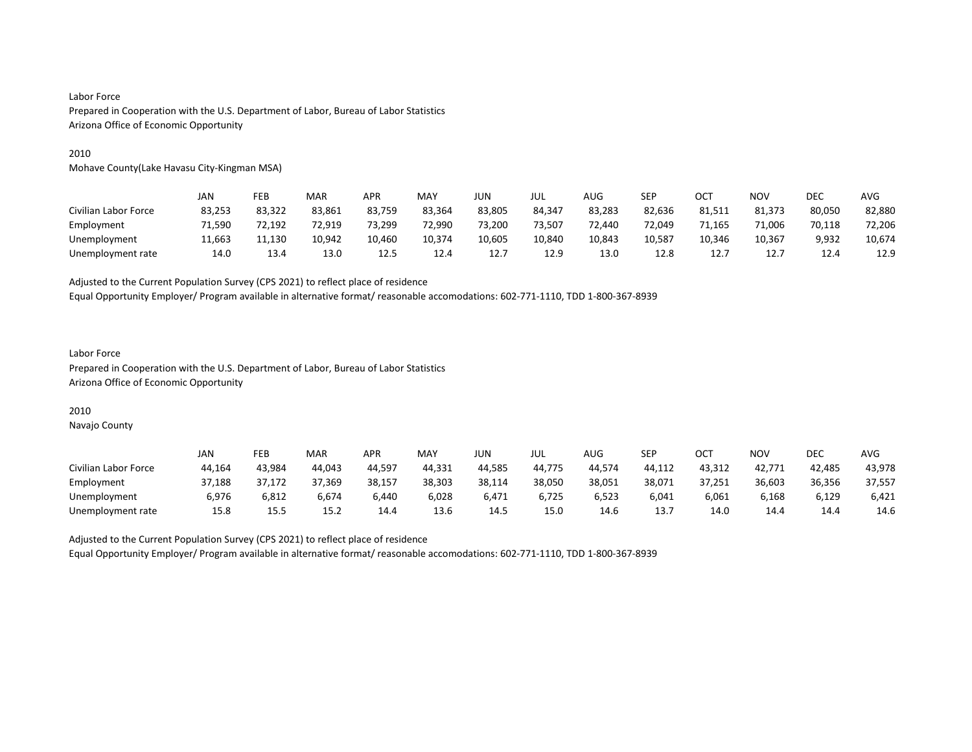#### 2010

Mohave County(Lake Havasu City-Kingman MSA)

|                      | JAN    | FEB    | MAR    | APR    | <b>MAY</b> | JUN    | jul    | AUG    | SEP    | OCT    | <b>NOV</b> | <b>DEC</b> | AVG    |
|----------------------|--------|--------|--------|--------|------------|--------|--------|--------|--------|--------|------------|------------|--------|
| Civilian Labor Force | 83,253 | 83,322 | 83,861 | 83,759 | 83.364     | 83,805 | 84.347 | 83,283 | 82,636 | 81,511 | 81,373     | 80,050     | 82,880 |
| Employment           | 71.590 | 72.192 | 72.919 | 73.299 | 72.990     | 73,200 | 73.507 | 72.440 | 72.049 | 71.165 | 71.006     | 70,118     | 72,206 |
| Unemployment         | 11,663 | 11,130 | 10,942 | 10,460 | 10,374     | 10,605 | 10,840 | 10,843 | 10,587 | 10,346 | 10,367     | 9,932      | 10,674 |
| Unemployment rate    | 14.0   | 13.4   | 13.0   | 12.5   | 12.4       | 12.7   | 12.9   | 13.0   | 12.8   | 12.    | 12.7       | 12.4       | 12.9   |

Adjusted to the Current Population Survey (CPS 2021) to reflect place of residence

Equal Opportunity Employer/ Program available in alternative format/ reasonable accomodations: 602-771-1110, TDD 1-800-367-8939

#### Labor Force Prepared in Cooperation with the U.S. Department of Labor, Bureau of Labor Statistics Arizona Office of Economic Opportunity

#### 2010

Navajo County

|                      | JAN    | FEB    | <b>MAR</b> | APR    | <b>MAY</b> | JUN    | JUL    | <b>AUG</b> | <b>SEP</b> | OCT    | NO۱    | DEC    | AVG    |
|----------------------|--------|--------|------------|--------|------------|--------|--------|------------|------------|--------|--------|--------|--------|
| Civilian Labor Force | 44.164 | 43.984 | 44.043     | 44.597 | 44.331     | 44.585 | 44.775 | 44.574     | 44.112     | 43.312 | 42.771 | 42.485 | 43.978 |
| Employment           | 37,188 | 37,172 | 37,369     | 38,157 | 38,303     | 38,114 | 38,050 | 38,051     | 38,071     | 37,251 | 36,603 | 36,356 | 37,557 |
| Unemployment         | 6.976  | 6,812  | 6.674      | 6.440  | 6,028      | 6.471  | 6.725  | 6,523      | 6.041      | 6.061  | 6,168  | 6,129  | 6,421  |
| Unemployment rate    | 15.8   | 15.5   | 15.2       | 14.4   | 13.6       | 14.5   | 15.0   | 14.6       | 13.7       | 14.0   | 14.4   | 14.4   | 14.6   |

Adjusted to the Current Population Survey (CPS 2021) to reflect place of residence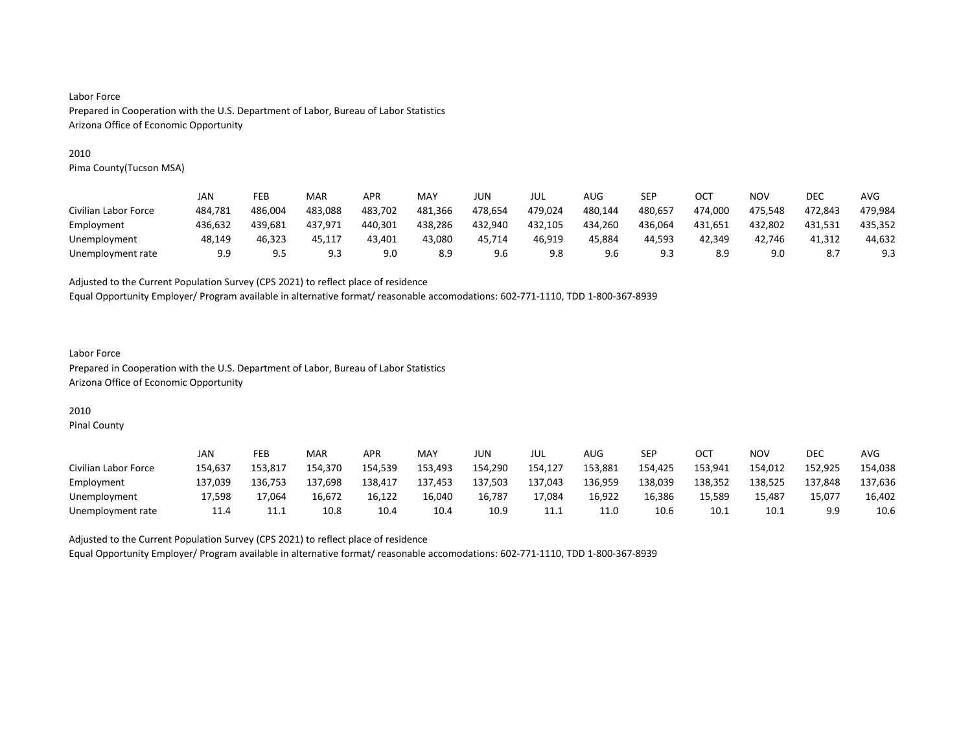#### 2010

Pima County(Tucson MSA)

|                      | JAN     | FEB                    | MAR     | <b>APR</b> | MAY     | JUN     | JUL     | AUG     | SEP     | OCT     | NOV     | DEC     | AVG     |
|----------------------|---------|------------------------|---------|------------|---------|---------|---------|---------|---------|---------|---------|---------|---------|
| Civilian Labor Force | 484.781 | 486.004                | 483.088 | 483.702    | 481.366 | 478.654 | 479.024 | 480.144 | 480.657 | 474.000 | 475.548 | 472.843 | 479.984 |
| Employment           | 436.632 | 439.681                | 437.971 | 440.301    | 438,286 | 432,940 | 432,105 | 434,260 | 436,064 | 431.651 | 432,802 | 431.531 | 435,352 |
| Unemployment         | 48.149  | 46.323                 | 45.117  | 43.401     | 43.080  | 45.714  | 46.919  | 45.884  | 44.593  | 42.349  | 42.746  | 41.312  | 44,632  |
| Unemployment rate    | 9.9     | Q <sub>5</sub><br>ر. ر | 9.3     | 9.0        | 8.9     | 9.6     | 9.8     | 9.6     | 9.3     | 8.9     | 9.0     |         | 9.3     |

Adjusted to the Current Population Survey (CPS 2021) to reflect place of residence

Equal Opportunity Employer/ Program available in alternative format/ reasonable accomodations: 602-771-1110, TDD 1-800-367-8939

## Labor Force Prepared in Cooperation with the U.S. Department of Labor, Bureau of Labor Statistics Arizona Office of Economic Opportunity

# 2010

Pinal County

|                      | JAN     | FEB     | MAR     | APR     | MAY     | JUN     | JUL     | AUG     | SEP     | ост     | NO۱     | <b>DEC</b> | <b>AVG</b> |
|----------------------|---------|---------|---------|---------|---------|---------|---------|---------|---------|---------|---------|------------|------------|
| Civilian Labor Force | 154,637 | 153.817 | 154.370 | 154,539 | 153,493 | 154,290 | 154,127 | 153,881 | 154,425 | 153,941 | 154,012 | 152,925    | 154,038    |
| Employment           | 137.039 | 136.753 | 137.698 | 138.417 | 137.453 | 137.503 | 137,043 | 136.959 | 138,039 | 138.352 | 138,525 | 137.848    | 137.636    |
| Unemployment         | 17.598  | 17.064  | 16.672  | 16.122  | 16.040  | 16.787  | 17.084  | 16.922  | 16,386  | 15.589  | 15.487  | 15,077     | 16,402     |
| Unemployment rate    | 11.4    | 11.1    | 10.8    | 10.4    | 10.4    | 10.9    | 11.1    | 11.0    | 10.6    | 10.1    | 10.1    |            | 10.6       |

Adjusted to the Current Population Survey (CPS 2021) to reflect place of residence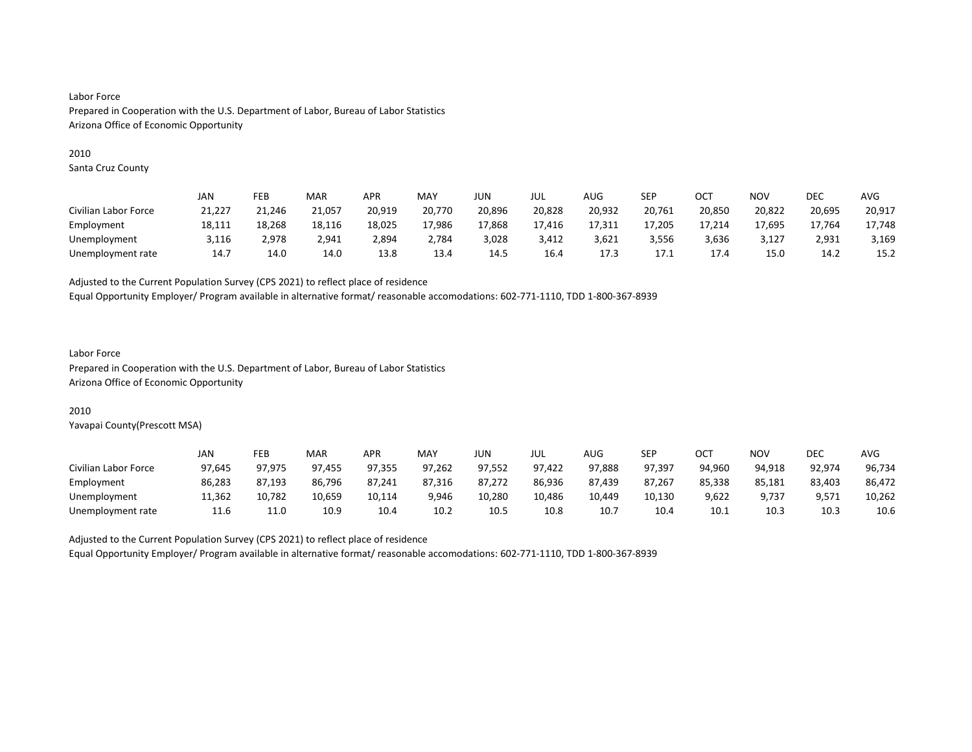#### 2010

Santa Cruz County

|                      | JAN    | FEB    | MAR    | APR    | <b>MAY</b> | JUN    | JUL    | AUG    | SEP    | OC1    | NOV    | DEC    | AVG    |
|----------------------|--------|--------|--------|--------|------------|--------|--------|--------|--------|--------|--------|--------|--------|
| Civilian Labor Force | 21,227 | 21,246 | 21,057 | 20,919 | 20,770     | 20,896 | 20,828 | 20,932 | 20,761 | 20,850 | 20,822 | 20,695 | 20,917 |
| Employment           | 18,111 | 18.268 | 18,116 | 18,025 | 17,986     | 17,868 | 17,416 | 17,311 | 17.205 | 17,214 | 17,695 | 17.764 | 17,748 |
| Unemployment         | 3,116  | 2.978  | 2,941  | 2,894  | 2,784      | 3,028  | 3,412  | 3,621  | 3,556  | 3,636  | 3,127  | 2,931  | 3,169  |
| Unemployment rate    | 14.7   | 14.0   | 14.0   | 13.8   | 13.4       | 14.5   | 16.4   | 17.3   | 17.1   | 17.4   | 15.0   | 14.2   | 15.2   |

Adjusted to the Current Population Survey (CPS 2021) to reflect place of residence

Equal Opportunity Employer/ Program available in alternative format/ reasonable accomodations: 602-771-1110, TDD 1-800-367-8939

#### Labor Force

Prepared in Cooperation with the U.S. Department of Labor, Bureau of Labor Statistics Arizona Office of Economic Opportunity

### 2010

Yavapai County(Prescott MSA)

|                      | JAN    | FEB    | MAR    | APR    | MAY    | JUN    | JUL    | <b>AUG</b> | SEP    | ОСТ    | NOV    | DEC    | <b>AVG</b> |
|----------------------|--------|--------|--------|--------|--------|--------|--------|------------|--------|--------|--------|--------|------------|
| Civilian Labor Force | 97.645 | 97.975 | 97.455 | 97.355 | 97.262 | 97.552 | 97.422 | 97.888     | 97.397 | 94.960 | 94.918 | 92,974 | 96,734     |
| Employment           | 86,283 | 87,193 | 86,796 | 87,241 | 87,316 | 87,272 | 86,936 | 87,439     | 87,267 | 85,338 | 85,181 | 83,403 | 86,472     |
| Unemployment         | 11.362 | 10.782 | 10.659 | 10.114 | 9.946  | 10.280 | 10.486 | 10.449     | 10.130 | 9,622  | 9.737  | 9,571  | 10,262     |
| Unemployment rate    | 11.6   | 11.0   | 10.9   | 10.4   | 10.2   | 10.5   | 10.8   | 10.7       | 10.4   | 10.1   | 10.3   | 10.3   | 10.6       |

Adjusted to the Current Population Survey (CPS 2021) to reflect place of residence